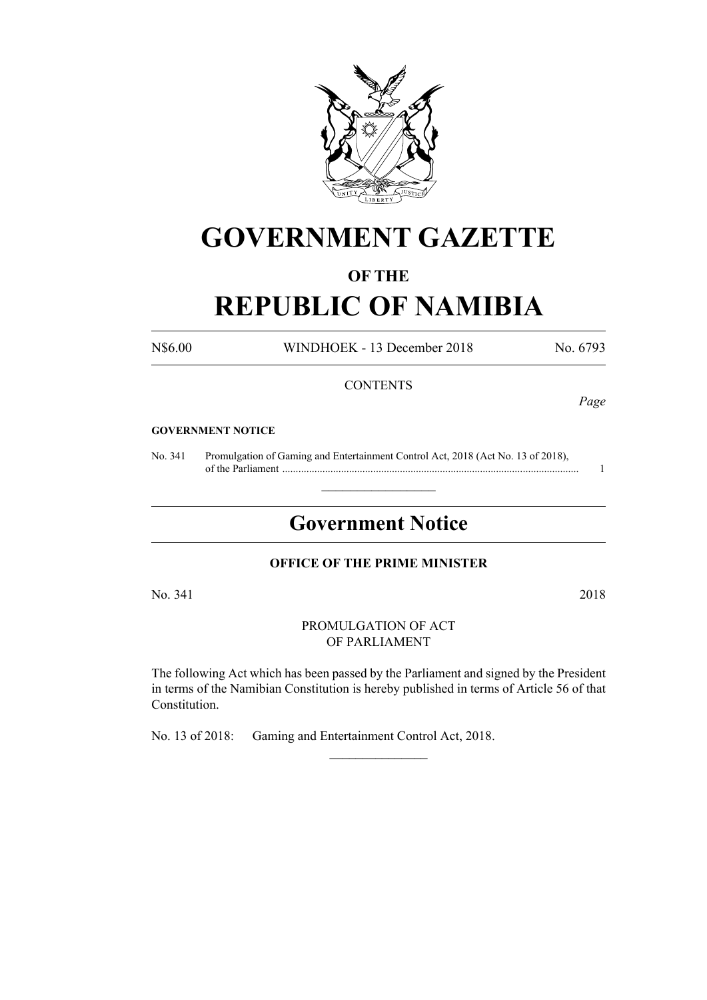

# **GOVERNMENT GAZETTE**

# **OF THE**

# **REPUBLIC OF NAMIBIA**

N\$6.00 WINDHOEK - 13 December 2018 No. 6793

# **CONTENTS**

*Page*

#### **GOVERNMENT NOTICE**

No. 341 Promulgation of Gaming and Entertainment Control Act, 2018 (Act No. 13 of 2018), of the Parliament ............................................................................................................... 1

# **Government Notice**

 $\frac{1}{2}$  ,  $\frac{1}{2}$  ,  $\frac{1}{2}$  ,  $\frac{1}{2}$  ,  $\frac{1}{2}$  ,  $\frac{1}{2}$  ,  $\frac{1}{2}$ 

# **OFFICE OF THE PRIME MINISTER**

No. 341 2018

PROMULGATION OF ACT OF PARLIAMENT

The following Act which has been passed by the Parliament and signed by the President in terms of the Namibian Constitution is hereby published in terms of Article 56 of that Constitution.

 $\frac{1}{2}$ 

No. 13 of 2018: Gaming and Entertainment Control Act, 2018.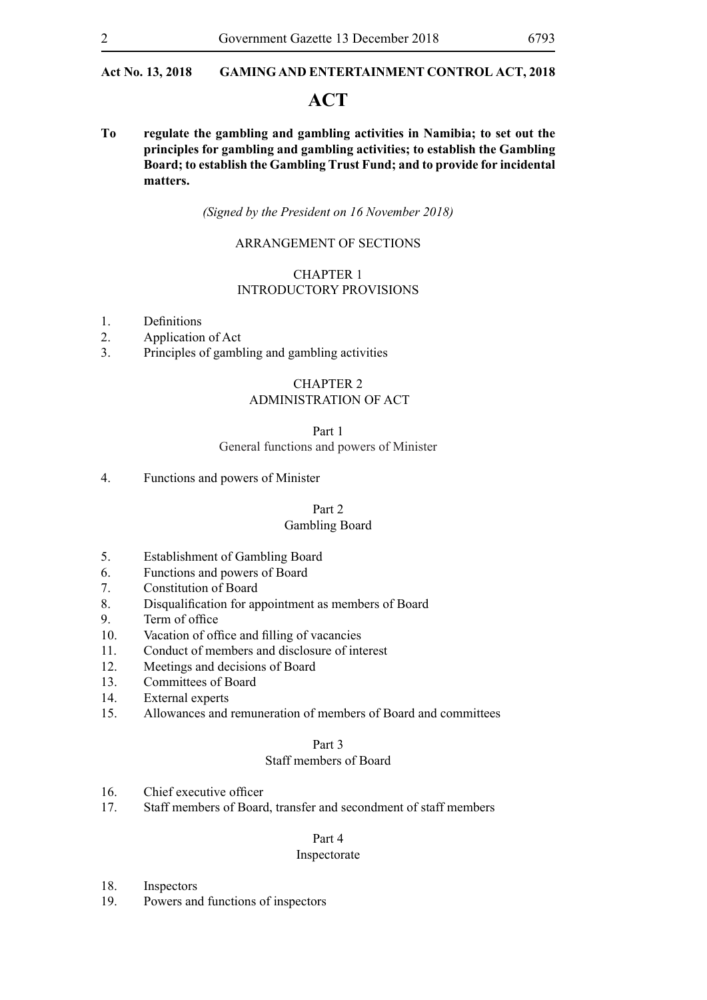# **ACT**

**To regulate the gambling and gambling activities in Namibia; to set out the principles for gambling and gambling activities; to establish the Gambling Board; to establish the Gambling Trust Fund; and to provide for incidental matters.**

*(Signed by the President on 16 November 2018)*

# ARRANGEMENT OF SECTIONS

#### CHAPTER 1 INTRODUCTORY PROVISIONS

- 1. Definitions
- 2. Application of Act
- 3. Principles of gambling and gambling activities

# CHAPTER 2

# ADMINISTRATION OF ACT

Part 1

#### General functions and powers of Minister

4. Functions and powers of Minister

#### Part 2

# Gambling Board

- 5. Establishment of Gambling Board
- 6. Functions and powers of Board
- 7. Constitution of Board
- 8. Disqualification for appointment as members of Board
- 9. Term of office
- 10. Vacation of office and filling of vacancies
- 11. Conduct of members and disclosure of interest
- 12. Meetings and decisions of Board
- 13. Committees of Board
- 14. External experts
- 15. Allowances and remuneration of members of Board and committees

# Part 3

# Staff members of Board

- 16. Chief executive officer
- 17. Staff members of Board, transfer and secondment of staff members

#### Part 4

# Inspectorate

- 18. Inspectors
- 19. Powers and functions of inspectors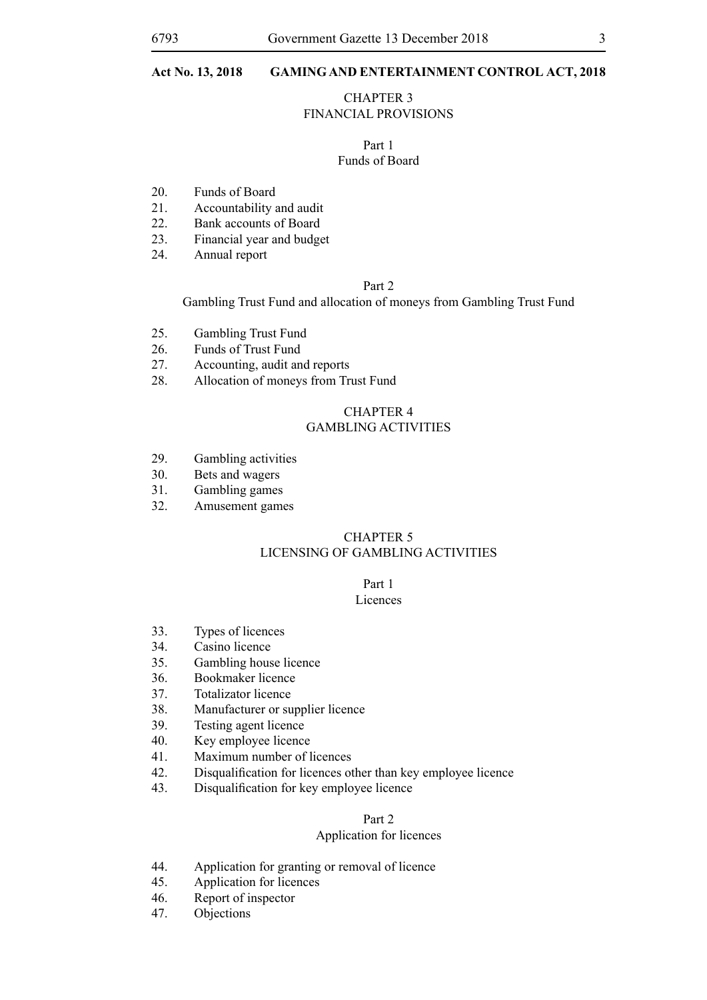# CHAPTER 3

# FINANCIAL PROVISIONS

#### Part 1 Funds of Board

- 20. Funds of Board<br>21 Accountability
- Accountability and audit
- 22. Bank accounts of Board
- 23. Financial year and budget
- 24. Annual report

#### Part 2

Gambling Trust Fund and allocation of moneys from Gambling Trust Fund

- 25. Gambling Trust Fund
- 26. Funds of Trust Fund
- 27. Accounting, audit and reports
- 28. Allocation of moneys from Trust Fund

#### CHAPTER 4 GAMBLING ACTIVITIES

- 29. Gambling activities
- 30. Bets and wagers
- 31. Gambling games
- 32. Amusement games

# CHAPTER 5

# LICENSING OF GAMBLING ACTIVITIES

# Part 1

# Licences

- 33. Types of licences
- 34. Casino licence
- 35. Gambling house licence
- 36. Bookmaker licence
- 37. Totalizator licence
- 38. Manufacturer or supplier licence
- 39. Testing agent licence
- 40. Key employee licence
- 41. Maximum number of licences
- 42. Disqualification for licences other than key employee licence
- 43. Disqualification for key employee licence

#### Part 2

#### Application for licences

- 44. Application for granting or removal of licence
- 45. Application for licences
- 46. Report of inspector
- 47. Objections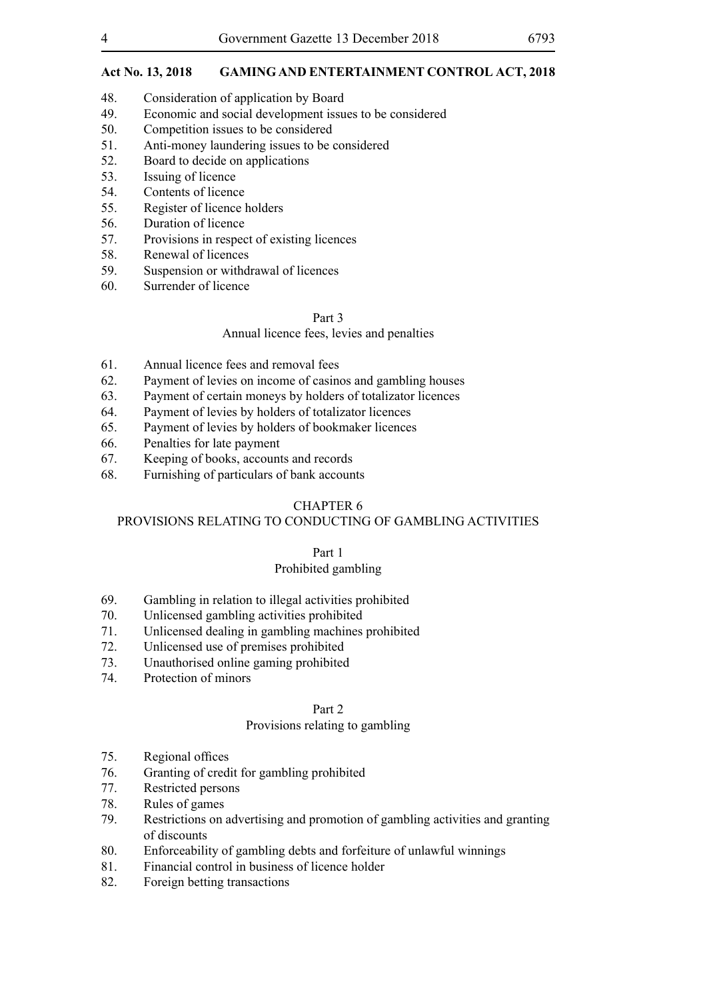- 48. Consideration of application by Board
- 49. Economic and social development issues to be considered
- 50. Competition issues to be considered
- 51. Anti-money laundering issues to be considered
- 52. Board to decide on applications
- 53. Issuing of licence
- 54. Contents of licence
- 55. Register of licence holders
- 56. Duration of licence
- 57. Provisions in respect of existing licences
- 58. Renewal of licences
- 59. Suspension or withdrawal of licences
- 60. Surrender of licence

# Part 3

# Annual licence fees, levies and penalties

- 61. Annual licence fees and removal fees
- 62. Payment of levies on income of casinos and gambling houses
- 63. Payment of certain moneys by holders of totalizator licences
- 64. Payment of levies by holders of totalizator licences
- 65. Payment of levies by holders of bookmaker licences
- 66. Penalties for late payment
- 67. Keeping of books, accounts and records
- 68. Furnishing of particulars of bank accounts

# CHAPTER 6

# PROVISIONS RELATING TO CONDUCTING OF GAMBLING ACTIVITIES

#### Part 1

# Prohibited gambling

- 69. Gambling in relation to illegal activities prohibited
- 70. Unlicensed gambling activities prohibited
- 71. Unlicensed dealing in gambling machines prohibited
- 72. Unlicensed use of premises prohibited
- 73. Unauthorised online gaming prohibited
- 74. Protection of minors

#### Part 2

# Provisions relating to gambling

- 75. Regional offices
- 76. Granting of credit for gambling prohibited
- 77. Restricted persons
- 78. Rules of games
- 79. Restrictions on advertising and promotion of gambling activities and granting of discounts
- 80. Enforceability of gambling debts and forfeiture of unlawful winnings
- 81. Financial control in business of licence holder
- 82. Foreign betting transactions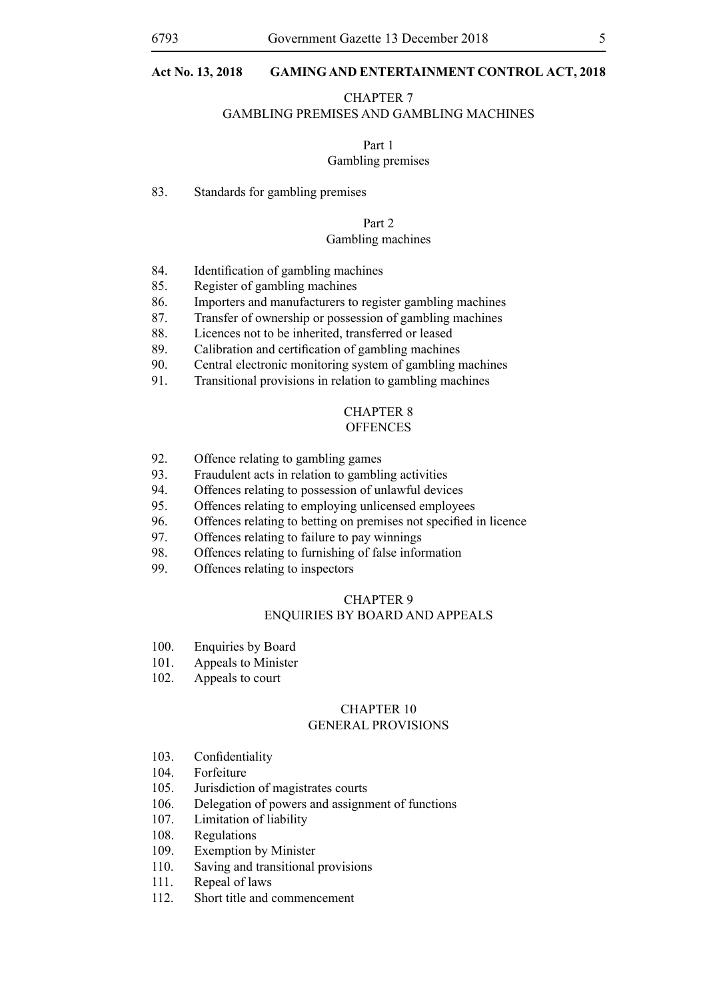#### CHAPTER 7

#### GAMBLING PREMISES AND GAMBLING MACHINES

# Part 1

# Gambling premises

#### 83. Standards for gambling premises

#### Part 2

#### Gambling machines

- 84. Identification of gambling machines
- 85. Register of gambling machines
- 86. Importers and manufacturers to register gambling machines
- 87. Transfer of ownership or possession of gambling machines
- 88. Licences not to be inherited, transferred or leased
- 89. Calibration and certification of gambling machines
- 90. Central electronic monitoring system of gambling machines
- 91. Transitional provisions in relation to gambling machines

# CHAPTER 8

# **OFFENCES**

- 92. Offence relating to gambling games
- 93. Fraudulent acts in relation to gambling activities
- 94. Offences relating to possession of unlawful devices
- 95. Offences relating to employing unlicensed employees
- 96. Offences relating to betting on premises not specified in licence
- 97. Offences relating to failure to pay winnings
- 98. Offences relating to furnishing of false information
- 99. Offences relating to inspectors

#### CHAPTER 9

# ENQUIRIES BY BOARD AND APPEALS

- 100. Enquiries by Board
- 101. Appeals to Minister
- 102. Appeals to court

#### CHAPTER 10 GENERAL PROVISIONS

- 103. Confidentiality
- 104. Forfeiture
- 105. Jurisdiction of magistrates courts
- 106. Delegation of powers and assignment of functions
- 107. Limitation of liability
- 108. Regulations
- 109. Exemption by Minister
- 110. Saving and transitional provisions
- 111. Repeal of laws
- 112. Short title and commencement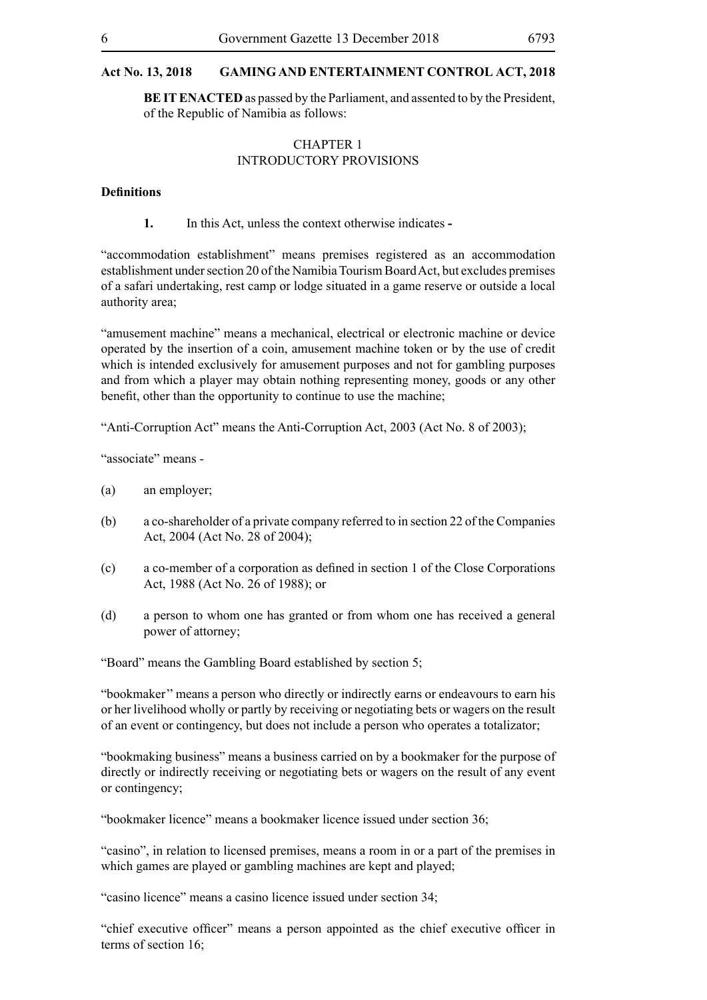**BE IT ENACTED** as passed by the Parliament, and assented to by the President, of the Republic of Namibia as follows:

# CHAPTER 1 INTRODUCTORY PROVISIONS

#### **Definitions**

**1.** In this Act, unless the context otherwise indicates **-**

"accommodation establishment" means premises registered as an accommodation establishment under section 20 of the Namibia Tourism Board Act, but excludes premises of a safari undertaking, rest camp or lodge situated in a game reserve or outside a local authority area;

"amusement machine" means a mechanical, electrical or electronic machine or device operated by the insertion of a coin, amusement machine token or by the use of credit which is intended exclusively for amusement purposes and not for gambling purposes and from which a player may obtain nothing representing money, goods or any other benefit, other than the opportunity to continue to use the machine;

"Anti-Corruption Act" means the Anti-Corruption Act, 2003 (Act No. 8 of 2003);

"associate" means -

- (a) an employer;
- (b) a co-shareholder of a private company referred to in section 22 of the Companies Act, 2004 (Act No. 28 of 2004);
- (c) a co-member of a corporation as defined in section 1 of the Close Corporations Act, 1988 (Act No. 26 of 1988); or
- (d) a person to whom one has granted or from whom one has received a general power of attorney;

"Board" means the Gambling Board established by section 5;

"bookmaker'' means a person who directly or indirectly earns or endeavours to earn his or her livelihood wholly or partly by receiving or negotiating bets or wagers on the result of an event or contingency, but does not include a person who operates a totalizator;

"bookmaking business" means a business carried on by a bookmaker for the purpose of directly or indirectly receiving or negotiating bets or wagers on the result of any event or contingency;

"bookmaker licence" means a bookmaker licence issued under section 36;

"casino", in relation to licensed premises, means a room in or a part of the premises in which games are played or gambling machines are kept and played;

"casino licence" means a casino licence issued under section 34;

"chief executive officer" means a person appointed as the chief executive officer in terms of section 16;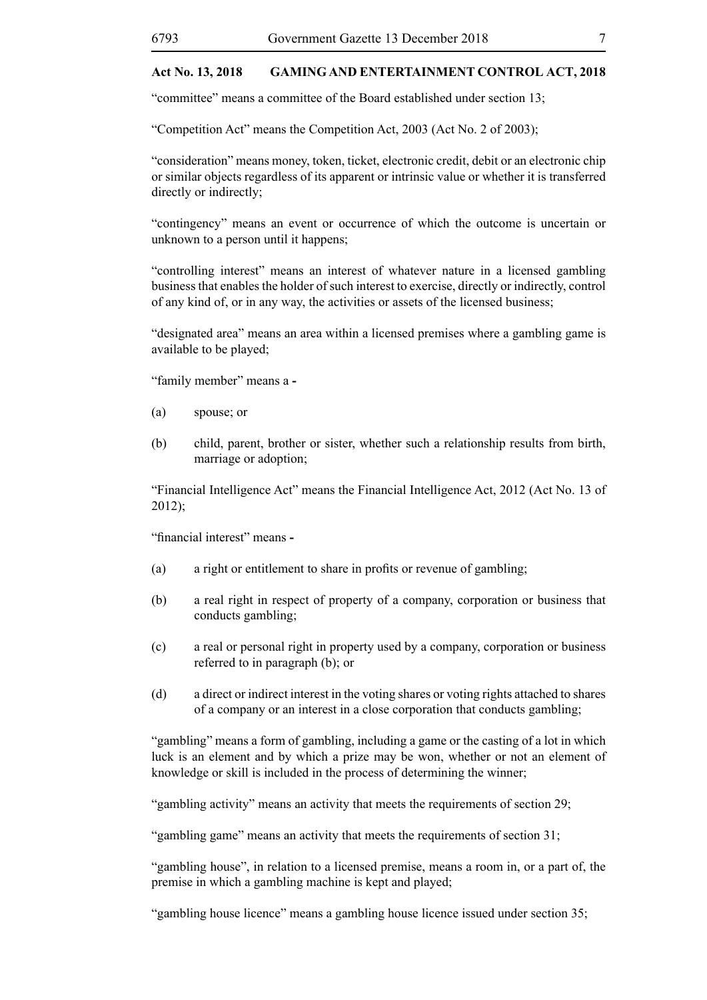"committee" means a committee of the Board established under section 13;

"Competition Act" means the Competition Act, 2003 (Act No. 2 of 2003);

"consideration" means money, token, ticket, electronic credit, debit or an electronic chip or similar objects regardless of its apparent or intrinsic value or whether it is transferred directly or indirectly;

"contingency" means an event or occurrence of which the outcome is uncertain or unknown to a person until it happens;

"controlling interest" means an interest of whatever nature in a licensed gambling business that enables the holder of such interest to exercise, directly or indirectly, control of any kind of, or in any way, the activities or assets of the licensed business;

"designated area" means an area within a licensed premises where a gambling game is available to be played;

"family member" means a **-**

- (a) spouse; or
- (b) child, parent, brother or sister, whether such a relationship results from birth, marriage or adoption;

"Financial Intelligence Act" means the Financial Intelligence Act, 2012 (Act No. 13 of 2012);

"financial interest" means **-**

- (a) a right or entitlement to share in profits or revenue of gambling;
- (b) a real right in respect of property of a company, corporation or business that conducts gambling;
- (c) a real or personal right in property used by a company, corporation or business referred to in paragraph (b); or
- (d) a direct or indirect interest in the voting shares or voting rights attached to shares of a company or an interest in a close corporation that conducts gambling;

"gambling" means a form of gambling, including a game or the casting of a lot in which luck is an element and by which a prize may be won, whether or not an element of knowledge or skill is included in the process of determining the winner;

"gambling activity" means an activity that meets the requirements of section 29;

"gambling game" means an activity that meets the requirements of section 31;

"gambling house", in relation to a licensed premise, means a room in, or a part of, the premise in which a gambling machine is kept and played;

"gambling house licence" means a gambling house licence issued under section 35;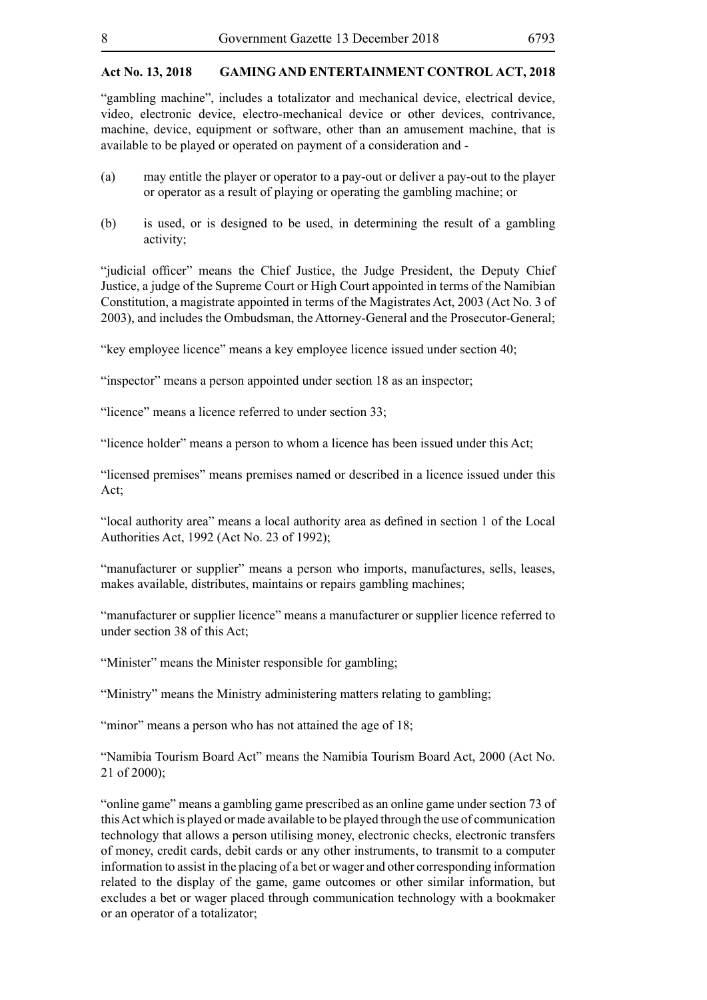"gambling machine", includes a totalizator and mechanical device, electrical device, video, electronic device, electro-mechanical device or other devices, contrivance, machine, device, equipment or software, other than an amusement machine, that is available to be played or operated on payment of a consideration and -

- (a) may entitle the player or operator to a pay-out or deliver a pay-out to the player or operator as a result of playing or operating the gambling machine; or
- (b) is used, or is designed to be used, in determining the result of a gambling activity;

"judicial officer" means the Chief Justice, the Judge President, the Deputy Chief Justice, a judge of the Supreme Court or High Court appointed in terms of the Namibian Constitution, a magistrate appointed in terms of the Magistrates Act, 2003 (Act No. 3 of 2003), and includes the Ombudsman, the Attorney-General and the Prosecutor-General;

"key employee licence" means a key employee licence issued under section 40;

"inspector" means a person appointed under section 18 as an inspector;

"licence" means a licence referred to under section 33;

"licence holder" means a person to whom a licence has been issued under this Act;

"licensed premises" means premises named or described in a licence issued under this Act;

"local authority area" means a local authority area as defined in section 1 of the Local Authorities Act, 1992 (Act No. 23 of 1992);

"manufacturer or supplier" means a person who imports, manufactures, sells, leases, makes available, distributes, maintains or repairs gambling machines;

"manufacturer or supplier licence" means a manufacturer or supplier licence referred to under section 38 of this Act;

"Minister" means the Minister responsible for gambling;

"Ministry" means the Ministry administering matters relating to gambling;

"minor" means a person who has not attained the age of 18;

"Namibia Tourism Board Act" means the Namibia Tourism Board Act, 2000 (Act No. 21 of 2000);

"online game" means a gambling game prescribed as an online game under section 73 of this Act which is played or made available to be played through the use of communication technology that allows a person utilising money, electronic checks, electronic transfers of money, credit cards, debit cards or any other instruments, to transmit to a computer information to assist in the placing of a bet or wager and other corresponding information related to the display of the game, game outcomes or other similar information, but excludes a bet or wager placed through communication technology with a bookmaker or an operator of a totalizator;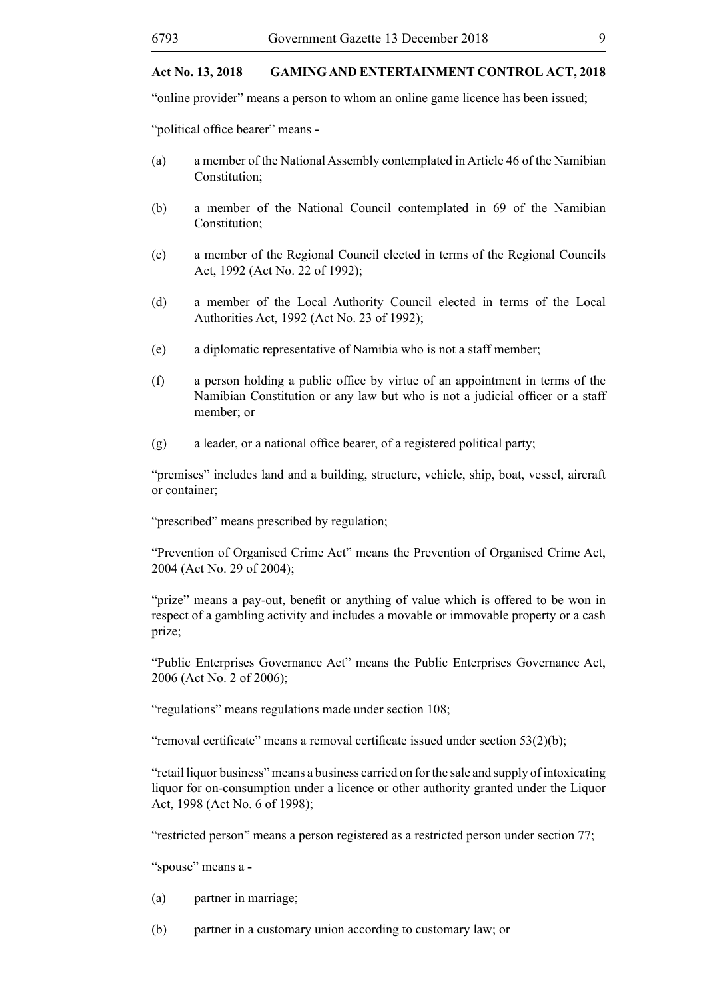"online provider" means a person to whom an online game licence has been issued;

"political office bearer" means **-**

- (a) a member of the National Assembly contemplated in Article 46 of the Namibian Constitution;
- (b) a member of the National Council contemplated in 69 of the Namibian Constitution;
- (c) a member of the Regional Council elected in terms of the Regional Councils Act, 1992 (Act No. 22 of 1992);
- (d) a member of the Local Authority Council elected in terms of the Local Authorities Act, 1992 (Act No. 23 of 1992);
- (e) a diplomatic representative of Namibia who is not a staff member;
- (f) a person holding a public office by virtue of an appointment in terms of the Namibian Constitution or any law but who is not a judicial officer or a staff member: or
- (g) a leader, or a national office bearer, of a registered political party;

"premises" includes land and a building, structure, vehicle, ship, boat, vessel, aircraft or container;

"prescribed" means prescribed by regulation;

"Prevention of Organised Crime Act" means the Prevention of Organised Crime Act, 2004 (Act No. 29 of 2004);

"prize" means a pay-out, benefit or anything of value which is offered to be won in respect of a gambling activity and includes a movable or immovable property or a cash prize;

"Public Enterprises Governance Act" means the Public Enterprises Governance Act, 2006 (Act No. 2 of 2006);

"regulations" means regulations made under section 108;

"removal certificate" means a removal certificate issued under section 53(2)(b);

"retail liquor business" means a business carried on for the sale and supply of intoxicating liquor for on-consumption under a licence or other authority granted under the Liquor Act, 1998 (Act No. 6 of 1998);

"restricted person" means a person registered as a restricted person under section 77;

"spouse" means a **-**

(a) partner in marriage;

(b) partner in a customary union according to customary law; or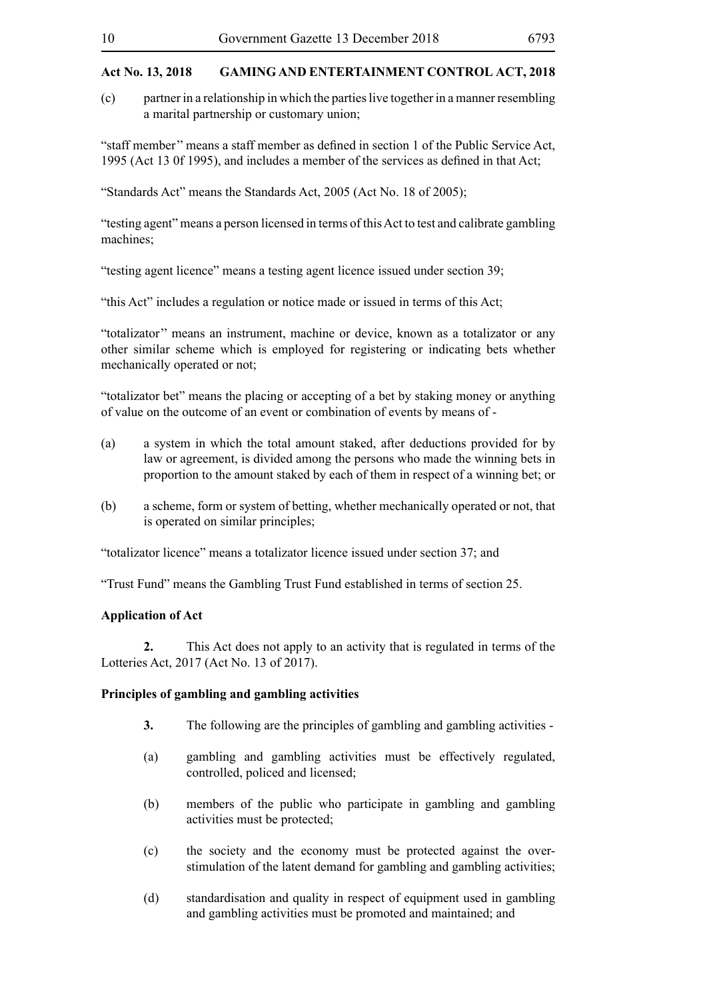(c) partner in a relationship in which the parties live together in a manner resembling a marital partnership or customary union;

"staff member'' means a staff member as defined in section 1 of the Public Service Act, 1995 (Act 13 0f 1995), and includes a member of the services as defined in that Act;

"Standards Act" means the Standards Act, 2005 (Act No. 18 of 2005);

"testing agent" means a person licensed in terms of this Act to test and calibrate gambling machines;

"testing agent licence" means a testing agent licence issued under section 39;

"this Act" includes a regulation or notice made or issued in terms of this Act;

"totalizator'' means an instrument, machine or device, known as a totalizator or any other similar scheme which is employed for registering or indicating bets whether mechanically operated or not;

"totalizator bet" means the placing or accepting of a bet by staking money or anything of value on the outcome of an event or combination of events by means of -

- (a) a system in which the total amount staked, after deductions provided for by law or agreement, is divided among the persons who made the winning bets in proportion to the amount staked by each of them in respect of a winning bet; or
- (b) a scheme, form or system of betting, whether mechanically operated or not, that is operated on similar principles;

"totalizator licence" means a totalizator licence issued under section 37; and

"Trust Fund" means the Gambling Trust Fund established in terms of section 25.

# **Application of Act**

**2.** This Act does not apply to an activity that is regulated in terms of the Lotteries Act, 2017 (Act No. 13 of 2017).

# **Principles of gambling and gambling activities**

- **3.** The following are the principles of gambling and gambling activities -
- (a) gambling and gambling activities must be effectively regulated, controlled, policed and licensed;
- (b) members of the public who participate in gambling and gambling activities must be protected;
- (c) the society and the economy must be protected against the overstimulation of the latent demand for gambling and gambling activities;
- (d) standardisation and quality in respect of equipment used in gambling and gambling activities must be promoted and maintained; and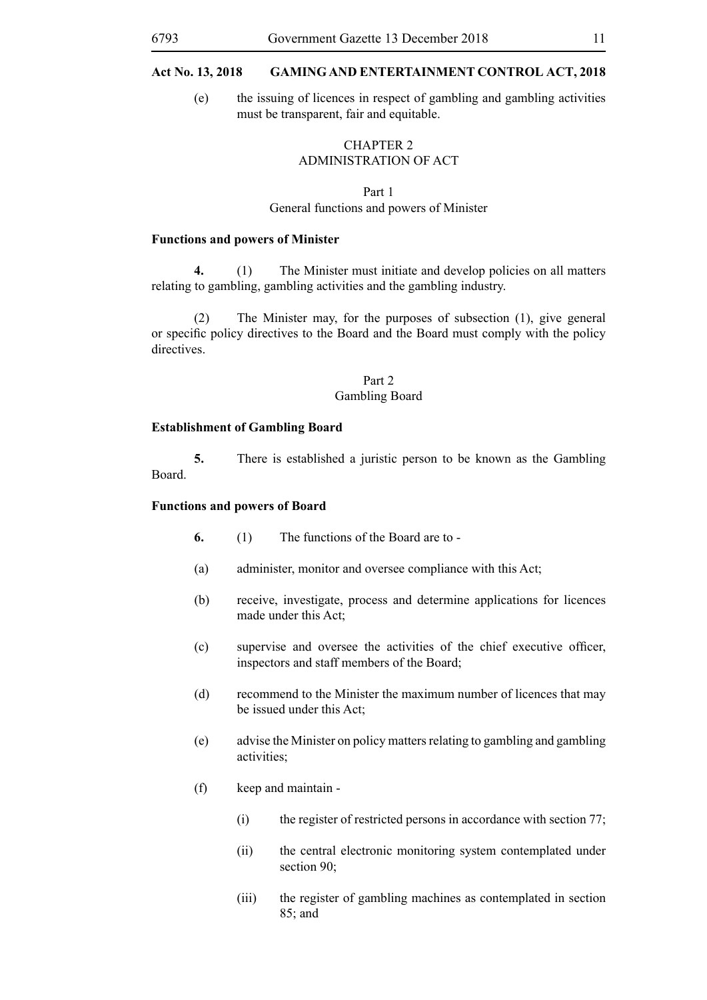(e) the issuing of licences in respect of gambling and gambling activities must be transparent, fair and equitable.

# CHAPTER 2 ADMINISTRATION OF ACT

#### Part 1 General functions and powers of Minister

#### **Functions and powers of Minister**

**4.** (1) The Minister must initiate and develop policies on all matters relating to gambling, gambling activities and the gambling industry.

(2) The Minister may, for the purposes of subsection (1), give general or specific policy directives to the Board and the Board must comply with the policy directives.

# Part 2

# Gambling Board

# **Establishment of Gambling Board**

**5.** There is established a juristic person to be known as the Gambling Board.

# **Functions and powers of Board**

- **6.** (1) The functions of the Board are to -
- (a) administer, monitor and oversee compliance with this Act;
- (b) receive, investigate, process and determine applications for licences made under this Act;
- (c) supervise and oversee the activities of the chief executive officer, inspectors and staff members of the Board;
- (d) recommend to the Minister the maximum number of licences that may be issued under this Act;
- (e) advise the Minister on policy matters relating to gambling and gambling activities;
- (f) keep and maintain
	- (i) the register of restricted persons in accordance with section 77;
	- (ii) the central electronic monitoring system contemplated under section 90:
	- (iii) the register of gambling machines as contemplated in section 85; and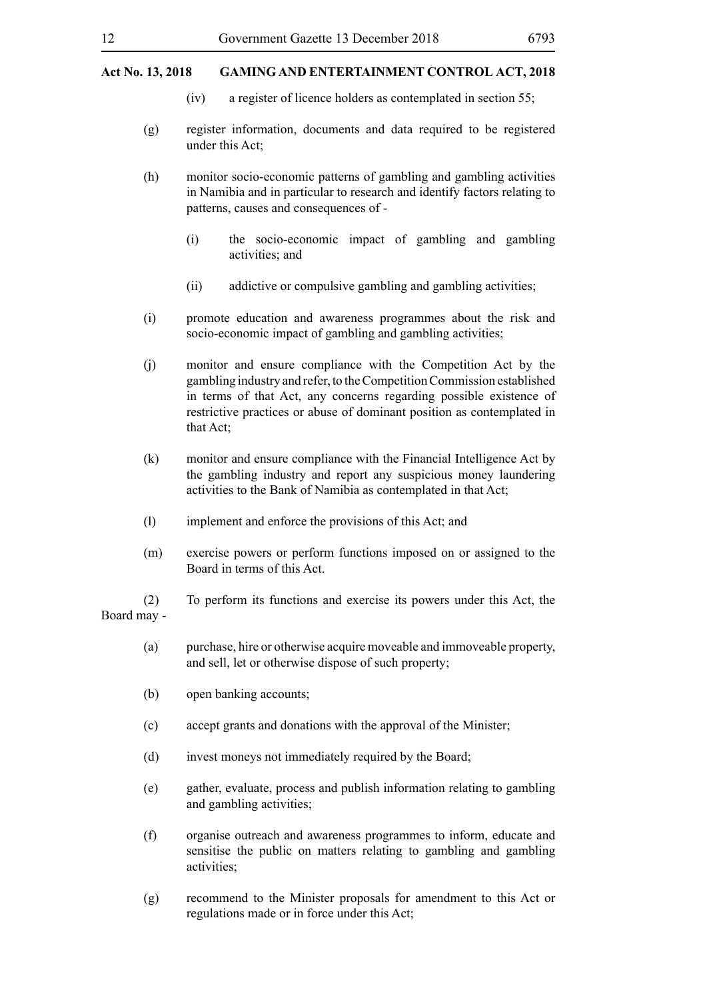- (iv) a register of licence holders as contemplated in section 55;
- (g) register information, documents and data required to be registered under this Act;
- (h) monitor socio-economic patterns of gambling and gambling activities in Namibia and in particular to research and identify factors relating to patterns, causes and consequences of -
	- (i) the socio-economic impact of gambling and gambling activities; and
	- (ii) addictive or compulsive gambling and gambling activities;
- (i) promote education and awareness programmes about the risk and socio-economic impact of gambling and gambling activities;
- (j) monitor and ensure compliance with the Competition Act by the gambling industry and refer, to the Competition Commission established in terms of that Act, any concerns regarding possible existence of restrictive practices or abuse of dominant position as contemplated in that Act;
- (k) monitor and ensure compliance with the Financial Intelligence Act by the gambling industry and report any suspicious money laundering activities to the Bank of Namibia as contemplated in that Act;
- (l) implement and enforce the provisions of this Act; and
- (m) exercise powers or perform functions imposed on or assigned to the Board in terms of this Act.
- (2) To perform its functions and exercise its powers under this Act, the Board may -
	- (a) purchase, hire or otherwise acquire moveable and immoveable property, and sell, let or otherwise dispose of such property;
	- (b) open banking accounts;
	- (c) accept grants and donations with the approval of the Minister;
	- (d) invest moneys not immediately required by the Board;
	- (e) gather, evaluate, process and publish information relating to gambling and gambling activities;
	- (f) organise outreach and awareness programmes to inform, educate and sensitise the public on matters relating to gambling and gambling activities;
	- (g) recommend to the Minister proposals for amendment to this Act or regulations made or in force under this Act;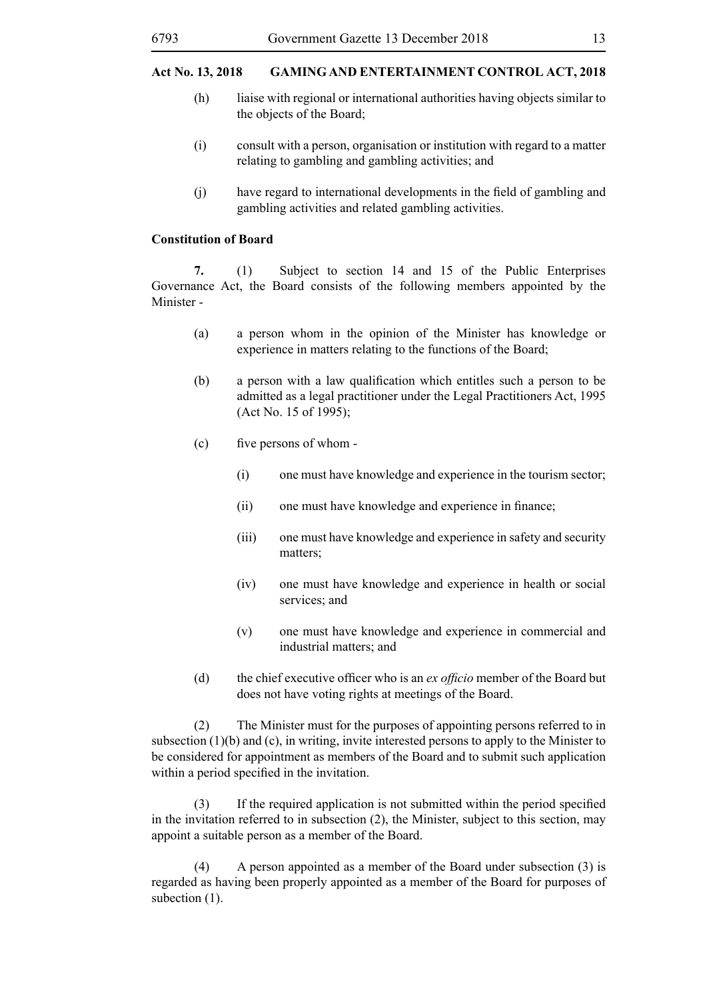- (h) liaise with regional or international authorities having objects similar to the objects of the Board;
- (i) consult with a person, organisation or institution with regard to a matter relating to gambling and gambling activities; and
- (j) have regard to international developments in the field of gambling and gambling activities and related gambling activities.

#### **Constitution of Board**

**7.** (1) Subject to section 14 and 15 of the Public Enterprises Governance Act, the Board consists of the following members appointed by the Minister -

- (a) a person whom in the opinion of the Minister has knowledge or experience in matters relating to the functions of the Board;
- (b) a person with a law qualification which entitles such a person to be admitted as a legal practitioner under the Legal Practitioners Act, 1995 (Act No. 15 of 1995);
- (c) five persons of whom
	- (i) one must have knowledge and experience in the tourism sector;
	- (ii) one must have knowledge and experience in finance;
	- (iii) one must have knowledge and experience in safety and security matters;
	- (iv) one must have knowledge and experience in health or social services; and
	- (v) one must have knowledge and experience in commercial and industrial matters; and
- (d) the chief executive officer who is an *ex officio* member of the Board but does not have voting rights at meetings of the Board.

(2) The Minister must for the purposes of appointing persons referred to in subsection (1)(b) and (c), in writing, invite interested persons to apply to the Minister to be considered for appointment as members of the Board and to submit such application within a period specified in the invitation.

(3) If the required application is not submitted within the period specified in the invitation referred to in subsection (2), the Minister, subject to this section, may appoint a suitable person as a member of the Board.

(4) A person appointed as a member of the Board under subsection (3) is regarded as having been properly appointed as a member of the Board for purposes of subection  $(1)$ .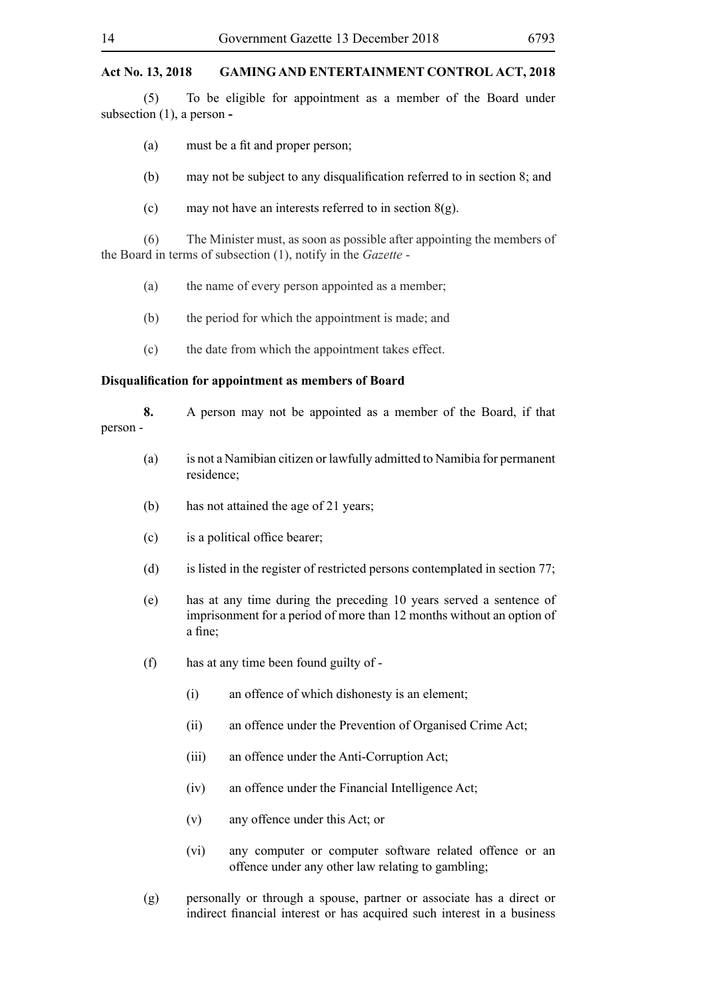(5) To be eligible for appointment as a member of the Board under subsection (1), a person **-**

- (a) must be a fit and proper person;
- (b) may not be subject to any disqualification referred to in section 8; and
- (c) may not have an interests referred to in section  $8(g)$ .

(6) The Minister must, as soon as possible after appointing the members of the Board in terms of subsection (1), notify in the *Gazette* -

- (a) the name of every person appointed as a member;
- (b) the period for which the appointment is made; and
- (c) the date from which the appointment takes effect.

#### **Disqualification for appointment as members of Board**

**8.** A person may not be appointed as a member of the Board, if that person -

- (a) is not a Namibian citizen or lawfully admitted to Namibia for permanent residence;
- (b) has not attained the age of 21 years;
- (c) is a political office bearer;
- (d) is listed in the register of restricted persons contemplated in section 77;
- (e) has at any time during the preceding 10 years served a sentence of imprisonment for a period of more than 12 months without an option of a fine;
- (f) has at any time been found guilty of
	- (i) an offence of which dishonesty is an element;
	- (ii) an offence under the Prevention of Organised Crime Act;
	- (iii) an offence under the Anti-Corruption Act;
	- (iv) an offence under the Financial Intelligence Act;
	- (v) any offence under this Act; or
	- (vi) any computer or computer software related offence or an offence under any other law relating to gambling;
- (g) personally or through a spouse, partner or associate has a direct or indirect financial interest or has acquired such interest in a business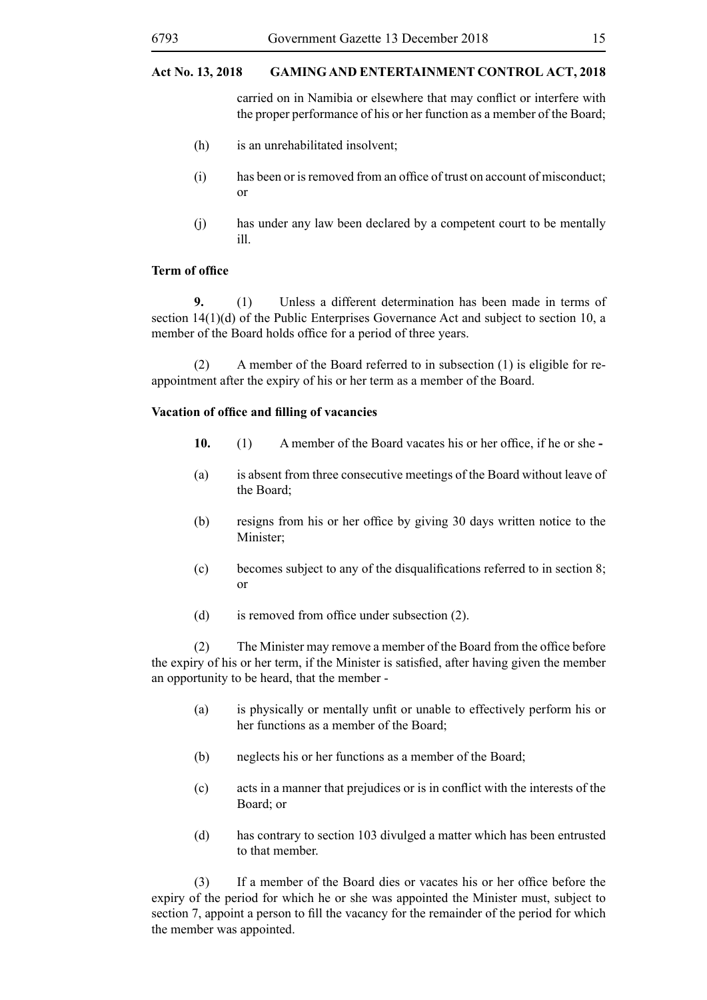carried on in Namibia or elsewhere that may conflict or interfere with the proper performance of his or her function as a member of the Board;

- (h) is an unrehabilitated insolvent;
- (i) has been or is removed from an office of trust on account of misconduct; or
- (j) has under any law been declared by a competent court to be mentally ill.

### **Term of office**

**9.** (1) Unless a different determination has been made in terms of section 14(1)(d) of the Public Enterprises Governance Act and subject to section 10, a member of the Board holds office for a period of three years.

(2) A member of the Board referred to in subsection (1) is eligible for reappointment after the expiry of his or her term as a member of the Board.

# **Vacation of office and filling of vacancies**

- **10.** (1) A member of the Board vacates his or her office, if he or she **-**
- (a) is absent from three consecutive meetings of the Board without leave of the Board;
- (b) resigns from his or her office by giving 30 days written notice to the Minister;
- (c) becomes subject to any of the disqualifications referred to in section 8; or
- (d) is removed from office under subsection (2).

(2) The Minister may remove a member of the Board from the office before the expiry of his or her term, if the Minister is satisfied, after having given the member an opportunity to be heard, that the member -

- (a) is physically or mentally unfit or unable to effectively perform his or her functions as a member of the Board;
- (b) neglects his or her functions as a member of the Board;
- (c) acts in a manner that prejudices or is in conflict with the interests of the Board; or
- (d) has contrary to section 103 divulged a matter which has been entrusted to that member.

(3) If a member of the Board dies or vacates his or her office before the expiry of the period for which he or she was appointed the Minister must, subject to section 7, appoint a person to fill the vacancy for the remainder of the period for which the member was appointed.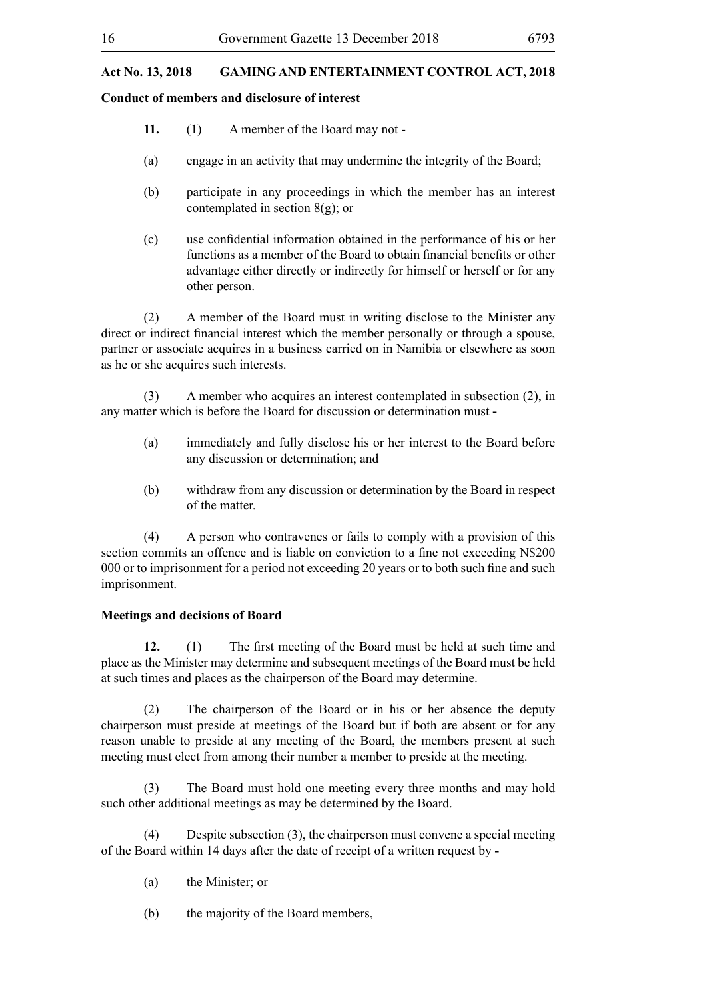# **Conduct of members and disclosure of interest**

- **11.** (1) A member of the Board may not -
- (a) engage in an activity that may undermine the integrity of the Board;
- (b) participate in any proceedings in which the member has an interest contemplated in section 8(g); or
- (c) use confidential information obtained in the performance of his or her functions as a member of the Board to obtain financial benefits or other advantage either directly or indirectly for himself or herself or for any other person.

(2) A member of the Board must in writing disclose to the Minister any direct or indirect financial interest which the member personally or through a spouse, partner or associate acquires in a business carried on in Namibia or elsewhere as soon as he or she acquires such interests.

(3) A member who acquires an interest contemplated in subsection (2), in any matter which is before the Board for discussion or determination must **-**

- (a) immediately and fully disclose his or her interest to the Board before any discussion or determination; and
- (b) withdraw from any discussion or determination by the Board in respect of the matter.

(4) A person who contravenes or fails to comply with a provision of this section commits an offence and is liable on conviction to a fine not exceeding N\$200 000 or to imprisonment for a period not exceeding 20 years or to both such fine and such imprisonment.

# **Meetings and decisions of Board**

**12.** (1) The first meeting of the Board must be held at such time and place as the Minister may determine and subsequent meetings of the Board must be held at such times and places as the chairperson of the Board may determine.

(2) The chairperson of the Board or in his or her absence the deputy chairperson must preside at meetings of the Board but if both are absent or for any reason unable to preside at any meeting of the Board, the members present at such meeting must elect from among their number a member to preside at the meeting.

(3) The Board must hold one meeting every three months and may hold such other additional meetings as may be determined by the Board.

(4) Despite subsection (3), the chairperson must convene a special meeting of the Board within 14 days after the date of receipt of a written request by **-**

- (a) the Minister; or
- (b) the majority of the Board members,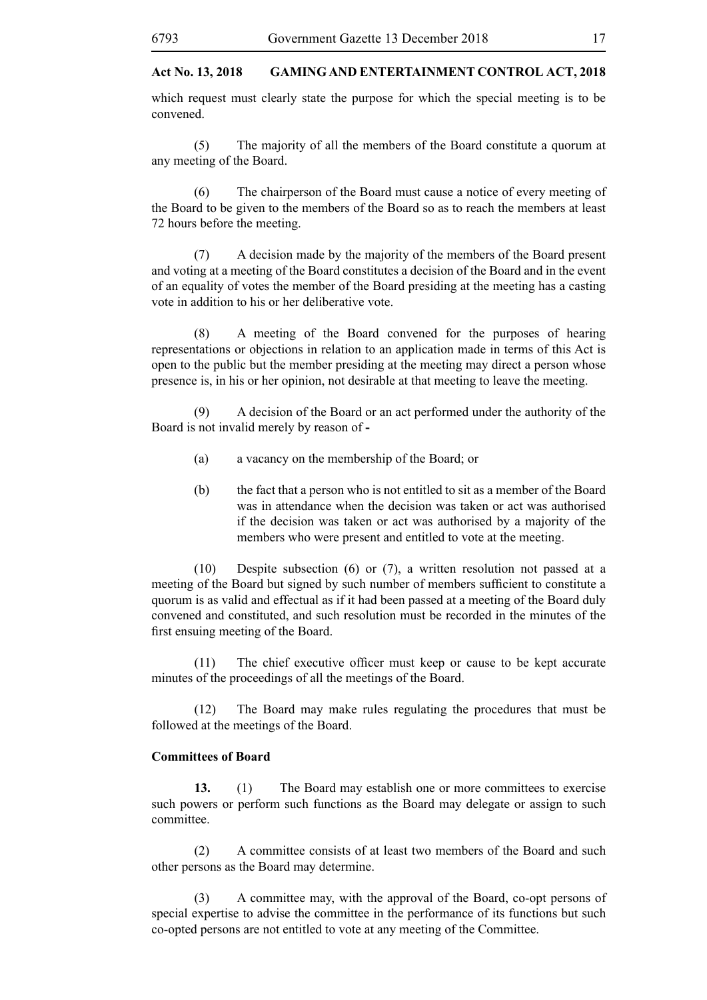which request must clearly state the purpose for which the special meeting is to be convened.

(5) The majority of all the members of the Board constitute a quorum at any meeting of the Board.

(6) The chairperson of the Board must cause a notice of every meeting of the Board to be given to the members of the Board so as to reach the members at least 72 hours before the meeting.

(7) A decision made by the majority of the members of the Board present and voting at a meeting of the Board constitutes a decision of the Board and in the event of an equality of votes the member of the Board presiding at the meeting has a casting vote in addition to his or her deliberative vote.

(8) A meeting of the Board convened for the purposes of hearing representations or objections in relation to an application made in terms of this Act is open to the public but the member presiding at the meeting may direct a person whose presence is, in his or her opinion, not desirable at that meeting to leave the meeting.

(9) A decision of the Board or an act performed under the authority of the Board is not invalid merely by reason of **-**

- (a) a vacancy on the membership of the Board; or
- (b) the fact that a person who is not entitled to sit as a member of the Board was in attendance when the decision was taken or act was authorised if the decision was taken or act was authorised by a majority of the members who were present and entitled to vote at the meeting.

(10) Despite subsection (6) or (7), a written resolution not passed at a meeting of the Board but signed by such number of members sufficient to constitute a quorum is as valid and effectual as if it had been passed at a meeting of the Board duly convened and constituted, and such resolution must be recorded in the minutes of the first ensuing meeting of the Board.

(11) The chief executive officer must keep or cause to be kept accurate minutes of the proceedings of all the meetings of the Board.

(12) The Board may make rules regulating the procedures that must be followed at the meetings of the Board.

#### **Committees of Board**

**13.** (1) The Board may establish one or more committees to exercise such powers or perform such functions as the Board may delegate or assign to such committee.

(2) A committee consists of at least two members of the Board and such other persons as the Board may determine.

(3) A committee may, with the approval of the Board, co-opt persons of special expertise to advise the committee in the performance of its functions but such co-opted persons are not entitled to vote at any meeting of the Committee.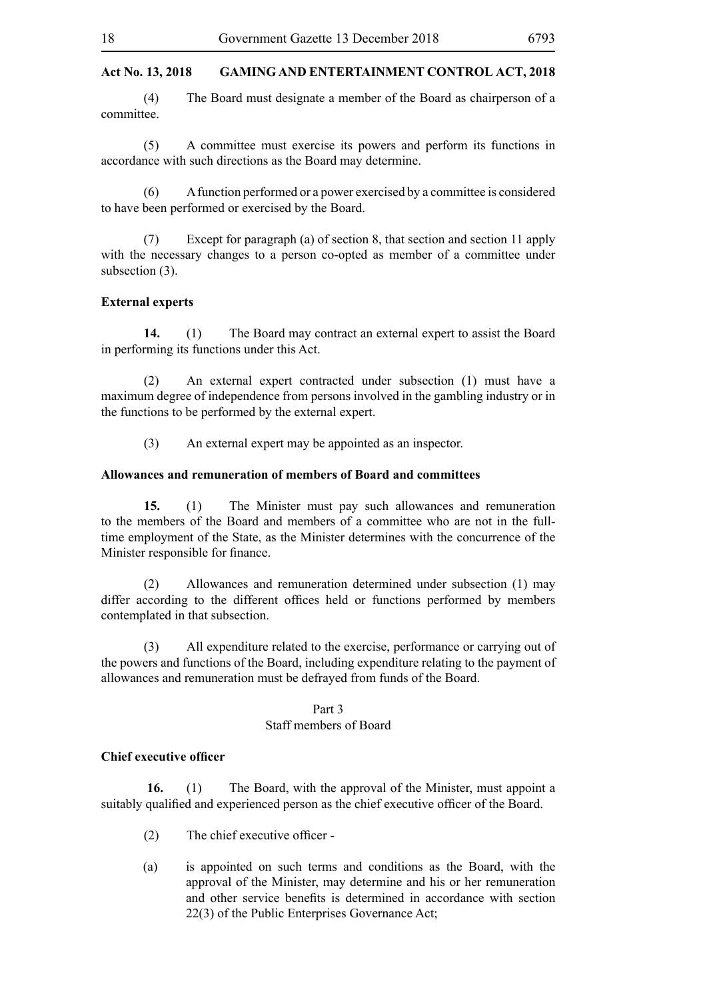(4) The Board must designate a member of the Board as chairperson of a committee.

(5) A committee must exercise its powers and perform its functions in accordance with such directions as the Board may determine.

(6) A function performed or a power exercised by a committee is considered to have been performed or exercised by the Board.

(7) Except for paragraph (a) of section 8, that section and section 11 apply with the necessary changes to a person co-opted as member of a committee under subsection (3).

#### **External experts**

**14.** (1) The Board may contract an external expert to assist the Board in performing its functions under this Act.

(2) An external expert contracted under subsection (1) must have a maximum degree of independence from persons involved in the gambling industry or in the functions to be performed by the external expert.

(3) An external expert may be appointed as an inspector.

#### **Allowances and remuneration of members of Board and committees**

**15.** (1) The Minister must pay such allowances and remuneration to the members of the Board and members of a committee who are not in the fulltime employment of the State, as the Minister determines with the concurrence of the Minister responsible for finance.

(2) Allowances and remuneration determined under subsection (1) may differ according to the different offices held or functions performed by members contemplated in that subsection.

(3) All expenditure related to the exercise, performance or carrying out of the powers and functions of the Board, including expenditure relating to the payment of allowances and remuneration must be defrayed from funds of the Board.

# Part 3 Staff members of Board

#### **Chief executive officer**

 **16.** (1) The Board, with the approval of the Minister, must appoint a suitably qualified and experienced person as the chief executive officer of the Board.

- (2) The chief executive officer -
- (a) is appointed on such terms and conditions as the Board, with the approval of the Minister, may determine and his or her remuneration and other service benefits is determined in accordance with section 22(3) of the Public Enterprises Governance Act;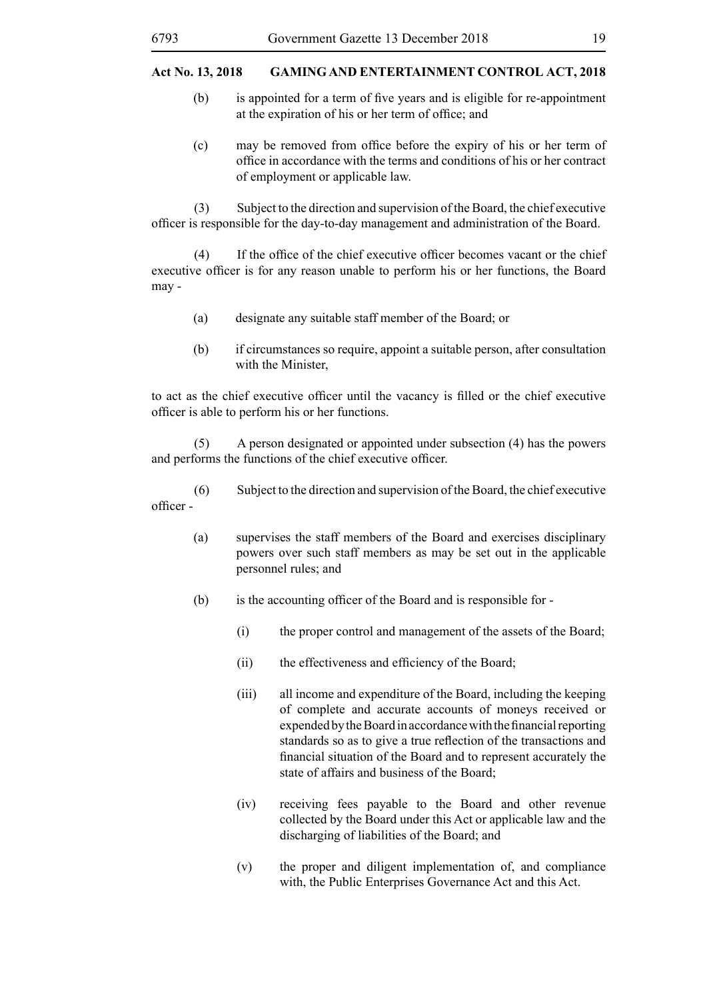- (b) is appointed for a term of five years and is eligible for re-appointment at the expiration of his or her term of office; and
- (c) may be removed from office before the expiry of his or her term of office in accordance with the terms and conditions of his or her contract of employment or applicable law.

(3) Subject to the direction and supervision of the Board, the chief executive officer is responsible for the day-to-day management and administration of the Board.

(4) If the office of the chief executive officer becomes vacant or the chief executive officer is for any reason unable to perform his or her functions, the Board may -

- (a) designate any suitable staff member of the Board; or
- (b) if circumstances so require, appoint a suitable person, after consultation with the Minister,

to act as the chief executive officer until the vacancy is filled or the chief executive officer is able to perform his or her functions.

(5) A person designated or appointed under subsection (4) has the powers and performs the functions of the chief executive officer.

(6) Subject to the direction and supervision of the Board, the chief executive officer -

- (a) supervises the staff members of the Board and exercises disciplinary powers over such staff members as may be set out in the applicable personnel rules; and
- (b) is the accounting officer of the Board and is responsible for
	- (i) the proper control and management of the assets of the Board;
	- (ii) the effectiveness and efficiency of the Board;
	- (iii) all income and expenditure of the Board, including the keeping of complete and accurate accounts of moneys received or expended by the Board in accordance with the financial reporting standards so as to give a true reflection of the transactions and financial situation of the Board and to represent accurately the state of affairs and business of the Board;
	- (iv) receiving fees payable to the Board and other revenue collected by the Board under this Act or applicable law and the discharging of liabilities of the Board; and
	- (v) the proper and diligent implementation of, and compliance with, the Public Enterprises Governance Act and this Act.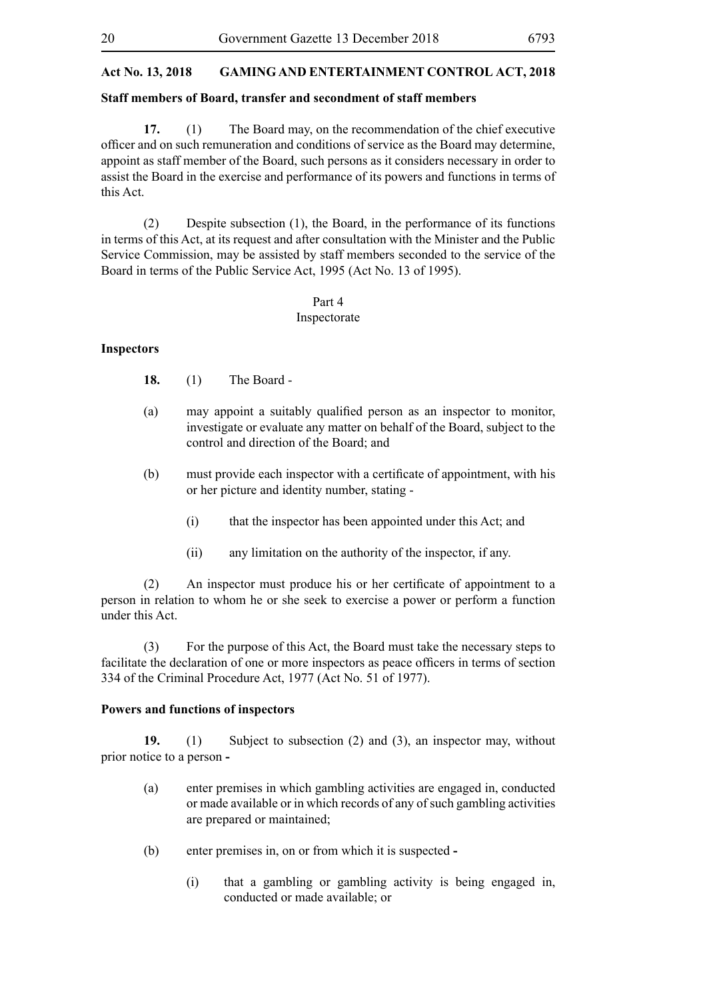#### **Staff members of Board, transfer and secondment of staff members**

**17.** (1) The Board may, on the recommendation of the chief executive officer and on such remuneration and conditions of service as the Board may determine, appoint as staff member of the Board, such persons as it considers necessary in order to assist the Board in the exercise and performance of its powers and functions in terms of this Act.

(2) Despite subsection (1), the Board, in the performance of its functions in terms of this Act, at its request and after consultation with the Minister and the Public Service Commission, may be assisted by staff members seconded to the service of the Board in terms of the Public Service Act, 1995 (Act No. 13 of 1995).

## Part 4 Inspectorate

#### **Inspectors**

- **18.** (1) The Board -
- (a) may appoint a suitably qualified person as an inspector to monitor, investigate or evaluate any matter on behalf of the Board, subject to the control and direction of the Board; and
- (b) must provide each inspector with a certificate of appointment, with his or her picture and identity number, stating -
	- (i) that the inspector has been appointed under this Act; and
	- (ii) any limitation on the authority of the inspector, if any.

(2) An inspector must produce his or her certificate of appointment to a person in relation to whom he or she seek to exercise a power or perform a function under this Act.

(3) For the purpose of this Act, the Board must take the necessary steps to facilitate the declaration of one or more inspectors as peace officers in terms of section 334 of the Criminal Procedure Act, 1977 (Act No. 51 of 1977).

#### **Powers and functions of inspectors**

**19.** (1) Subject to subsection (2) and (3), an inspector may, without prior notice to a person **-**

- (a) enter premises in which gambling activities are engaged in, conducted or made available or in which records of any of such gambling activities are prepared or maintained;
- (b) enter premises in, on or from which it is suspected **-**
	- (i) that a gambling or gambling activity is being engaged in, conducted or made available; or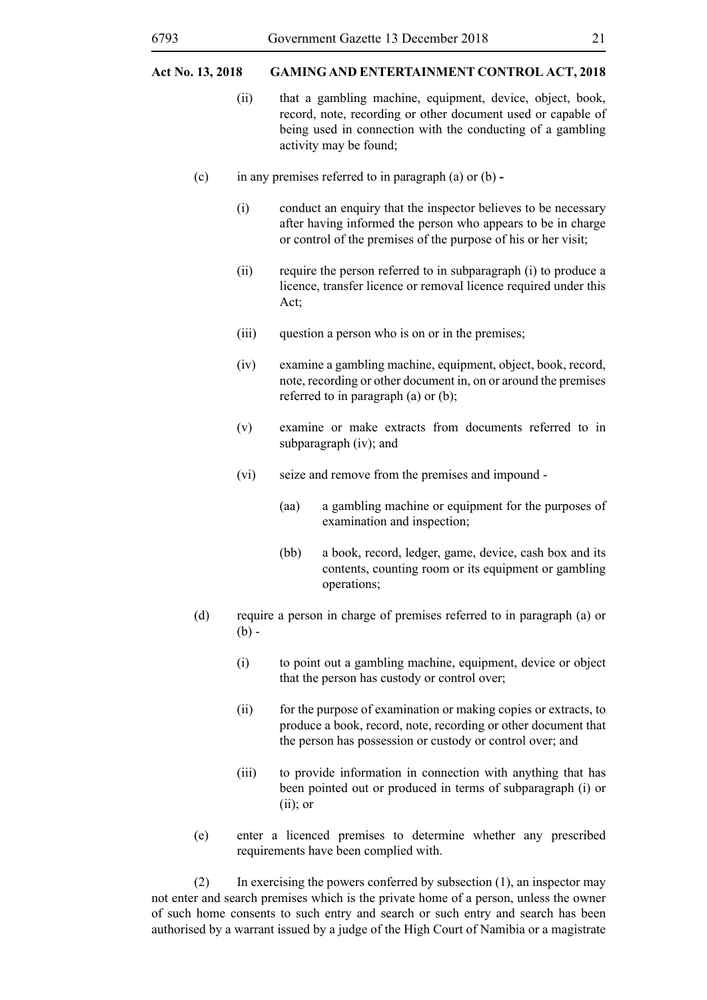#### 6793 Government Gazette 13 December 2018 21

# **Act No. 13, 2018 GAMING AND ENTERTAINMENT CONTROL ACT, 2018**

- (ii) that a gambling machine, equipment, device, object, book, record, note, recording or other document used or capable of being used in connection with the conducting of a gambling activity may be found;
- (c) in any premises referred to in paragraph (a) or (b) **-**
	- (i) conduct an enquiry that the inspector believes to be necessary after having informed the person who appears to be in charge or control of the premises of the purpose of his or her visit;
	- (ii) require the person referred to in subparagraph (i) to produce a licence, transfer licence or removal licence required under this Act;
	- (iii) question a person who is on or in the premises;
	- (iv) examine a gambling machine, equipment, object, book, record, note, recording or other document in, on or around the premises referred to in paragraph (a) or (b);
	- (v) examine or make extracts from documents referred to in subparagraph (iv); and
	- (vi) seize and remove from the premises and impound
		- (aa) a gambling machine or equipment for the purposes of examination and inspection;
		- (bb) a book, record, ledger, game, device, cash box and its contents, counting room or its equipment or gambling operations;
- (d) require a person in charge of premises referred to in paragraph (a) or  $(b)$  -
	- (i) to point out a gambling machine, equipment, device or object that the person has custody or control over;
	- (ii) for the purpose of examination or making copies or extracts, to produce a book, record, note, recording or other document that the person has possession or custody or control over; and
	- (iii) to provide information in connection with anything that has been pointed out or produced in terms of subparagraph (i) or  $(ii)$ ; or
- (e) enter a licenced premises to determine whether any prescribed requirements have been complied with.

(2) In exercising the powers conferred by subsection (1), an inspector may not enter and search premises which is the private home of a person, unless the owner of such home consents to such entry and search or such entry and search has been authorised by a warrant issued by a judge of the High Court of Namibia or a magistrate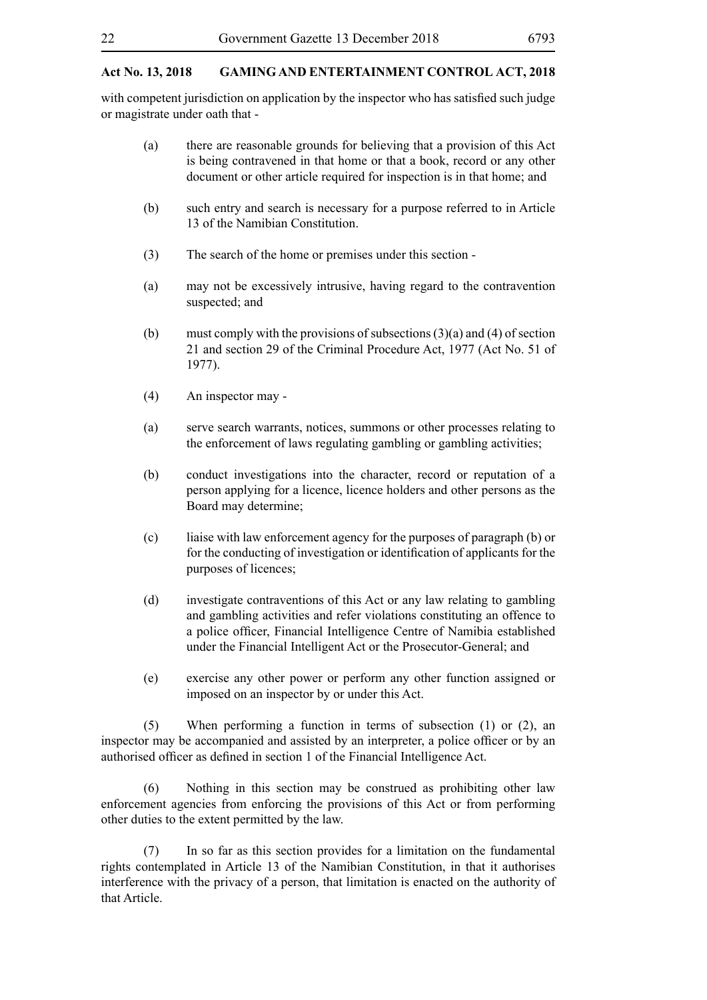with competent jurisdiction on application by the inspector who has satisfied such judge or magistrate under oath that -

- (a) there are reasonable grounds for believing that a provision of this Act is being contravened in that home or that a book, record or any other document or other article required for inspection is in that home; and
- (b) such entry and search is necessary for a purpose referred to in Article 13 of the Namibian Constitution.
- (3) The search of the home or premises under this section -
- (a) may not be excessively intrusive, having regard to the contravention suspected; and
- (b) must comply with the provisions of subsections  $(3)(a)$  and  $(4)$  of section 21 and section 29 of the Criminal Procedure Act, 1977 (Act No. 51 of 1977).
- (4) An inspector may -
- (a) serve search warrants, notices, summons or other processes relating to the enforcement of laws regulating gambling or gambling activities;
- (b) conduct investigations into the character, record or reputation of a person applying for a licence, licence holders and other persons as the Board may determine;
- (c) liaise with law enforcement agency for the purposes of paragraph (b) or for the conducting of investigation or identification of applicants for the purposes of licences;
- (d) investigate contraventions of this Act or any law relating to gambling and gambling activities and refer violations constituting an offence to a police officer, Financial Intelligence Centre of Namibia established under the Financial Intelligent Act or the Prosecutor-General; and
- (e) exercise any other power or perform any other function assigned or imposed on an inspector by or under this Act.

(5) When performing a function in terms of subsection (1) or (2), an inspector may be accompanied and assisted by an interpreter, a police officer or by an authorised officer as defined in section 1 of the Financial Intelligence Act.

(6) Nothing in this section may be construed as prohibiting other law enforcement agencies from enforcing the provisions of this Act or from performing other duties to the extent permitted by the law.

(7) In so far as this section provides for a limitation on the fundamental rights contemplated in Article 13 of the Namibian Constitution, in that it authorises interference with the privacy of a person, that limitation is enacted on the authority of that Article.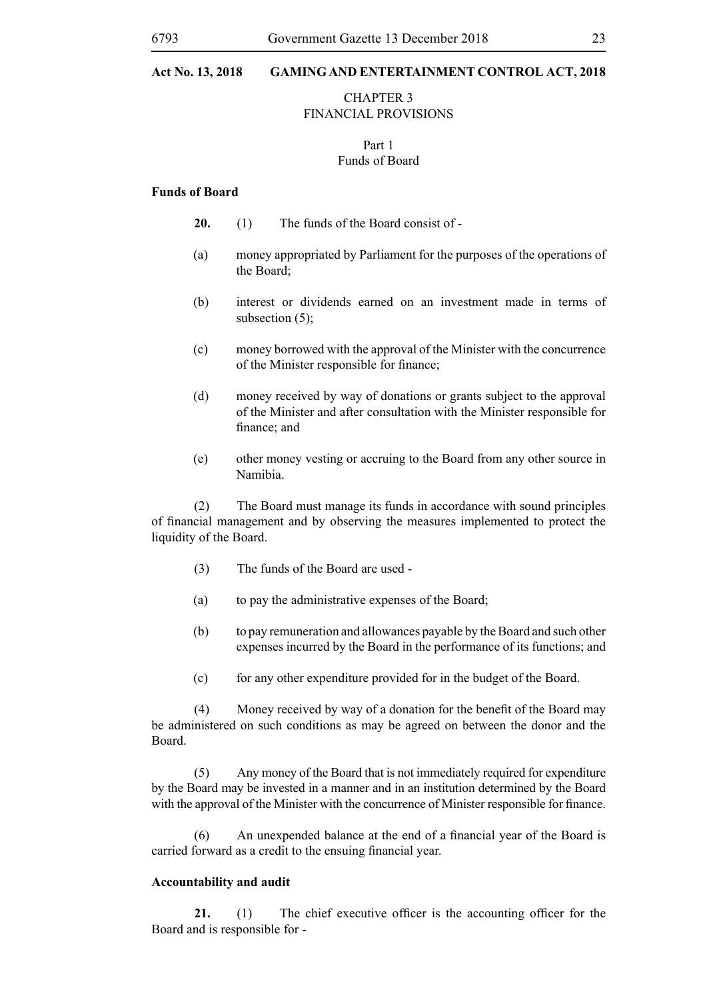# CHAPTER 3 FINANCIAL PROVISIONS

# Part 1 Funds of Board

#### **Funds of Board**

- **20.** (1) The funds of the Board consist of -
- (a) money appropriated by Parliament for the purposes of the operations of the Board;
- (b) interest or dividends earned on an investment made in terms of subsection  $(5)$ ;
- (c) money borrowed with the approval of the Minister with the concurrence of the Minister responsible for finance;
- (d) money received by way of donations or grants subject to the approval of the Minister and after consultation with the Minister responsible for finance; and
- (e) other money vesting or accruing to the Board from any other source in Namibia.

(2) The Board must manage its funds in accordance with sound principles of financial management and by observing the measures implemented to protect the liquidity of the Board.

- (3) The funds of the Board are used -
- (a) to pay the administrative expenses of the Board;
- (b) to pay remuneration and allowances payable by the Board and such other expenses incurred by the Board in the performance of its functions; and
- (c) for any other expenditure provided for in the budget of the Board.

(4) Money received by way of a donation for the benefit of the Board may be administered on such conditions as may be agreed on between the donor and the Board.

(5) Any money of the Board that is not immediately required for expenditure by the Board may be invested in a manner and in an institution determined by the Board with the approval of the Minister with the concurrence of Minister responsible for finance.

(6) An unexpended balance at the end of a financial year of the Board is carried forward as a credit to the ensuing financial year.

# **Accountability and audit**

**21.** (1) The chief executive officer is the accounting officer for the Board and is responsible for -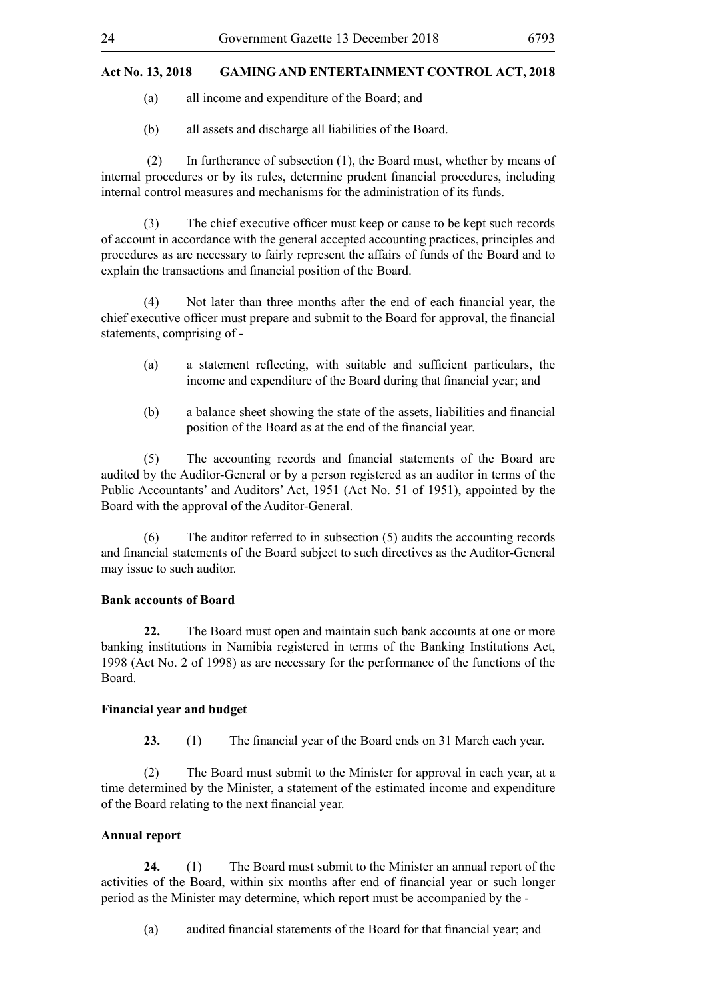- (a) all income and expenditure of the Board; and
- (b) all assets and discharge all liabilities of the Board.

 (2) In furtherance of subsection (1), the Board must, whether by means of internal procedures or by its rules, determine prudent financial procedures, including internal control measures and mechanisms for the administration of its funds.

(3) The chief executive officer must keep or cause to be kept such records of account in accordance with the general accepted accounting practices, principles and procedures as are necessary to fairly represent the affairs of funds of the Board and to explain the transactions and financial position of the Board.

(4) Not later than three months after the end of each financial year, the chief executive officer must prepare and submit to the Board for approval, the financial statements, comprising of -

- (a) a statement reflecting, with suitable and sufficient particulars, the income and expenditure of the Board during that financial year; and
- (b) a balance sheet showing the state of the assets, liabilities and financial position of the Board as at the end of the financial year.

(5) The accounting records and financial statements of the Board are audited by the Auditor-General or by a person registered as an auditor in terms of the Public Accountants' and Auditors' Act, 1951 (Act No. 51 of 1951), appointed by the Board with the approval of the Auditor-General.

(6) The auditor referred to in subsection (5) audits the accounting records and financial statements of the Board subject to such directives as the Auditor-General may issue to such auditor.

# **Bank accounts of Board**

**22.** The Board must open and maintain such bank accounts at one or more banking institutions in Namibia registered in terms of the Banking Institutions Act, 1998 (Act No. 2 of 1998) as are necessary for the performance of the functions of the Board.

# **Financial year and budget**

**23.** (1) The financial year of the Board ends on 31 March each year.

(2) The Board must submit to the Minister for approval in each year, at a time determined by the Minister, a statement of the estimated income and expenditure of the Board relating to the next financial year.

# **Annual report**

**24.** (1) The Board must submit to the Minister an annual report of the activities of the Board, within six months after end of financial year or such longer period as the Minister may determine, which report must be accompanied by the -

(a) audited financial statements of the Board for that financial year; and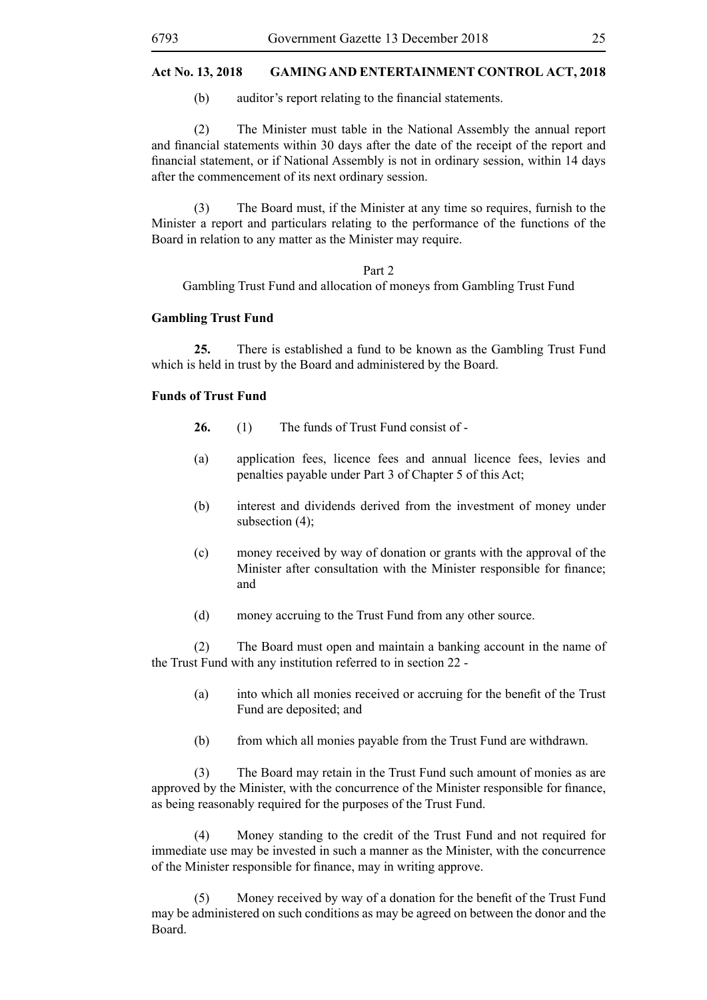(b) auditor's report relating to the financial statements.

(2) The Minister must table in the National Assembly the annual report and financial statements within 30 days after the date of the receipt of the report and financial statement, or if National Assembly is not in ordinary session, within 14 days after the commencement of its next ordinary session.

(3) The Board must, if the Minister at any time so requires, furnish to the Minister a report and particulars relating to the performance of the functions of the Board in relation to any matter as the Minister may require.

#### Part 2

Gambling Trust Fund and allocation of moneys from Gambling Trust Fund

# **Gambling Trust Fund**

**25.** There is established a fund to be known as the Gambling Trust Fund which is held in trust by the Board and administered by the Board.

# **Funds of Trust Fund**

- **26.** (1) The funds of Trust Fund consist of -
- (a) application fees, licence fees and annual licence fees, levies and penalties payable under Part 3 of Chapter 5 of this Act;
- (b) interest and dividends derived from the investment of money under subsection (4);
- (c) money received by way of donation or grants with the approval of the Minister after consultation with the Minister responsible for finance; and
- (d) money accruing to the Trust Fund from any other source.

(2) The Board must open and maintain a banking account in the name of the Trust Fund with any institution referred to in section 22 -

- (a) into which all monies received or accruing for the benefit of the Trust Fund are deposited; and
- (b) from which all monies payable from the Trust Fund are withdrawn.

(3) The Board may retain in the Trust Fund such amount of monies as are approved by the Minister, with the concurrence of the Minister responsible for finance, as being reasonably required for the purposes of the Trust Fund.

(4) Money standing to the credit of the Trust Fund and not required for immediate use may be invested in such a manner as the Minister, with the concurrence of the Minister responsible for finance, may in writing approve.

(5) Money received by way of a donation for the benefit of the Trust Fund may be administered on such conditions as may be agreed on between the donor and the Board.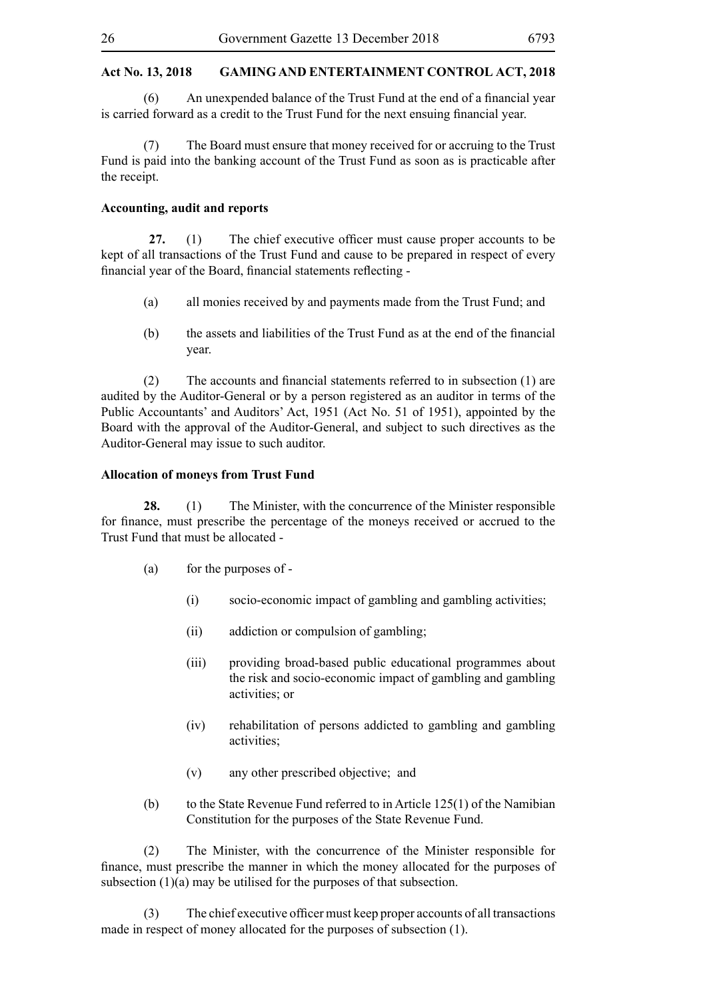(6) An unexpended balance of the Trust Fund at the end of a financial year is carried forward as a credit to the Trust Fund for the next ensuing financial year.

(7) The Board must ensure that money received for or accruing to the Trust Fund is paid into the banking account of the Trust Fund as soon as is practicable after the receipt.

#### **Accounting, audit and reports**

**27.** (1) The chief executive officer must cause proper accounts to be kept of all transactions of the Trust Fund and cause to be prepared in respect of every financial year of the Board, financial statements reflecting -

- (a) all monies received by and payments made from the Trust Fund; and
- (b) the assets and liabilities of the Trust Fund as at the end of the financial year.

(2) The accounts and financial statements referred to in subsection (1) are audited by the Auditor-General or by a person registered as an auditor in terms of the Public Accountants' and Auditors' Act, 1951 (Act No. 51 of 1951), appointed by the Board with the approval of the Auditor-General, and subject to such directives as the Auditor-General may issue to such auditor.

#### **Allocation of moneys from Trust Fund**

**28.** (1) The Minister, with the concurrence of the Minister responsible for finance, must prescribe the percentage of the moneys received or accrued to the Trust Fund that must be allocated -

- (a) for the purposes of
	- (i) socio-economic impact of gambling and gambling activities;
	- (ii) addiction or compulsion of gambling;
	- (iii) providing broad-based public educational programmes about the risk and socio-economic impact of gambling and gambling activities; or
	- (iv) rehabilitation of persons addicted to gambling and gambling activities;
	- (v) any other prescribed objective; and
- (b) to the State Revenue Fund referred to in Article 125(1) of the Namibian Constitution for the purposes of the State Revenue Fund.

(2) The Minister, with the concurrence of the Minister responsible for finance, must prescribe the manner in which the money allocated for the purposes of subsection (1)(a) may be utilised for the purposes of that subsection.

(3) The chief executive officer must keep proper accounts of all transactions made in respect of money allocated for the purposes of subsection (1).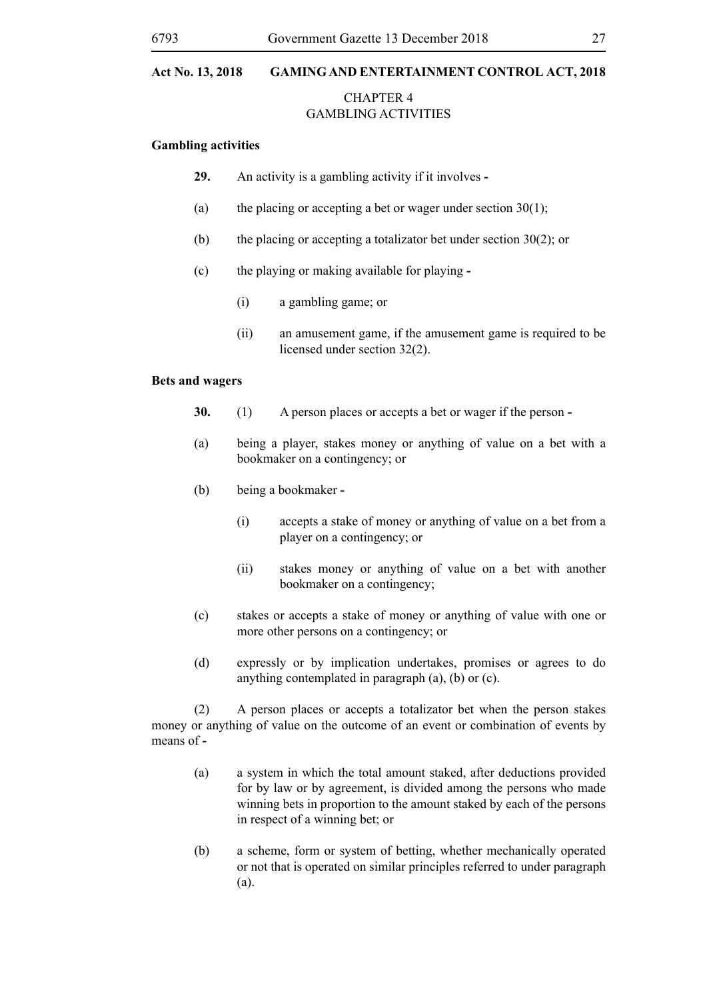# CHAPTER 4 GAMBLING ACTIVITIES

# **Gambling activities**

- **29.** An activity is a gambling activity if it involves **-**
- (a) the placing or accepting a bet or wager under section  $30(1)$ ;
- (b) the placing or accepting a totalizator bet under section  $30(2)$ ; or
- (c) the playing or making available for playing **-**
	- (i) a gambling game; or
	- (ii) an amusement game, if the amusement game is required to be licensed under section 32(2).

#### **Bets and wagers**

- **30.** (1) A person places or accepts a bet or wager if the person **-**
- (a) being a player, stakes money or anything of value on a bet with a bookmaker on a contingency; or
- (b) being a bookmaker **-**
	- (i) accepts a stake of money or anything of value on a bet from a player on a contingency; or
	- (ii) stakes money or anything of value on a bet with another bookmaker on a contingency;
- (c) stakes or accepts a stake of money or anything of value with one or more other persons on a contingency; or
- (d) expressly or by implication undertakes, promises or agrees to do anything contemplated in paragraph (a), (b) or (c).

(2) A person places or accepts a totalizator bet when the person stakes money or anything of value on the outcome of an event or combination of events by means of **-**

- (a) a system in which the total amount staked, after deductions provided for by law or by agreement, is divided among the persons who made winning bets in proportion to the amount staked by each of the persons in respect of a winning bet; or
- (b) a scheme, form or system of betting, whether mechanically operated or not that is operated on similar principles referred to under paragraph (a).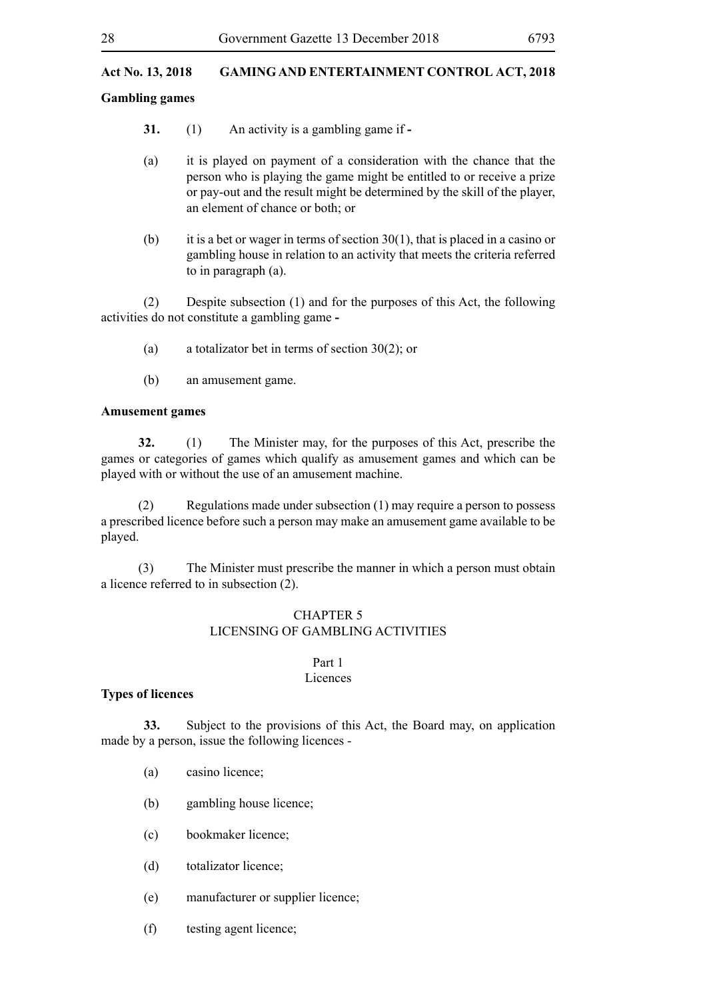# **Gambling games**

- **31.** (1) An activity is a gambling game if **-**
- (a) it is played on payment of a consideration with the chance that the person who is playing the game might be entitled to or receive a prize or pay-out and the result might be determined by the skill of the player, an element of chance or both; or
- (b) it is a bet or wager in terms of section  $30(1)$ , that is placed in a casino or gambling house in relation to an activity that meets the criteria referred to in paragraph (a).

(2) Despite subsection (1) and for the purposes of this Act, the following activities do not constitute a gambling game **-**

- (a) a totalizator bet in terms of section 30(2); or
- (b) an amusement game.

# **Amusement games**

**32.** (1) The Minister may, for the purposes of this Act, prescribe the games or categories of games which qualify as amusement games and which can be played with or without the use of an amusement machine.

(2) Regulations made under subsection (1) may require a person to possess a prescribed licence before such a person may make an amusement game available to be played.

(3) The Minister must prescribe the manner in which a person must obtain a licence referred to in subsection (2).

# CHAPTER 5 LICENSING OF GAMBLING ACTIVITIES

#### Part 1 **Licences**

# **Types of licences**

**33.** Subject to the provisions of this Act, the Board may, on application made by a person, issue the following licences -

- (a) casino licence;
- (b) gambling house licence;
- (c) bookmaker licence;
- (d) totalizator licence;
- (e) manufacturer or supplier licence;
- (f) testing agent licence;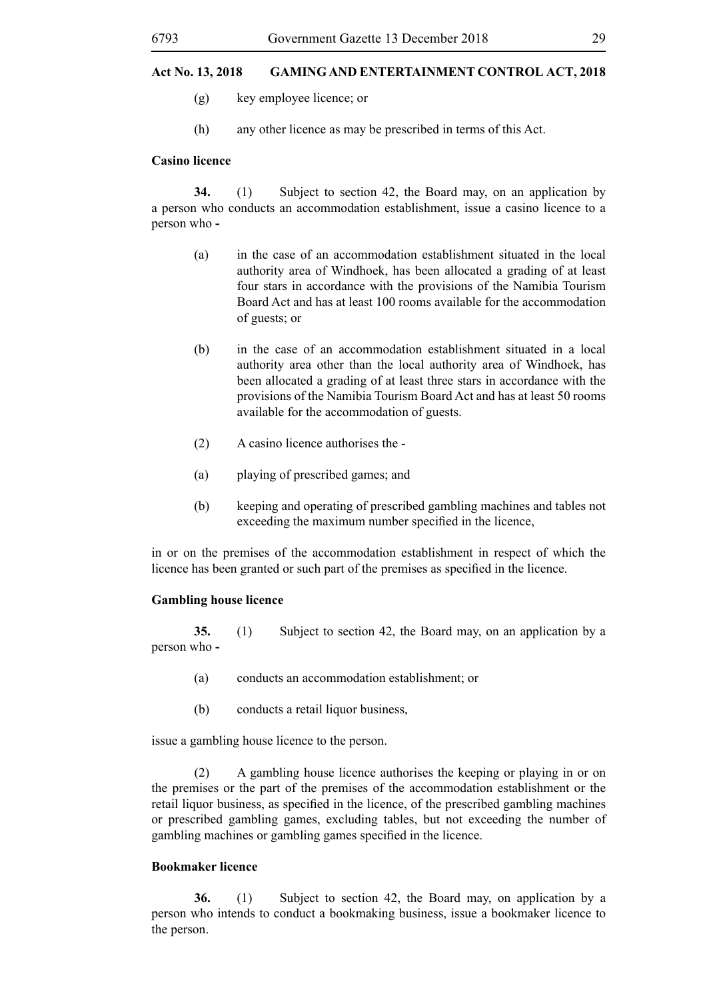- (g) key employee licence; or
- (h) any other licence as may be prescribed in terms of this Act.

#### **Casino licence**

**34.** (1) Subject to section 42, the Board may, on an application by a person who conducts an accommodation establishment, issue a casino licence to a person who **-**

- (a) in the case of an accommodation establishment situated in the local authority area of Windhoek, has been allocated a grading of at least four stars in accordance with the provisions of the Namibia Tourism Board Act and has at least 100 rooms available for the accommodation of guests; or
- (b) in the case of an accommodation establishment situated in a local authority area other than the local authority area of Windhoek, has been allocated a grading of at least three stars in accordance with the provisions of the Namibia Tourism Board Act and has at least 50 rooms available for the accommodation of guests.
- (2) A casino licence authorises the -
- (a) playing of prescribed games; and
- (b) keeping and operating of prescribed gambling machines and tables not exceeding the maximum number specified in the licence,

in or on the premises of the accommodation establishment in respect of which the licence has been granted or such part of the premises as specified in the licence.

#### **Gambling house licence**

**35.** (1) Subject to section 42, the Board may, on an application by a person who **-**

- (a) conducts an accommodation establishment; or
- (b) conducts a retail liquor business,

issue a gambling house licence to the person.

(2) A gambling house licence authorises the keeping or playing in or on the premises or the part of the premises of the accommodation establishment or the retail liquor business, as specified in the licence, of the prescribed gambling machines or prescribed gambling games, excluding tables, but not exceeding the number of gambling machines or gambling games specified in the licence.

#### **Bookmaker licence**

**36.** (1) Subject to section 42, the Board may, on application by a person who intends to conduct a bookmaking business, issue a bookmaker licence to the person.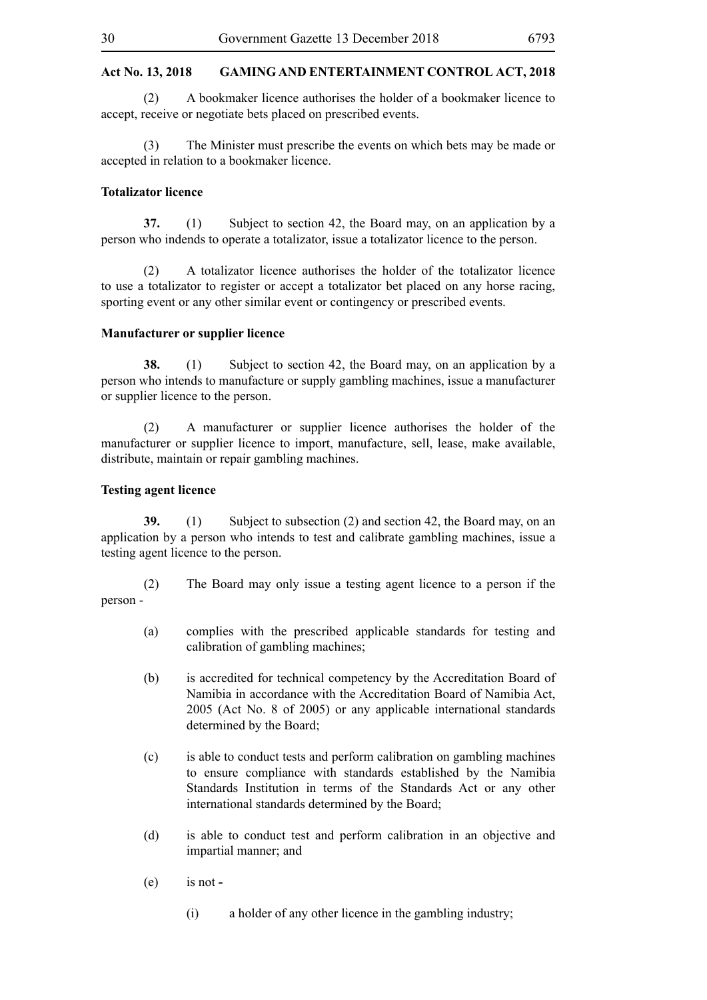(2) A bookmaker licence authorises the holder of a bookmaker licence to accept, receive or negotiate bets placed on prescribed events.

(3) The Minister must prescribe the events on which bets may be made or accepted in relation to a bookmaker licence.

# **Totalizator licence**

**37.** (1) Subject to section 42, the Board may, on an application by a person who indends to operate a totalizator, issue a totalizator licence to the person.

(2) A totalizator licence authorises the holder of the totalizator licence to use a totalizator to register or accept a totalizator bet placed on any horse racing, sporting event or any other similar event or contingency or prescribed events.

# **Manufacturer or supplier licence**

**38.** (1) Subject to section 42, the Board may, on an application by a person who intends to manufacture or supply gambling machines, issue a manufacturer or supplier licence to the person.

(2) A manufacturer or supplier licence authorises the holder of the manufacturer or supplier licence to import, manufacture, sell, lease, make available, distribute, maintain or repair gambling machines.

#### **Testing agent licence**

**39.** (1) Subject to subsection (2) and section 42, the Board may, on an application by a person who intends to test and calibrate gambling machines, issue a testing agent licence to the person.

- (2) The Board may only issue a testing agent licence to a person if the person -
	- (a) complies with the prescribed applicable standards for testing and calibration of gambling machines;
	- (b) is accredited for technical competency by the Accreditation Board of Namibia in accordance with the Accreditation Board of Namibia Act, 2005 (Act No. 8 of 2005) or any applicable international standards determined by the Board;
	- (c) is able to conduct tests and perform calibration on gambling machines to ensure compliance with standards established by the Namibia Standards Institution in terms of the Standards Act or any other international standards determined by the Board;
	- (d) is able to conduct test and perform calibration in an objective and impartial manner; and
	- (e) is not **-**
		- (i) a holder of any other licence in the gambling industry;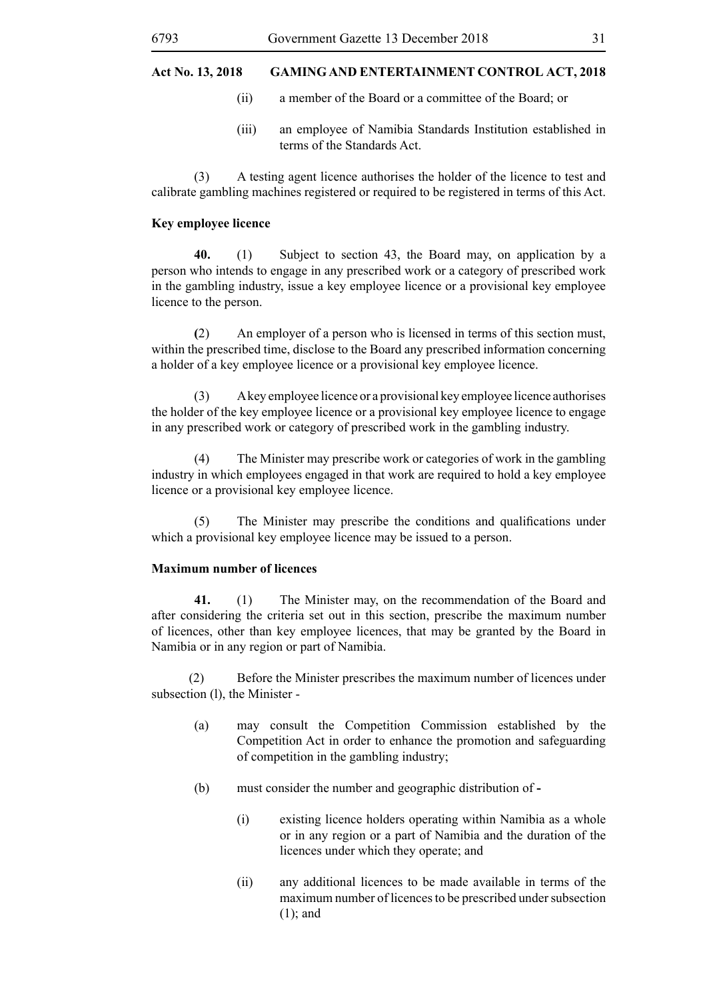- (ii) a member of the Board or a committee of the Board; or
- (iii) an employee of Namibia Standards Institution established in terms of the Standards Act.

(3) A testing agent licence authorises the holder of the licence to test and calibrate gambling machines registered or required to be registered in terms of this Act.

#### **Key employee licence**

**40.** (1) Subject to section 43, the Board may, on application by a person who intends to engage in any prescribed work or a category of prescribed work in the gambling industry, issue a key employee licence or a provisional key employee licence to the person.

**(**2) An employer of a person who is licensed in terms of this section must, within the prescribed time, disclose to the Board any prescribed information concerning a holder of a key employee licence or a provisional key employee licence.

(3) A key employee licence or a provisional key employee licence authorises the holder of the key employee licence or a provisional key employee licence to engage in any prescribed work or category of prescribed work in the gambling industry.

(4) The Minister may prescribe work or categories of work in the gambling industry in which employees engaged in that work are required to hold a key employee licence or a provisional key employee licence.

(5) The Minister may prescribe the conditions and qualifications under which a provisional key employee licence may be issued to a person.

# **Maximum number of licences**

**41.** (1) The Minister may, on the recommendation of the Board and after considering the criteria set out in this section, prescribe the maximum number of licences, other than key employee licences, that may be granted by the Board in Namibia or in any region or part of Namibia.

(2) Before the Minister prescribes the maximum number of licences under subsection (l), the Minister -

- (a) may consult the Competition Commission established by the Competition Act in order to enhance the promotion and safeguarding of competition in the gambling industry;
- (b) must consider the number and geographic distribution of **-**
	- (i) existing licence holders operating within Namibia as a whole or in any region or a part of Namibia and the duration of the licences under which they operate; and
	- (ii) any additional licences to be made available in terms of the maximum number of licences to be prescribed under subsection (1); and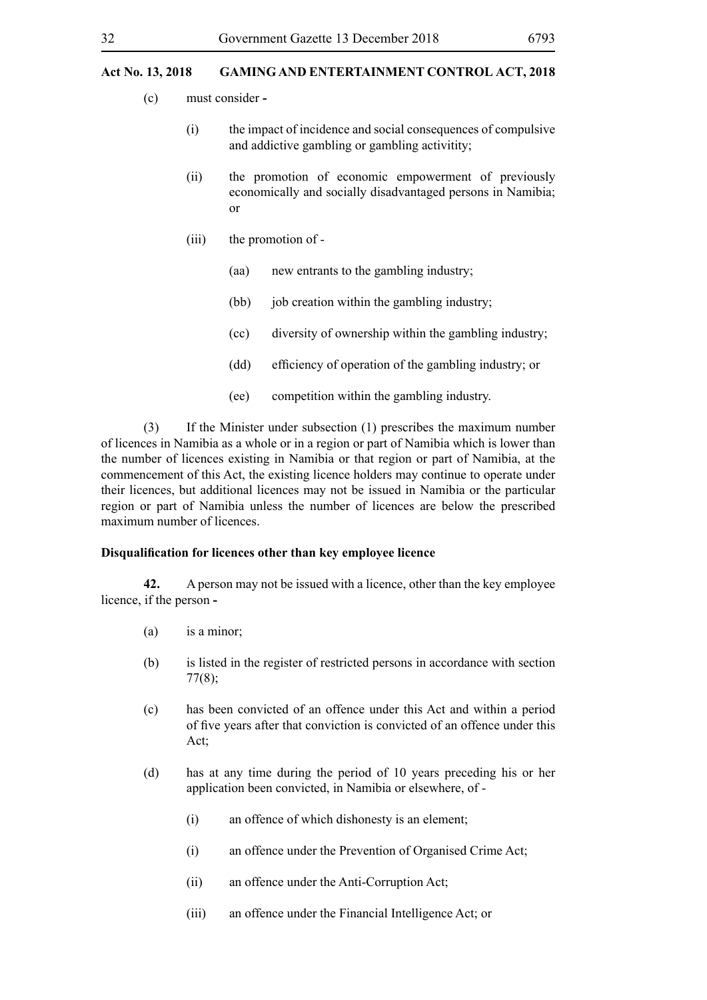- (c) must consider **-**
	- (i) the impact of incidence and social consequences of compulsive and addictive gambling or gambling activitity;
	- (ii) the promotion of economic empowerment of previously economically and socially disadvantaged persons in Namibia; or
	- (iii) the promotion of
		- (aa) new entrants to the gambling industry;
		- (bb) job creation within the gambling industry;
		- (cc) diversity of ownership within the gambling industry;
		- (dd) efficiency of operation of the gambling industry; or
		- (ee) competition within the gambling industry.

(3) If the Minister under subsection (1) prescribes the maximum number of licences in Namibia as a whole or in a region or part of Namibia which is lower than the number of licences existing in Namibia or that region or part of Namibia, at the commencement of this Act, the existing licence holders may continue to operate under their licences, but additional licences may not be issued in Namibia or the particular region or part of Namibia unless the number of licences are below the prescribed maximum number of licences.

#### **Disqualification for licences other than key employee licence**

**42.** A person may not be issued with a licence, other than the key employee licence, if the person **-**

- (a) is a minor;
- (b) is listed in the register of restricted persons in accordance with section 77(8);
- (c) has been convicted of an offence under this Act and within a period of five years after that conviction is convicted of an offence under this Act;
- (d) has at any time during the period of 10 years preceding his or her application been convicted, in Namibia or elsewhere, of -
	- (i) an offence of which dishonesty is an element;
	- (i) an offence under the Prevention of Organised Crime Act;
	- (ii) an offence under the Anti-Corruption Act;
	- (iii) an offence under the Financial Intelligence Act; or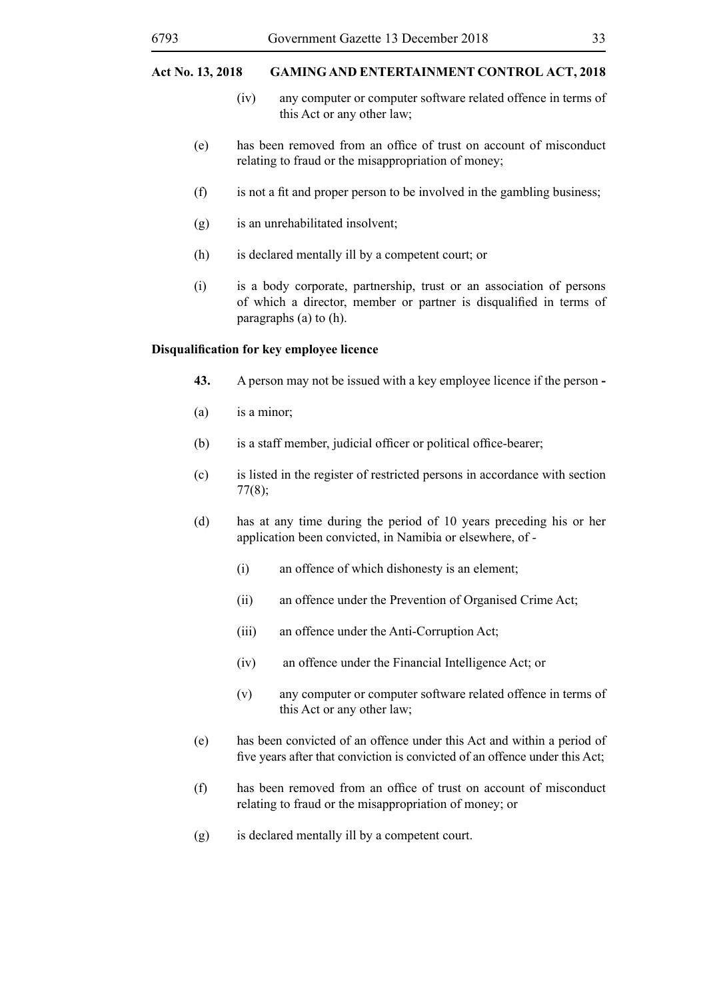- (iv) any computer or computer software related offence in terms of this Act or any other law;
- (e) has been removed from an office of trust on account of misconduct relating to fraud or the misappropriation of money;
- (f) is not a fit and proper person to be involved in the gambling business;
- (g) is an unrehabilitated insolvent;
- (h) is declared mentally ill by a competent court; or
- (i) is a body corporate, partnership, trust or an association of persons of which a director, member or partner is disqualified in terms of paragraphs (a) to (h).

## **Disqualification for key employee licence**

- **43.** A person may not be issued with a key employee licence if the person **-**
- (a) is a minor;
- (b) is a staff member, judicial officer or political office-bearer;
- (c) is listed in the register of restricted persons in accordance with section 77(8);
- (d) has at any time during the period of 10 years preceding his or her application been convicted, in Namibia or elsewhere, of -
	- (i) an offence of which dishonesty is an element;
	- (ii) an offence under the Prevention of Organised Crime Act;
	- (iii) an offence under the Anti-Corruption Act;
	- (iv) an offence under the Financial Intelligence Act; or
	- (v) any computer or computer software related offence in terms of this Act or any other law;
- (e) has been convicted of an offence under this Act and within a period of five years after that conviction is convicted of an offence under this Act;
- (f) has been removed from an office of trust on account of misconduct relating to fraud or the misappropriation of money; or
- (g) is declared mentally ill by a competent court.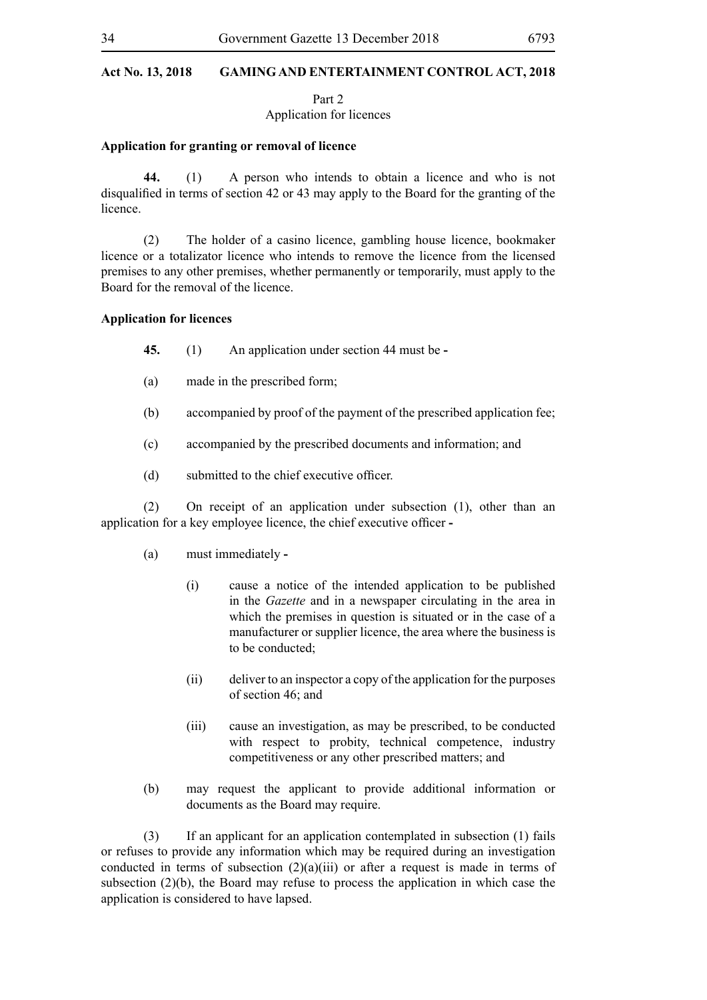Part 2

Application for licences

#### **Application for granting or removal of licence**

**44.** (1) A person who intends to obtain a licence and who is not disqualified in terms of section 42 or 43 may apply to the Board for the granting of the licence.

(2) The holder of a casino licence, gambling house licence, bookmaker licence or a totalizator licence who intends to remove the licence from the licensed premises to any other premises, whether permanently or temporarily, must apply to the Board for the removal of the licence.

#### **Application for licences**

- **45.** (1) An application under section 44 must be **-**
- (a) made in the prescribed form;
- (b) accompanied by proof of the payment of the prescribed application fee;
- (c) accompanied by the prescribed documents and information; and
- (d) submitted to the chief executive officer.

(2) On receipt of an application under subsection (1), other than an application for a key employee licence, the chief executive officer **-**

- (a) must immediately **-**
	- (i) cause a notice of the intended application to be published in the *Gazette* and in a newspaper circulating in the area in which the premises in question is situated or in the case of a manufacturer or supplier licence, the area where the business is to be conducted:
	- (ii) deliver to an inspector a copy of the application for the purposes of section 46; and
	- (iii) cause an investigation, as may be prescribed, to be conducted with respect to probity, technical competence, industry competitiveness or any other prescribed matters; and
- (b) may request the applicant to provide additional information or documents as the Board may require.

(3) If an applicant for an application contemplated in subsection (1) fails or refuses to provide any information which may be required during an investigation conducted in terms of subsection  $(2)(a)(iii)$  or after a request is made in terms of subsection (2)(b), the Board may refuse to process the application in which case the application is considered to have lapsed.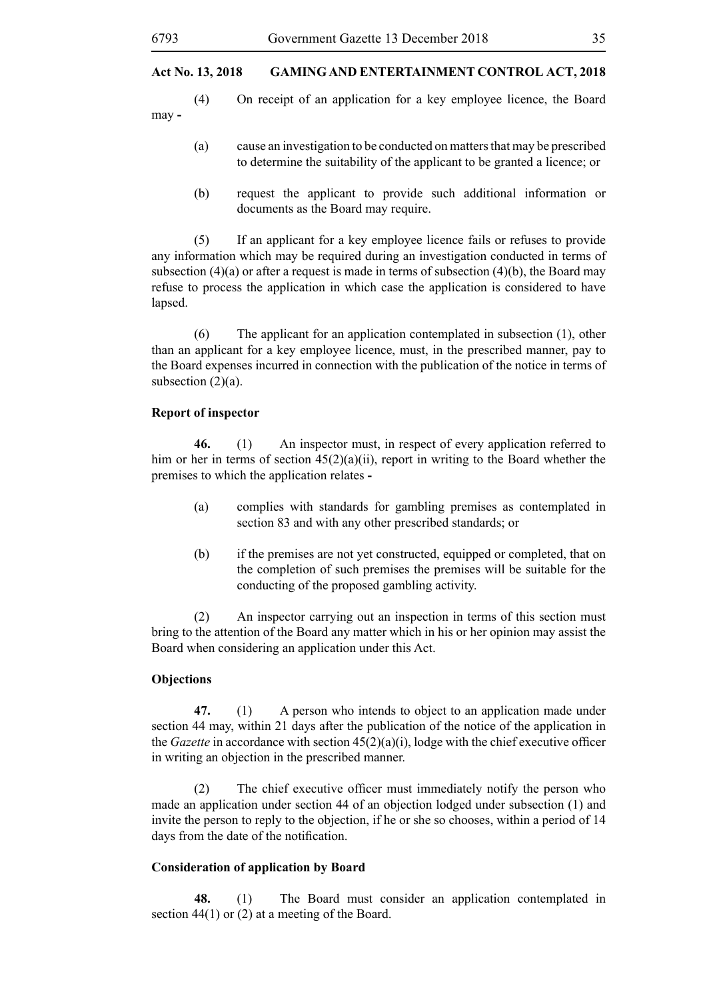(4) On receipt of an application for a key employee licence, the Board may **-**

- (a) cause an investigation to be conducted on matters that may be prescribed to determine the suitability of the applicant to be granted a licence; or
- (b) request the applicant to provide such additional information or documents as the Board may require.

(5) If an applicant for a key employee licence fails or refuses to provide any information which may be required during an investigation conducted in terms of subsection  $(4)(a)$  or after a request is made in terms of subsection  $(4)(b)$ , the Board may refuse to process the application in which case the application is considered to have lapsed.

(6) The applicant for an application contemplated in subsection (1), other than an applicant for a key employee licence, must, in the prescribed manner, pay to the Board expenses incurred in connection with the publication of the notice in terms of subsection  $(2)(a)$ .

#### **Report of inspector**

**46.** (1) An inspector must, in respect of every application referred to him or her in terms of section  $45(2)(a)(ii)$ , report in writing to the Board whether the premises to which the application relates **-**

- (a) complies with standards for gambling premises as contemplated in section 83 and with any other prescribed standards; or
- (b) if the premises are not yet constructed, equipped or completed, that on the completion of such premises the premises will be suitable for the conducting of the proposed gambling activity.

(2) An inspector carrying out an inspection in terms of this section must bring to the attention of the Board any matter which in his or her opinion may assist the Board when considering an application under this Act.

#### **Objections**

**47.** (1) A person who intends to object to an application made under section 44 may, within 21 days after the publication of the notice of the application in the *Gazette* in accordance with section 45(2)(a)(i), lodge with the chief executive officer in writing an objection in the prescribed manner.

(2) The chief executive officer must immediately notify the person who made an application under section 44 of an objection lodged under subsection (1) and invite the person to reply to the objection, if he or she so chooses, within a period of 14 days from the date of the notification.

# **Consideration of application by Board**

**48.** (1) The Board must consider an application contemplated in section 44(1) or (2) at a meeting of the Board.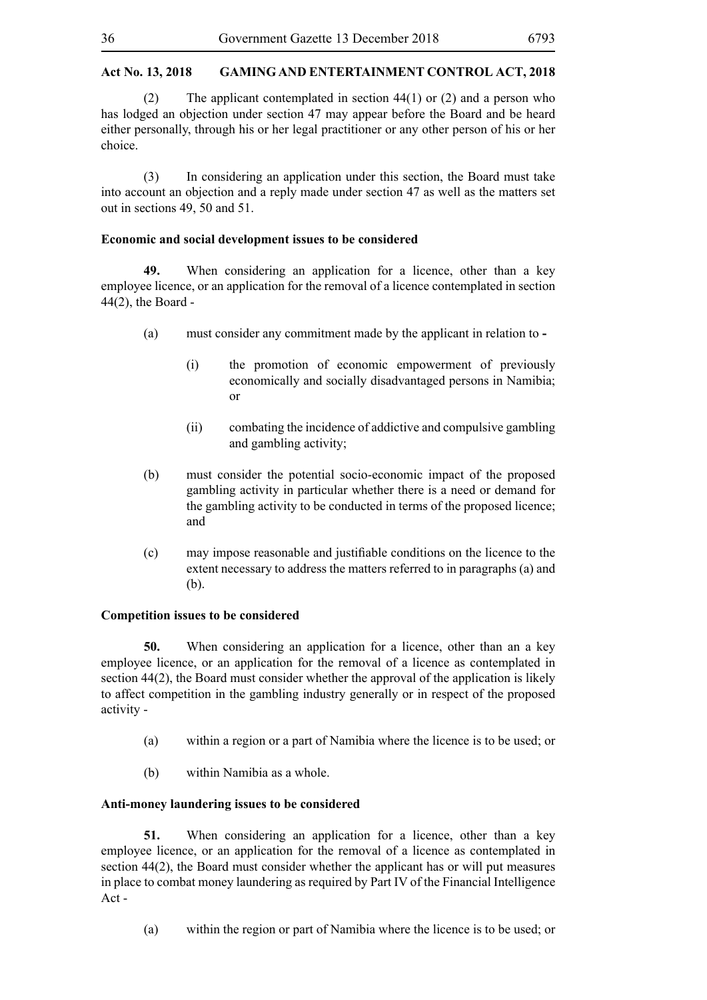(2) The applicant contemplated in section 44(1) or (2) and a person who has lodged an objection under section 47 may appear before the Board and be heard either personally, through his or her legal practitioner or any other person of his or her choice.

(3) In considering an application under this section, the Board must take into account an objection and a reply made under section 47 as well as the matters set out in sections 49, 50 and 51.

## **Economic and social development issues to be considered**

**49.** When considering an application for a licence, other than a key employee licence, or an application for the removal of a licence contemplated in section 44(2), the Board -

- (a) must consider any commitment made by the applicant in relation to **-**
	- (i) the promotion of economic empowerment of previously economically and socially disadvantaged persons in Namibia; or
	- (ii) combating the incidence of addictive and compulsive gambling and gambling activity;
- (b) must consider the potential socio-economic impact of the proposed gambling activity in particular whether there is a need or demand for the gambling activity to be conducted in terms of the proposed licence; and
- (c) may impose reasonable and justifiable conditions on the licence to the extent necessary to address the matters referred to in paragraphs (a) and (b).

# **Competition issues to be considered**

**50.** When considering an application for a licence, other than an a key employee licence, or an application for the removal of a licence as contemplated in section 44(2), the Board must consider whether the approval of the application is likely to affect competition in the gambling industry generally or in respect of the proposed activity -

- (a) within a region or a part of Namibia where the licence is to be used; or
- (b) within Namibia as a whole.

#### **Anti-money laundering issues to be considered**

**51.** When considering an application for a licence, other than a key employee licence, or an application for the removal of a licence as contemplated in section 44(2), the Board must consider whether the applicant has or will put measures in place to combat money laundering as required by Part IV of the Financial Intelligence Act -

(a) within the region or part of Namibia where the licence is to be used; or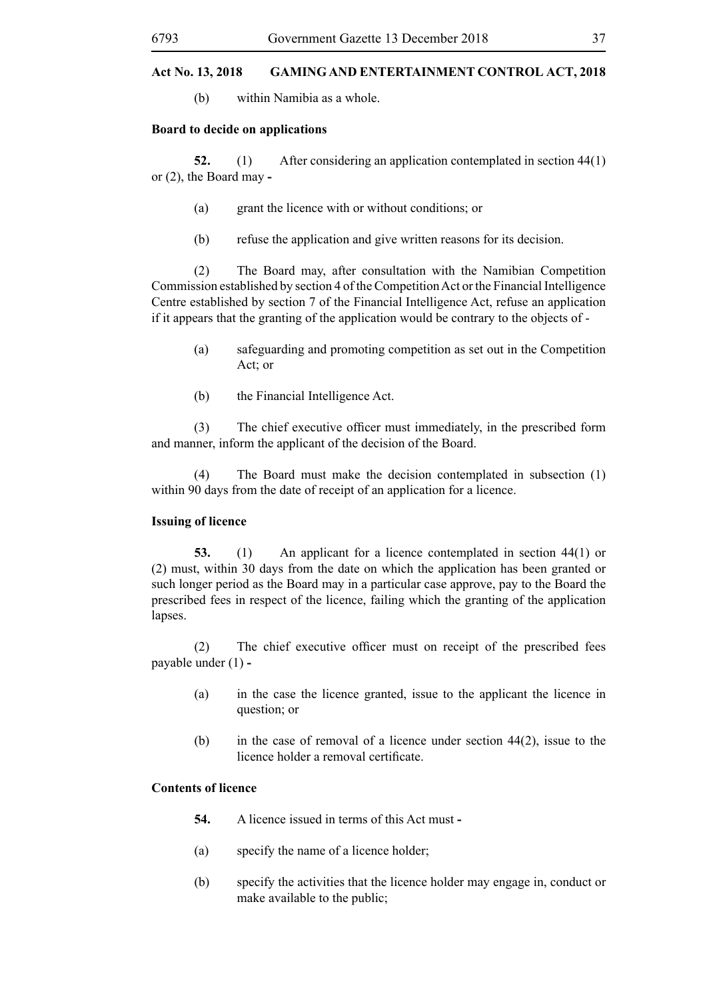(b) within Namibia as a whole.

#### **Board to decide on applications**

**52.** (1) After considering an application contemplated in section 44(1) or (2), the Board may **-**

- (a) grant the licence with or without conditions; or
- (b) refuse the application and give written reasons for its decision.

(2) The Board may, after consultation with the Namibian Competition Commission established by section 4 of the Competition Act or the Financial Intelligence Centre established by section 7 of the Financial Intelligence Act, refuse an application if it appears that the granting of the application would be contrary to the objects of -

- (a) safeguarding and promoting competition as set out in the Competition Act; or
- (b) the Financial Intelligence Act.

(3) The chief executive officer must immediately, in the prescribed form and manner, inform the applicant of the decision of the Board.

(4) The Board must make the decision contemplated in subsection (1) within 90 days from the date of receipt of an application for a licence.

# **Issuing of licence**

**53.** (1) An applicant for a licence contemplated in section 44(1) or (2) must, within 30 days from the date on which the application has been granted or such longer period as the Board may in a particular case approve, pay to the Board the prescribed fees in respect of the licence, failing which the granting of the application lapses.

(2) The chief executive officer must on receipt of the prescribed fees payable under (1) **-**

- (a) in the case the licence granted, issue to the applicant the licence in question; or
- (b) in the case of removal of a licence under section 44(2), issue to the licence holder a removal certificate.

# **Contents of licence**

- **54.** A licence issued in terms of this Act must **-**
- (a) specify the name of a licence holder;
- (b) specify the activities that the licence holder may engage in, conduct or make available to the public;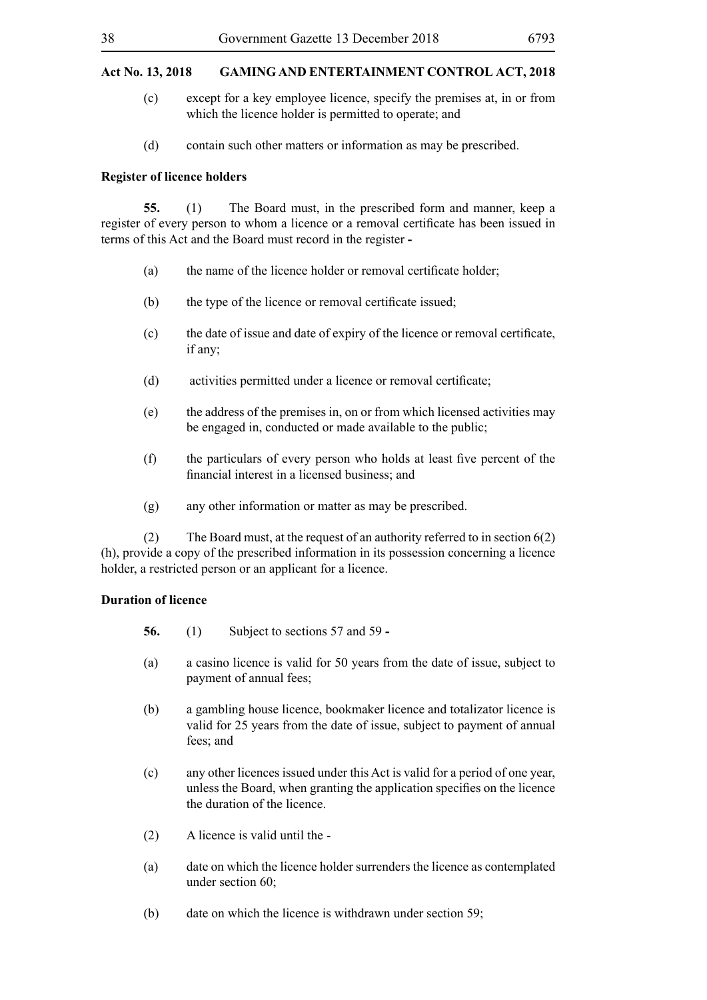- (c) except for a key employee licence, specify the premises at, in or from which the licence holder is permitted to operate; and
- (d) contain such other matters or information as may be prescribed.

#### **Register of licence holders**

**55.** (1) The Board must, in the prescribed form and manner, keep a register of every person to whom a licence or a removal certificate has been issued in terms of this Act and the Board must record in the register **-**

- (a) the name of the licence holder or removal certificate holder;
- (b) the type of the licence or removal certificate issued;
- (c) the date of issue and date of expiry of the licence or removal certificate, if any;
- (d) activities permitted under a licence or removal certificate;
- (e) the address of the premises in, on or from which licensed activities may be engaged in, conducted or made available to the public;
- (f) the particulars of every person who holds at least five percent of the financial interest in a licensed business; and
- (g) any other information or matter as may be prescribed.

(2) The Board must, at the request of an authority referred to in section 6(2) (h), provide a copy of the prescribed information in its possession concerning a licence holder, a restricted person or an applicant for a licence.

# **Duration of licence**

- **56.** (1) Subject to sections 57 and 59 **-**
- (a) a casino licence is valid for 50 years from the date of issue, subject to payment of annual fees;
- (b) a gambling house licence, bookmaker licence and totalizator licence is valid for 25 years from the date of issue, subject to payment of annual fees; and
- (c) any other licences issued under this Act is valid for a period of one year, unless the Board, when granting the application specifies on the licence the duration of the licence.
- (2) A licence is valid until the -
- (a) date on which the licence holder surrenders the licence as contemplated under section 60;
- (b) date on which the licence is withdrawn under section 59;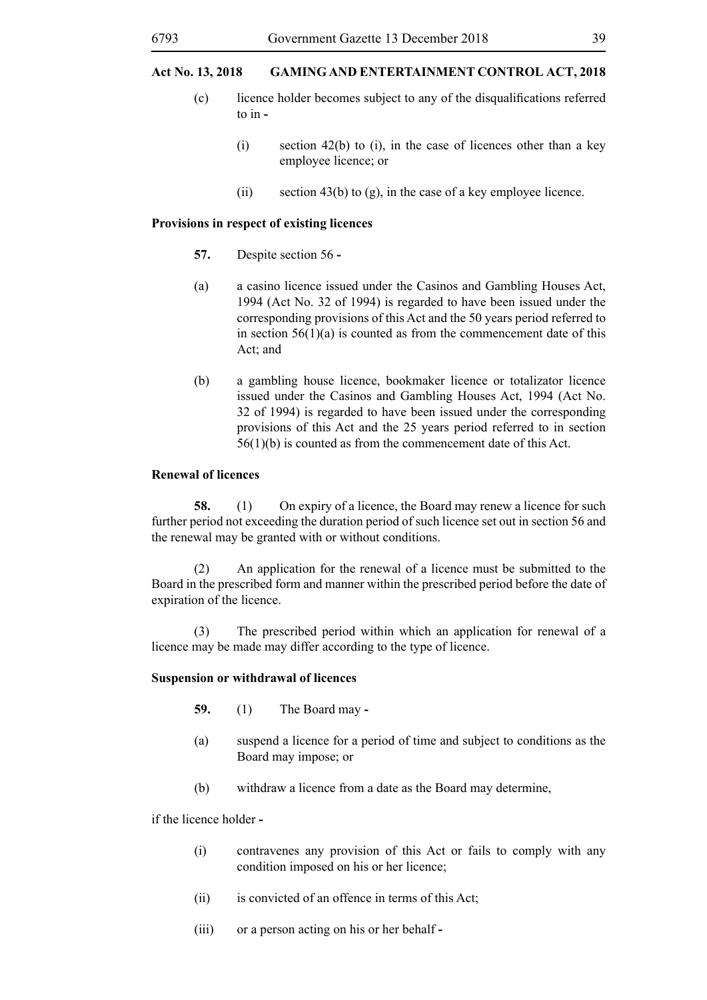- (c) licence holder becomes subject to any of the disqualifications referred to in **-**
	- (i) section 42(b) to (i), in the case of licences other than a key employee licence; or
	- (ii) section 43(b) to (g), in the case of a key employee licence.

#### **Provisions in respect of existing licences**

- **57.** Despite section 56 **-**
- (a) a casino licence issued under the Casinos and Gambling Houses Act, 1994 (Act No. 32 of 1994) is regarded to have been issued under the corresponding provisions of this Act and the 50 years period referred to in section  $56(1)(a)$  is counted as from the commencement date of this Act; and
- (b) a gambling house licence, bookmaker licence or totalizator licence issued under the Casinos and Gambling Houses Act, 1994 (Act No. 32 of 1994) is regarded to have been issued under the corresponding provisions of this Act and the 25 years period referred to in section 56(1)(b) is counted as from the commencement date of this Act.

#### **Renewal of licences**

**58.** (1) On expiry of a licence, the Board may renew a licence for such further period not exceeding the duration period of such licence set out in section 56 and the renewal may be granted with or without conditions.

(2) An application for the renewal of a licence must be submitted to the Board in the prescribed form and manner within the prescribed period before the date of expiration of the licence.

(3) The prescribed period within which an application for renewal of a licence may be made may differ according to the type of licence.

#### **Suspension or withdrawal of licences**

- **59.** (1) The Board may **-**
- (a) suspend a licence for a period of time and subject to conditions as the Board may impose; or
- (b) withdraw a licence from a date as the Board may determine,

if the licence holder **-**

- (i) contravenes any provision of this Act or fails to comply with any condition imposed on his or her licence;
- (ii) is convicted of an offence in terms of this Act;
- (iii) or a person acting on his or her behalf **-**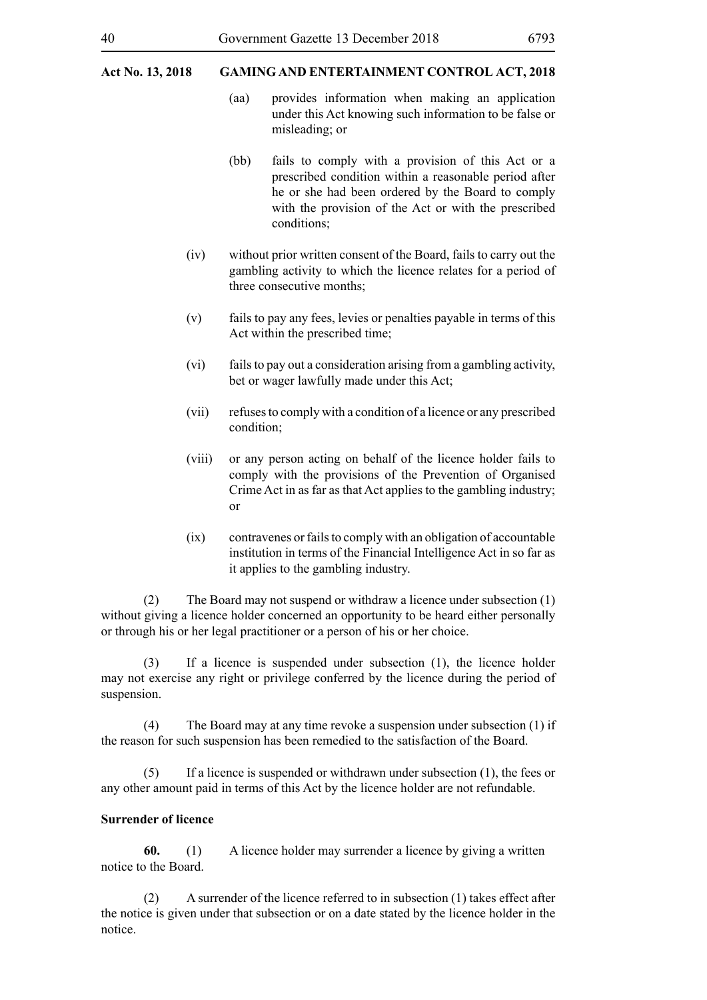- (aa) provides information when making an application under this Act knowing such information to be false or misleading; or
- (bb) fails to comply with a provision of this Act or a prescribed condition within a reasonable period after he or she had been ordered by the Board to comply with the provision of the Act or with the prescribed conditions;
- (iv) without prior written consent of the Board, fails to carry out the gambling activity to which the licence relates for a period of three consecutive months;
- (v) fails to pay any fees, levies or penalties payable in terms of this Act within the prescribed time;
- (vi) fails to pay out a consideration arising from a gambling activity, bet or wager lawfully made under this Act;
- (vii) refuses to comply with a condition of a licence or any prescribed condition;
- (viii) or any person acting on behalf of the licence holder fails to comply with the provisions of the Prevention of Organised Crime Act in as far as that Act applies to the gambling industry; or
- (ix) contravenes or fails to comply with an obligation of accountable institution in terms of the Financial Intelligence Act in so far as it applies to the gambling industry.

(2) The Board may not suspend or withdraw a licence under subsection (1) without giving a licence holder concerned an opportunity to be heard either personally or through his or her legal practitioner or a person of his or her choice.

(3) If a licence is suspended under subsection (1), the licence holder may not exercise any right or privilege conferred by the licence during the period of suspension.

(4) The Board may at any time revoke a suspension under subsection (1) if the reason for such suspension has been remedied to the satisfaction of the Board.

(5) If a licence is suspended or withdrawn under subsection (1), the fees or any other amount paid in terms of this Act by the licence holder are not refundable.

#### **Surrender of licence**

**60.** (1) A licence holder may surrender a licence by giving a written notice to the Board.

(2) A surrender of the licence referred to in subsection (1) takes effect after the notice is given under that subsection or on a date stated by the licence holder in the notice.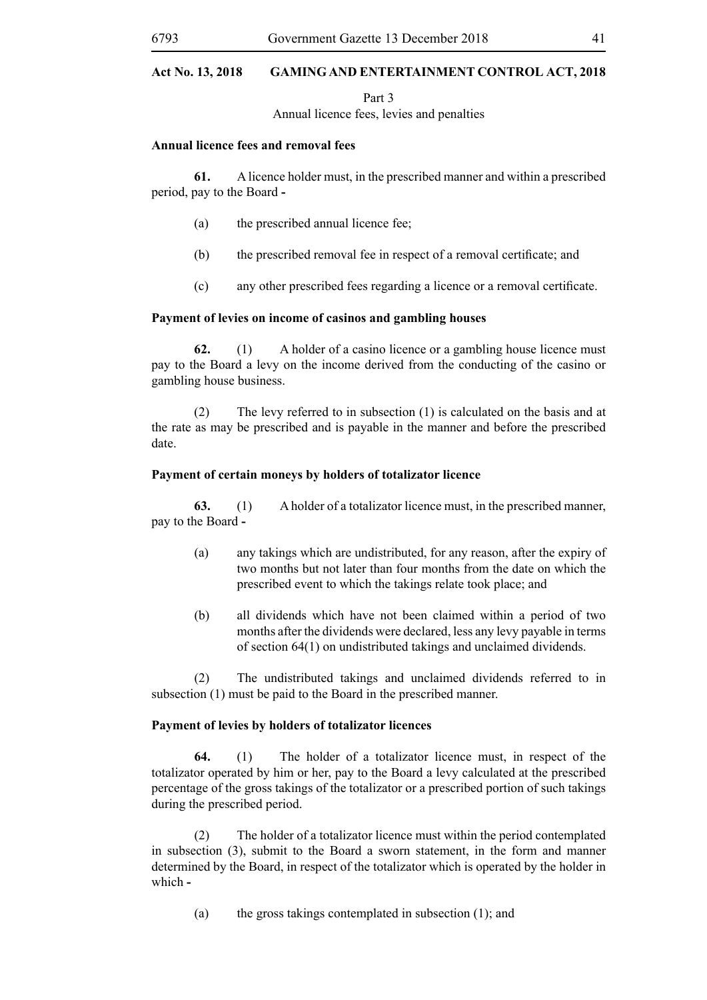Part 3

Annual licence fees, levies and penalties

#### **Annual licence fees and removal fees**

**61.** A licence holder must, in the prescribed manner and within a prescribed period, pay to the Board **-**

- (a) the prescribed annual licence fee;
- (b) the prescribed removal fee in respect of a removal certificate; and
- (c) any other prescribed fees regarding a licence or a removal certificate.

#### **Payment of levies on income of casinos and gambling houses**

**62.** (1) A holder of a casino licence or a gambling house licence must pay to the Board a levy on the income derived from the conducting of the casino or gambling house business.

(2) The levy referred to in subsection (1) is calculated on the basis and at the rate as may be prescribed and is payable in the manner and before the prescribed date.

#### **Payment of certain moneys by holders of totalizator licence**

**63.** (1) A holder of a totalizator licence must, in the prescribed manner, pay to the Board **-**

- (a) any takings which are undistributed, for any reason, after the expiry of two months but not later than four months from the date on which the prescribed event to which the takings relate took place; and
- (b) all dividends which have not been claimed within a period of two months after the dividends were declared, less any levy payable in terms of section 64(1) on undistributed takings and unclaimed dividends.

(2) The undistributed takings and unclaimed dividends referred to in subsection (1) must be paid to the Board in the prescribed manner.

#### **Payment of levies by holders of totalizator licences**

**64.** (1) The holder of a totalizator licence must, in respect of the totalizator operated by him or her, pay to the Board a levy calculated at the prescribed percentage of the gross takings of the totalizator or a prescribed portion of such takings during the prescribed period.

(2) The holder of a totalizator licence must within the period contemplated in subsection (3), submit to the Board a sworn statement, in the form and manner determined by the Board, in respect of the totalizator which is operated by the holder in which **-**

(a) the gross takings contemplated in subsection (1); and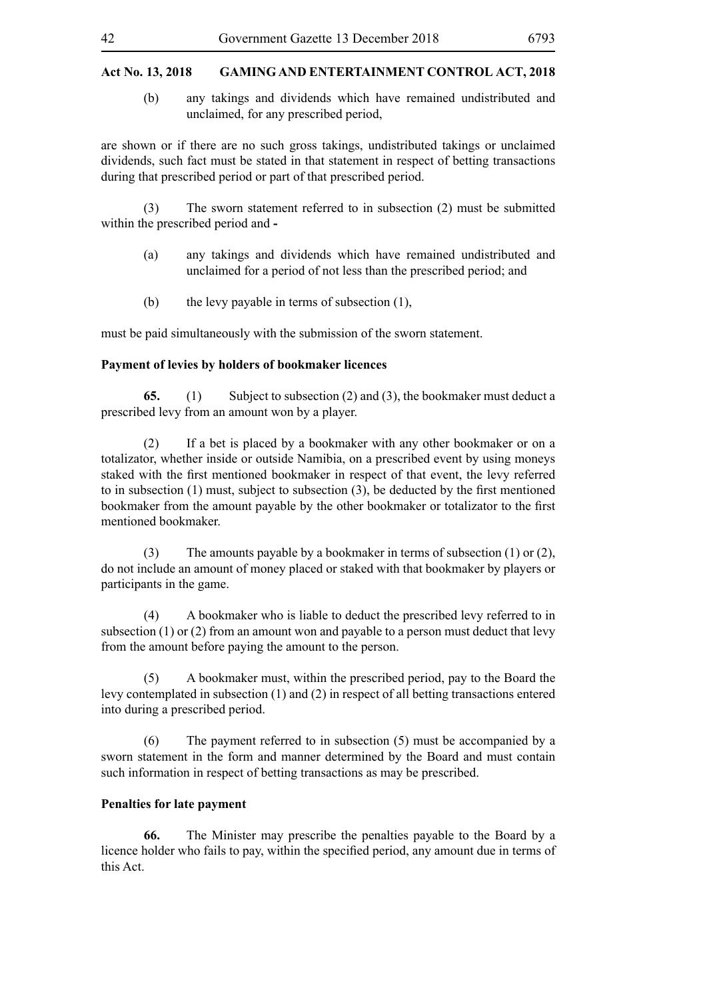(b) any takings and dividends which have remained undistributed and unclaimed, for any prescribed period,

are shown or if there are no such gross takings, undistributed takings or unclaimed dividends, such fact must be stated in that statement in respect of betting transactions during that prescribed period or part of that prescribed period.

(3) The sworn statement referred to in subsection (2) must be submitted within the prescribed period and **-**

- (a) any takings and dividends which have remained undistributed and unclaimed for a period of not less than the prescribed period; and
- (b) the levy payable in terms of subsection (1),

must be paid simultaneously with the submission of the sworn statement.

#### **Payment of levies by holders of bookmaker licences**

**65.** (1) Subject to subsection (2) and (3), the bookmaker must deduct a prescribed levy from an amount won by a player.

(2) If a bet is placed by a bookmaker with any other bookmaker or on a totalizator, whether inside or outside Namibia, on a prescribed event by using moneys staked with the first mentioned bookmaker in respect of that event, the levy referred to in subsection (1) must, subject to subsection (3), be deducted by the first mentioned bookmaker from the amount payable by the other bookmaker or totalizator to the first mentioned bookmaker.

(3) The amounts payable by a bookmaker in terms of subsection (1) or (2), do not include an amount of money placed or staked with that bookmaker by players or participants in the game.

(4) A bookmaker who is liable to deduct the prescribed levy referred to in subsection (1) or (2) from an amount won and payable to a person must deduct that levy from the amount before paying the amount to the person.

(5) A bookmaker must, within the prescribed period, pay to the Board the levy contemplated in subsection (1) and (2) in respect of all betting transactions entered into during a prescribed period.

(6) The payment referred to in subsection (5) must be accompanied by a sworn statement in the form and manner determined by the Board and must contain such information in respect of betting transactions as may be prescribed.

#### **Penalties for late payment**

**66.** The Minister may prescribe the penalties payable to the Board by a licence holder who fails to pay, within the specified period, any amount due in terms of this Act.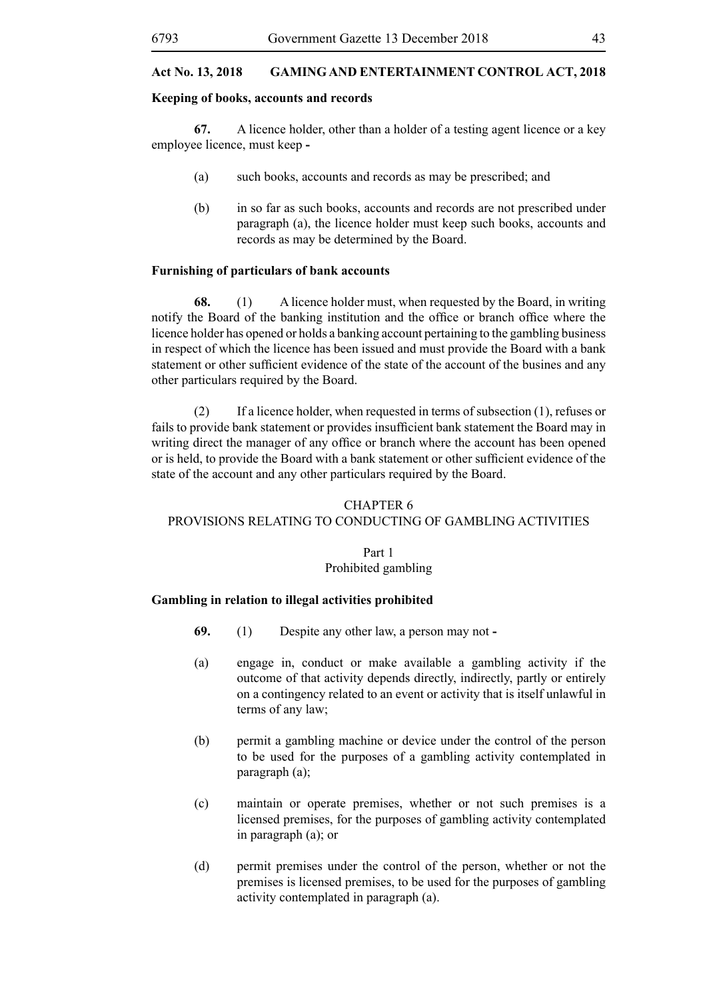#### **Keeping of books, accounts and records**

**67.** A licence holder, other than a holder of a testing agent licence or a key employee licence, must keep **-**

- (a) such books, accounts and records as may be prescribed; and
- (b) in so far as such books, accounts and records are not prescribed under paragraph (a), the licence holder must keep such books, accounts and records as may be determined by the Board.

### **Furnishing of particulars of bank accounts**

**68.** (1) A licence holder must, when requested by the Board, in writing notify the Board of the banking institution and the office or branch office where the licence holder has opened or holds a banking account pertaining to the gambling business in respect of which the licence has been issued and must provide the Board with a bank statement or other sufficient evidence of the state of the account of the busines and any other particulars required by the Board.

(2) If a licence holder, when requested in terms of subsection (1), refuses or fails to provide bank statement or provides insufficient bank statement the Board may in writing direct the manager of any office or branch where the account has been opened or is held, to provide the Board with a bank statement or other sufficient evidence of the state of the account and any other particulars required by the Board.

# CHAPTER 6 PROVISIONS RELATING TO CONDUCTING OF GAMBLING ACTIVITIES

# Part 1 Prohibited gambling

#### **Gambling in relation to illegal activities prohibited**

- **69.** (1) Despite any other law, a person may not **-**
- (a) engage in, conduct or make available a gambling activity if the outcome of that activity depends directly, indirectly, partly or entirely on a contingency related to an event or activity that is itself unlawful in terms of any law;
- (b) permit a gambling machine or device under the control of the person to be used for the purposes of a gambling activity contemplated in paragraph (a);
- (c) maintain or operate premises, whether or not such premises is a licensed premises, for the purposes of gambling activity contemplated in paragraph (a); or
- (d) permit premises under the control of the person, whether or not the premises is licensed premises, to be used for the purposes of gambling activity contemplated in paragraph (a).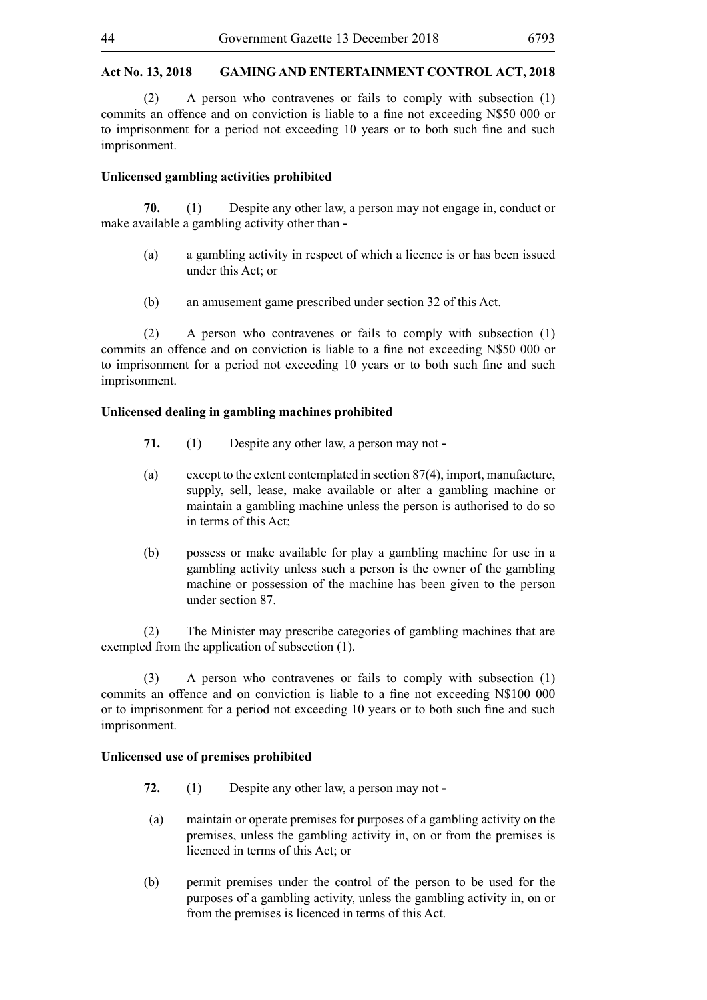(2) A person who contravenes or fails to comply with subsection (1) commits an offence and on conviction is liable to a fine not exceeding N\$50 000 or to imprisonment for a period not exceeding 10 years or to both such fine and such imprisonment.

#### **Unlicensed gambling activities prohibited**

**70.** (1) Despite any other law, a person may not engage in, conduct or make available a gambling activity other than **-**

- (a) a gambling activity in respect of which a licence is or has been issued under this Act; or
- (b) an amusement game prescribed under section 32 of this Act.

(2) A person who contravenes or fails to comply with subsection (1) commits an offence and on conviction is liable to a fine not exceeding N\$50 000 or to imprisonment for a period not exceeding 10 years or to both such fine and such imprisonment.

#### **Unlicensed dealing in gambling machines prohibited**

- **71.** (1) Despite any other law, a person may not
- (a) except to the extent contemplated in section 87(4), import, manufacture, supply, sell, lease, make available or alter a gambling machine or maintain a gambling machine unless the person is authorised to do so in terms of this Act;
- (b) possess or make available for play a gambling machine for use in a gambling activity unless such a person is the owner of the gambling machine or possession of the machine has been given to the person under section 87.

(2) The Minister may prescribe categories of gambling machines that are exempted from the application of subsection (1).

(3) A person who contravenes or fails to comply with subsection (1) commits an offence and on conviction is liable to a fine not exceeding N\$100 000 or to imprisonment for a period not exceeding 10 years or to both such fine and such imprisonment.

# **Unlicensed use of premises prohibited**

- **72.** (1) Despite any other law, a person may not **-**
- (a) maintain or operate premises for purposes of a gambling activity on the premises, unless the gambling activity in, on or from the premises is licenced in terms of this Act; or
- (b) permit premises under the control of the person to be used for the purposes of a gambling activity, unless the gambling activity in, on or from the premises is licenced in terms of this Act.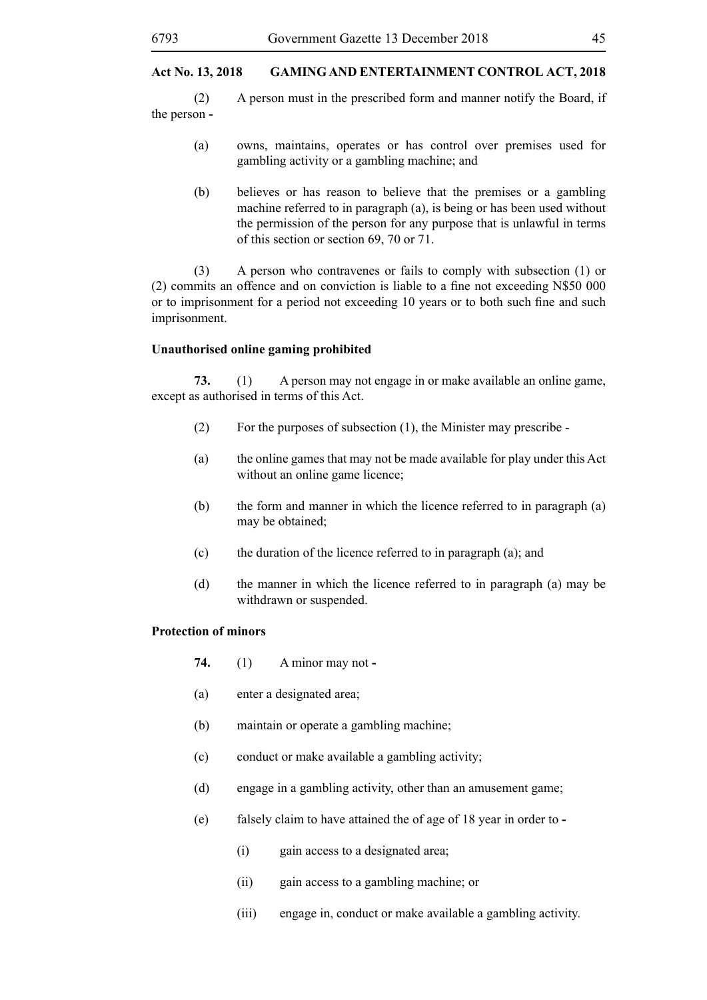(2) A person must in the prescribed form and manner notify the Board, if the person **-**

- (a) owns, maintains, operates or has control over premises used for gambling activity or a gambling machine; and
- (b) believes or has reason to believe that the premises or a gambling machine referred to in paragraph (a), is being or has been used without the permission of the person for any purpose that is unlawful in terms of this section or section 69, 70 or 71.

(3) A person who contravenes or fails to comply with subsection (1) or (2) commits an offence and on conviction is liable to a fine not exceeding N\$50 000 or to imprisonment for a period not exceeding 10 years or to both such fine and such imprisonment.

#### **Unauthorised online gaming prohibited**

**73.** (1) A person may not engage in or make available an online game, except as authorised in terms of this Act.

- (2) For the purposes of subsection (1), the Minister may prescribe -
- (a) the online games that may not be made available for play under this Act without an online game licence;
- (b) the form and manner in which the licence referred to in paragraph (a) may be obtained;
- (c) the duration of the licence referred to in paragraph (a); and
- (d) the manner in which the licence referred to in paragraph (a) may be withdrawn or suspended.

#### **Protection of minors**

- **74.** (1) A minor may not **-**
- (a) enter a designated area;
- (b) maintain or operate a gambling machine;
- (c) conduct or make available a gambling activity;
- (d) engage in a gambling activity, other than an amusement game;
- (e) falsely claim to have attained the of age of 18 year in order to **-**
	- (i) gain access to a designated area;
	- (ii) gain access to a gambling machine; or
	- (iii) engage in, conduct or make available a gambling activity.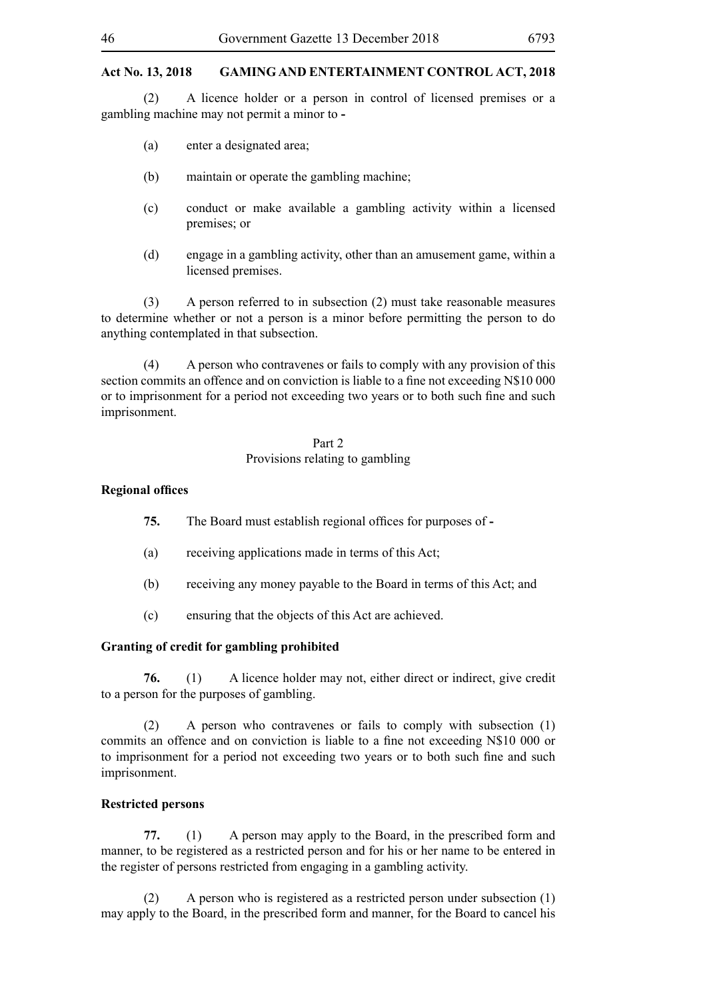(2) A licence holder or a person in control of licensed premises or a gambling machine may not permit a minor to **-**

- (a) enter a designated area;
- (b) maintain or operate the gambling machine;
- (c) conduct or make available a gambling activity within a licensed premises; or
- (d) engage in a gambling activity, other than an amusement game, within a licensed premises.

(3) A person referred to in subsection (2) must take reasonable measures to determine whether or not a person is a minor before permitting the person to do anything contemplated in that subsection.

(4) A person who contravenes or fails to comply with any provision of this section commits an offence and on conviction is liable to a fine not exceeding N\$10 000 or to imprisonment for a period not exceeding two years or to both such fine and such imprisonment.

# Part 2 Provisions relating to gambling

#### **Regional offices**

- **75.** The Board must establish regional offices for purposes of **-**
- (a) receiving applications made in terms of this Act;
- (b) receiving any money payable to the Board in terms of this Act; and
- (c) ensuring that the objects of this Act are achieved.

#### **Granting of credit for gambling prohibited**

**76.** (1) A licence holder may not, either direct or indirect, give credit to a person for the purposes of gambling.

(2) A person who contravenes or fails to comply with subsection (1) commits an offence and on conviction is liable to a fine not exceeding N\$10 000 or to imprisonment for a period not exceeding two years or to both such fine and such imprisonment.

#### **Restricted persons**

**77.** (1) A person may apply to the Board, in the prescribed form and manner, to be registered as a restricted person and for his or her name to be entered in the register of persons restricted from engaging in a gambling activity.

(2) A person who is registered as a restricted person under subsection (1) may apply to the Board, in the prescribed form and manner, for the Board to cancel his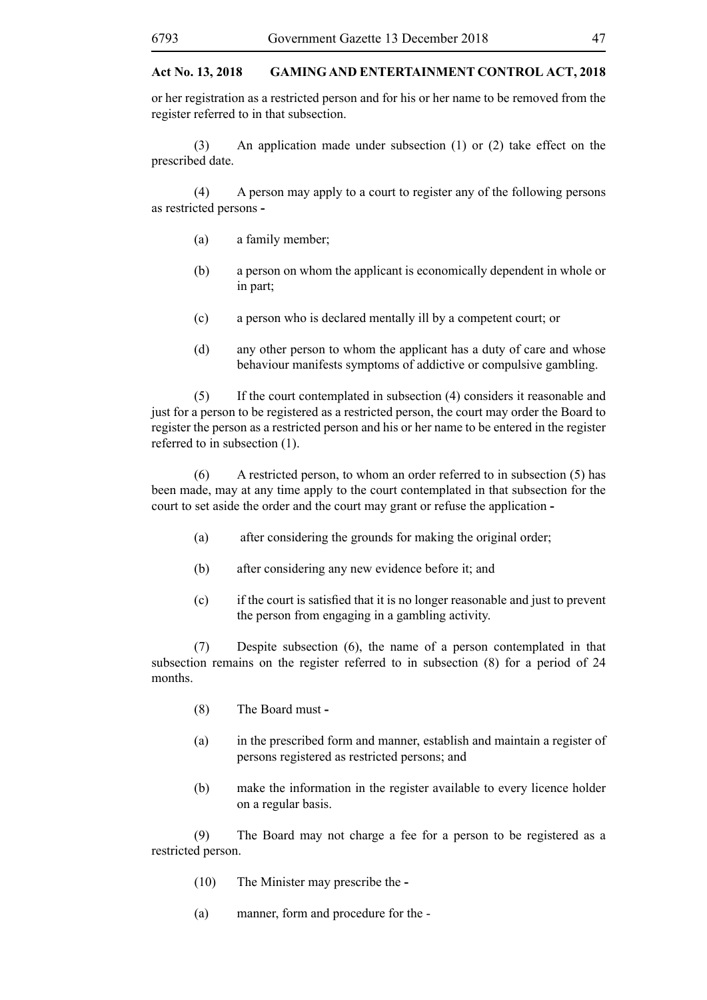or her registration as a restricted person and for his or her name to be removed from the register referred to in that subsection.

(3) An application made under subsection (1) or (2) take effect on the prescribed date.

(4) A person may apply to a court to register any of the following persons as restricted persons **-**

- (a) a family member;
- (b) a person on whom the applicant is economically dependent in whole or in part;
- (c) a person who is declared mentally ill by a competent court; or
- (d) any other person to whom the applicant has a duty of care and whose behaviour manifests symptoms of addictive or compulsive gambling.

(5) If the court contemplated in subsection (4) considers it reasonable and just for a person to be registered as a restricted person, the court may order the Board to register the person as a restricted person and his or her name to be entered in the register referred to in subsection (1).

(6) A restricted person, to whom an order referred to in subsection (5) has been made, may at any time apply to the court contemplated in that subsection for the court to set aside the order and the court may grant or refuse the application **-**

- (a) after considering the grounds for making the original order;
- (b) after considering any new evidence before it; and
- (c) if the court is satisfied that it is no longer reasonable and just to prevent the person from engaging in a gambling activity.

(7) Despite subsection (6), the name of a person contemplated in that subsection remains on the register referred to in subsection (8) for a period of 24 months.

- (8) The Board must **-**
- (a) in the prescribed form and manner, establish and maintain a register of persons registered as restricted persons; and
- (b) make the information in the register available to every licence holder on a regular basis.

(9) The Board may not charge a fee for a person to be registered as a restricted person.

- (10) The Minister may prescribe the **-**
- (a) manner, form and procedure for the -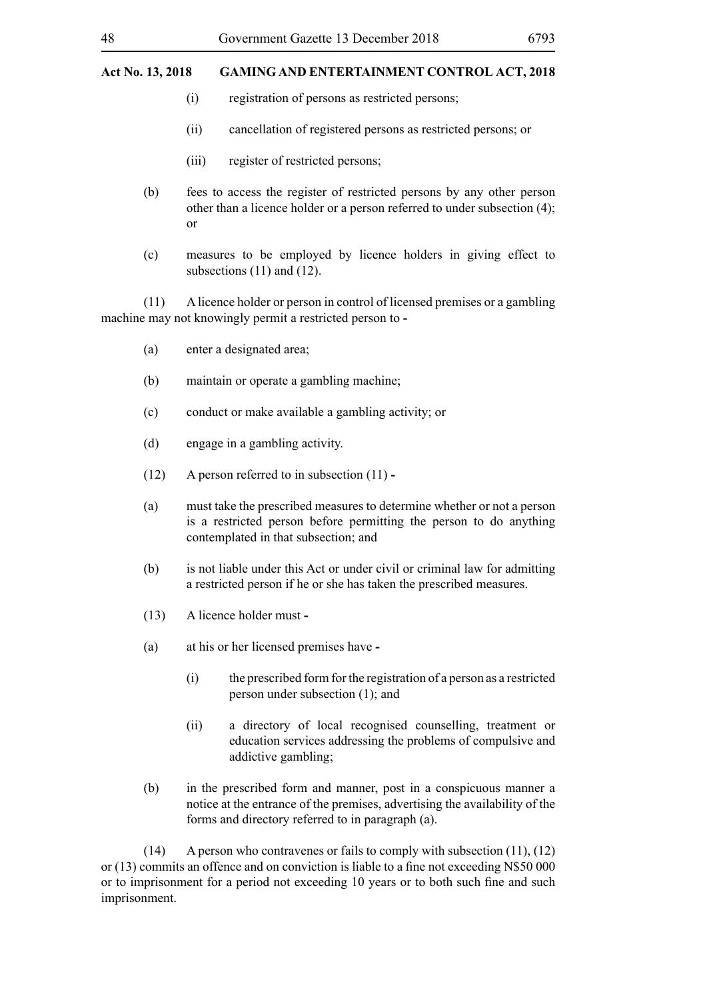- (i) registration of persons as restricted persons;
- (ii) cancellation of registered persons as restricted persons; or
- (iii) register of restricted persons;
- (b) fees to access the register of restricted persons by any other person other than a licence holder or a person referred to under subsection (4); or
- (c) measures to be employed by licence holders in giving effect to subsections (11) and (12).

(11) A licence holder or person in control of licensed premises or a gambling machine may not knowingly permit a restricted person to **-**

- (a) enter a designated area;
- (b) maintain or operate a gambling machine;
- (c) conduct or make available a gambling activity; or
- (d) engage in a gambling activity.
- (12) A person referred to in subsection (11) **-**
- (a) must take the prescribed measures to determine whether or not a person is a restricted person before permitting the person to do anything contemplated in that subsection; and
- (b) is not liable under this Act or under civil or criminal law for admitting a restricted person if he or she has taken the prescribed measures.
- (13) A licence holder must **-**
- (a) at his or her licensed premises have **-**
	- (i) the prescribed form for the registration of a person as a restricted person under subsection (1); and
	- (ii) a directory of local recognised counselling, treatment or education services addressing the problems of compulsive and addictive gambling;
- (b) in the prescribed form and manner, post in a conspicuous manner a notice at the entrance of the premises, advertising the availability of the forms and directory referred to in paragraph (a).

(14) A person who contravenes or fails to comply with subsection (11), (12) or (13) commits an offence and on conviction is liable to a fine not exceeding N\$50 000 or to imprisonment for a period not exceeding 10 years or to both such fine and such imprisonment.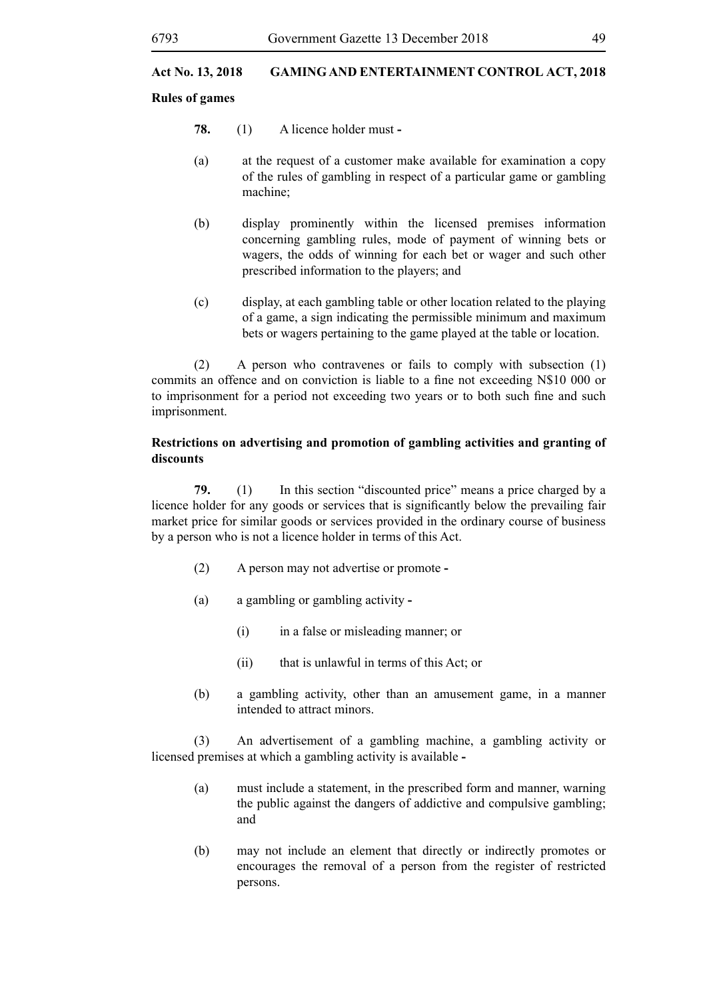#### **Rules of games**

- **78.** (1) A licence holder must **-**
- (a) at the request of a customer make available for examination a copy of the rules of gambling in respect of a particular game or gambling machine;
- (b) display prominently within the licensed premises information concerning gambling rules, mode of payment of winning bets or wagers, the odds of winning for each bet or wager and such other prescribed information to the players; and
- (c) display, at each gambling table or other location related to the playing of a game, a sign indicating the permissible minimum and maximum bets or wagers pertaining to the game played at the table or location.

(2) A person who contravenes or fails to comply with subsection (1) commits an offence and on conviction is liable to a fine not exceeding N\$10 000 or to imprisonment for a period not exceeding two years or to both such fine and such imprisonment.

# **Restrictions on advertising and promotion of gambling activities and granting of discounts**

**79.** (1) In this section "discounted price" means a price charged by a licence holder for any goods or services that is significantly below the prevailing fair market price for similar goods or services provided in the ordinary course of business by a person who is not a licence holder in terms of this Act.

- (2) A person may not advertise or promote **-**
- (a) a gambling or gambling activity **-**
	- (i) in a false or misleading manner; or
	- (ii) that is unlawful in terms of this Act; or
- (b) a gambling activity, other than an amusement game, in a manner intended to attract minors.

(3) An advertisement of a gambling machine, a gambling activity or licensed premises at which a gambling activity is available **-**

- (a) must include a statement, in the prescribed form and manner, warning the public against the dangers of addictive and compulsive gambling; and
- (b) may not include an element that directly or indirectly promotes or encourages the removal of a person from the register of restricted persons.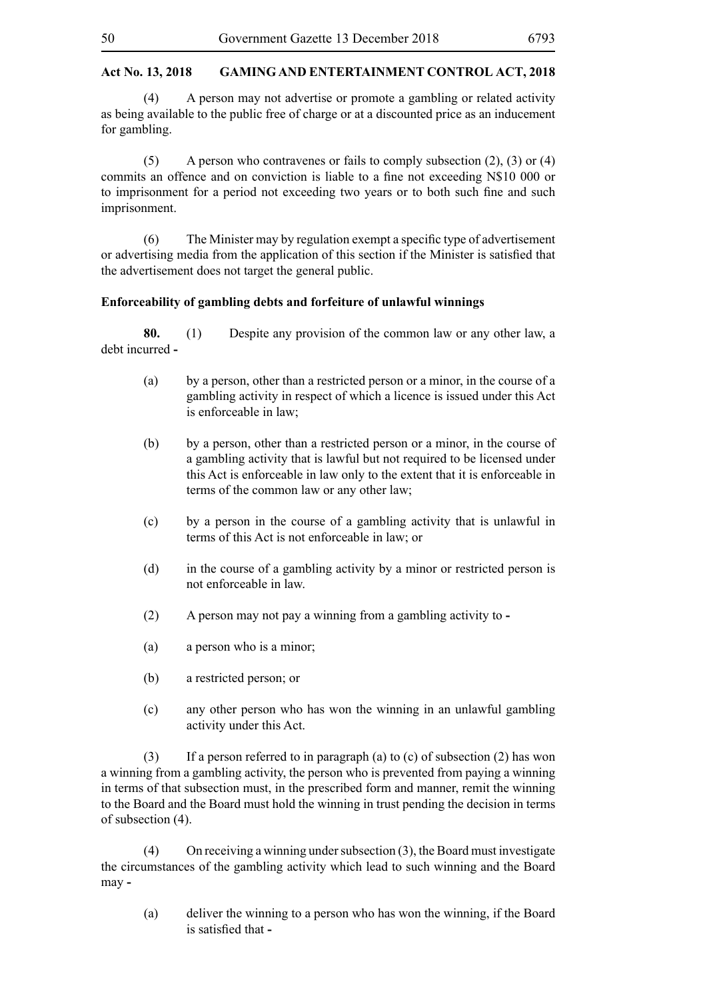(4) A person may not advertise or promote a gambling or related activity as being available to the public free of charge or at a discounted price as an inducement for gambling.

 $(5)$  A person who contravenes or fails to comply subsection  $(2)$ ,  $(3)$  or  $(4)$ commits an offence and on conviction is liable to a fine not exceeding N\$10 000 or to imprisonment for a period not exceeding two years or to both such fine and such imprisonment.

(6) The Minister may by regulation exempt a specific type of advertisement or advertising media from the application of this section if the Minister is satisfied that the advertisement does not target the general public.

#### **Enforceability of gambling debts and forfeiture of unlawful winnings**

**80.** (1) Despite any provision of the common law or any other law, a debt incurred **-**

- (a) by a person, other than a restricted person or a minor, in the course of a gambling activity in respect of which a licence is issued under this Act is enforceable in law;
- (b) by a person, other than a restricted person or a minor, in the course of a gambling activity that is lawful but not required to be licensed under this Act is enforceable in law only to the extent that it is enforceable in terms of the common law or any other law;
- (c) by a person in the course of a gambling activity that is unlawful in terms of this Act is not enforceable in law; or
- (d) in the course of a gambling activity by a minor or restricted person is not enforceable in law.
- (2) A person may not pay a winning from a gambling activity to **-**
- (a) a person who is a minor;
- (b) a restricted person; or
- (c) any other person who has won the winning in an unlawful gambling activity under this Act.

(3) If a person referred to in paragraph (a) to (c) of subsection (2) has won a winning from a gambling activity, the person who is prevented from paying a winning in terms of that subsection must, in the prescribed form and manner, remit the winning to the Board and the Board must hold the winning in trust pending the decision in terms of subsection (4).

(4) On receiving a winning under subsection (3), the Board must investigate the circumstances of the gambling activity which lead to such winning and the Board may **-**

(a) deliver the winning to a person who has won the winning, if the Board is satisfied that **-**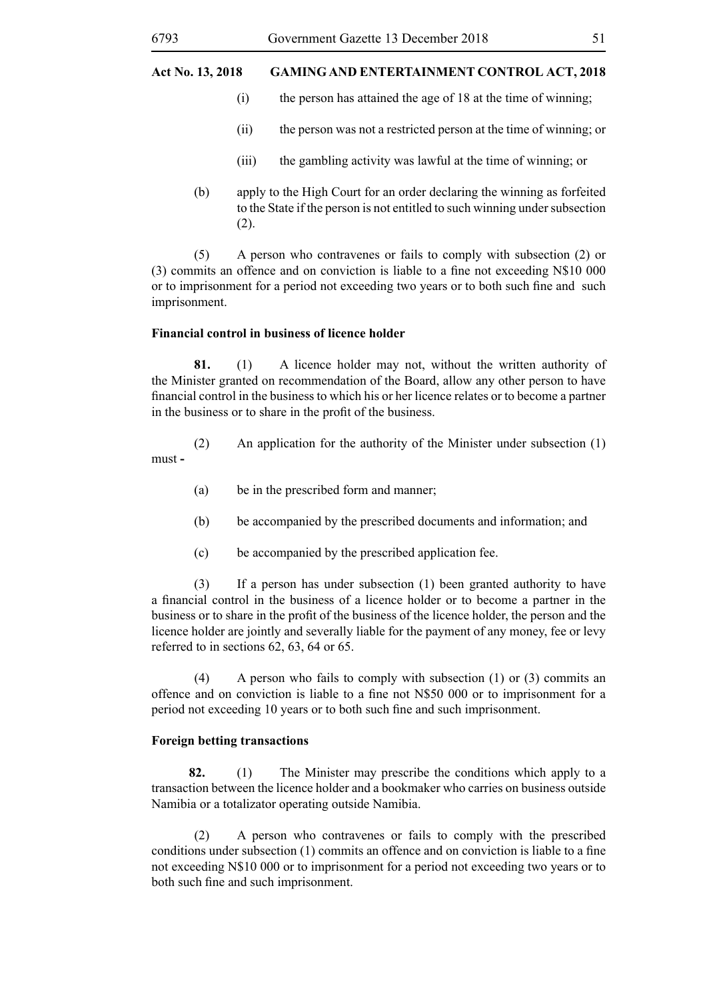- (i) the person has attained the age of 18 at the time of winning;
- (ii) the person was not a restricted person at the time of winning; or
- (iii) the gambling activity was lawful at the time of winning; or
- (b) apply to the High Court for an order declaring the winning as forfeited to the State if the person is not entitled to such winning under subsection (2).

(5) A person who contravenes or fails to comply with subsection (2) or (3) commits an offence and on conviction is liable to a fine not exceeding N\$10 000 or to imprisonment for a period not exceeding two years or to both such fine and such imprisonment.

#### **Financial control in business of licence holder**

**81.** (1) A licence holder may not, without the written authority of the Minister granted on recommendation of the Board, allow any other person to have financial control in the business to which his or her licence relates or to become a partner in the business or to share in the profit of the business.

(2) An application for the authority of the Minister under subsection (1) must **-**

- (a) be in the prescribed form and manner;
- (b) be accompanied by the prescribed documents and information; and
- (c) be accompanied by the prescribed application fee.

(3) If a person has under subsection (1) been granted authority to have a financial control in the business of a licence holder or to become a partner in the business or to share in the profit of the business of the licence holder, the person and the licence holder are jointly and severally liable for the payment of any money, fee or levy referred to in sections 62, 63, 64 or 65.

(4) A person who fails to comply with subsection (1) or (3) commits an offence and on conviction is liable to a fine not N\$50 000 or to imprisonment for a period not exceeding 10 years or to both such fine and such imprisonment.

#### **Foreign betting transactions**

**82.** (1) The Minister may prescribe the conditions which apply to a transaction between the licence holder and a bookmaker who carries on business outside Namibia or a totalizator operating outside Namibia.

(2) A person who contravenes or fails to comply with the prescribed conditions under subsection (1) commits an offence and on conviction is liable to a fine not exceeding N\$10 000 or to imprisonment for a period not exceeding two years or to both such fine and such imprisonment.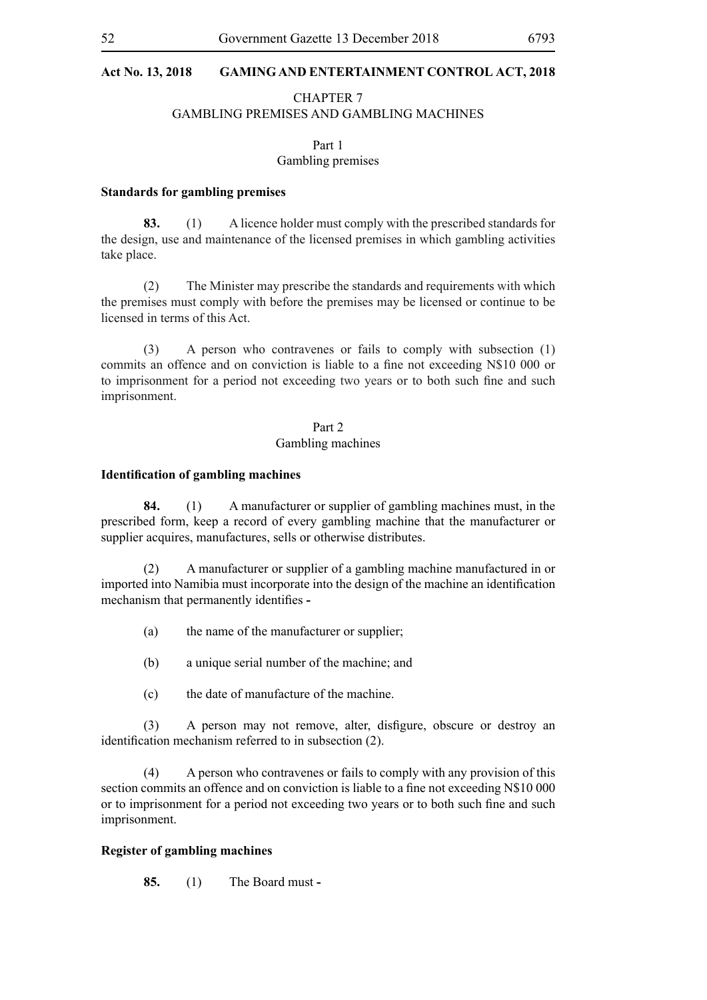#### CHAPTER 7

# GAMBLING PREMISES AND GAMBLING MACHINES

# Part 1

#### Gambling premises

#### **Standards for gambling premises**

**83.** (1) A licence holder must comply with the prescribed standards for the design, use and maintenance of the licensed premises in which gambling activities take place.

(2) The Minister may prescribe the standards and requirements with which the premises must comply with before the premises may be licensed or continue to be licensed in terms of this Act.

(3) A person who contravenes or fails to comply with subsection (1) commits an offence and on conviction is liable to a fine not exceeding N\$10 000 or to imprisonment for a period not exceeding two years or to both such fine and such imprisonment.

#### Part 2

#### Gambling machines

#### **Identification of gambling machines**

**84.** (1) A manufacturer or supplier of gambling machines must, in the prescribed form, keep a record of every gambling machine that the manufacturer or supplier acquires, manufactures, sells or otherwise distributes.

(2) A manufacturer or supplier of a gambling machine manufactured in or imported into Namibia must incorporate into the design of the machine an identification mechanism that permanently identifies **-**

- (a) the name of the manufacturer or supplier;
- (b) a unique serial number of the machine; and
- (c) the date of manufacture of the machine.

(3) A person may not remove, alter, disfigure, obscure or destroy an identification mechanism referred to in subsection (2).

(4) A person who contravenes or fails to comply with any provision of this section commits an offence and on conviction is liable to a fine not exceeding N\$10 000 or to imprisonment for a period not exceeding two years or to both such fine and such imprisonment.

# **Register of gambling machines**

**85.** (1) The Board must **-**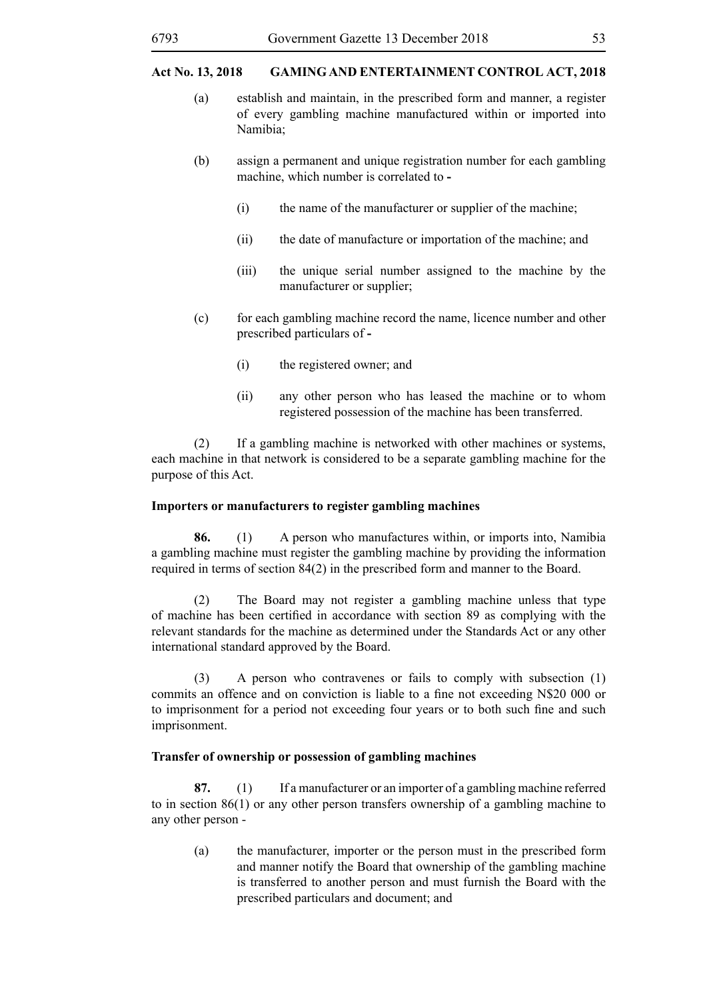- (a) establish and maintain, in the prescribed form and manner, a register of every gambling machine manufactured within or imported into Namibia;
- (b) assign a permanent and unique registration number for each gambling machine, which number is correlated to **-**
	- (i) the name of the manufacturer or supplier of the machine;
	- (ii) the date of manufacture or importation of the machine; and
	- (iii) the unique serial number assigned to the machine by the manufacturer or supplier;
- (c) for each gambling machine record the name, licence number and other prescribed particulars of **-**
	- (i) the registered owner; and
	- (ii) any other person who has leased the machine or to whom registered possession of the machine has been transferred.

(2) If a gambling machine is networked with other machines or systems, each machine in that network is considered to be a separate gambling machine for the purpose of this Act.

#### **Importers or manufacturers to register gambling machines**

**86.** (1) A person who manufactures within, or imports into, Namibia a gambling machine must register the gambling machine by providing the information required in terms of section 84(2) in the prescribed form and manner to the Board.

(2) The Board may not register a gambling machine unless that type of machine has been certified in accordance with section 89 as complying with the relevant standards for the machine as determined under the Standards Act or any other international standard approved by the Board.

(3) A person who contravenes or fails to comply with subsection (1) commits an offence and on conviction is liable to a fine not exceeding N\$20 000 or to imprisonment for a period not exceeding four years or to both such fine and such imprisonment.

#### **Transfer of ownership or possession of gambling machines**

**87.** (1) If a manufacturer or an importer of a gambling machine referred to in section 86(1) or any other person transfers ownership of a gambling machine to any other person -

(a) the manufacturer, importer or the person must in the prescribed form and manner notify the Board that ownership of the gambling machine is transferred to another person and must furnish the Board with the prescribed particulars and document; and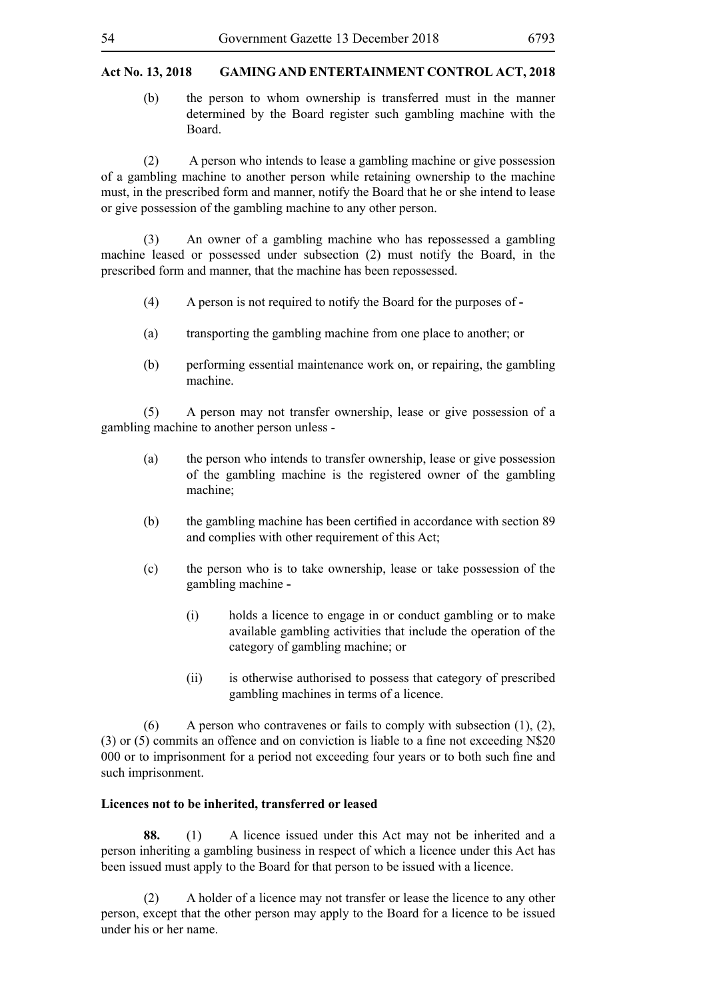(b) the person to whom ownership is transferred must in the manner determined by the Board register such gambling machine with the Board.

(2) A person who intends to lease a gambling machine or give possession of a gambling machine to another person while retaining ownership to the machine must, in the prescribed form and manner, notify the Board that he or she intend to lease or give possession of the gambling machine to any other person.

(3) An owner of a gambling machine who has repossessed a gambling machine leased or possessed under subsection (2) must notify the Board, in the prescribed form and manner, that the machine has been repossessed.

- (4) A person is not required to notify the Board for the purposes of **-**
- (a) transporting the gambling machine from one place to another; or
- (b) performing essential maintenance work on, or repairing, the gambling machine.

(5) A person may not transfer ownership, lease or give possession of a gambling machine to another person unless -

- (a) the person who intends to transfer ownership, lease or give possession of the gambling machine is the registered owner of the gambling machine;
- (b) the gambling machine has been certified in accordance with section 89 and complies with other requirement of this Act;
- (c) the person who is to take ownership, lease or take possession of the gambling machine **-**
	- (i) holds a licence to engage in or conduct gambling or to make available gambling activities that include the operation of the category of gambling machine; or
	- (ii) is otherwise authorised to possess that category of prescribed gambling machines in terms of a licence.

(6) A person who contravenes or fails to comply with subsection  $(1)$ ,  $(2)$ , (3) or (5) commits an offence and on conviction is liable to a fine not exceeding N\$20 000 or to imprisonment for a period not exceeding four years or to both such fine and such imprisonment.

#### **Licences not to be inherited, transferred or leased**

**88.** (1) A licence issued under this Act may not be inherited and a person inheriting a gambling business in respect of which a licence under this Act has been issued must apply to the Board for that person to be issued with a licence.

(2) A holder of a licence may not transfer or lease the licence to any other person, except that the other person may apply to the Board for a licence to be issued under his or her name.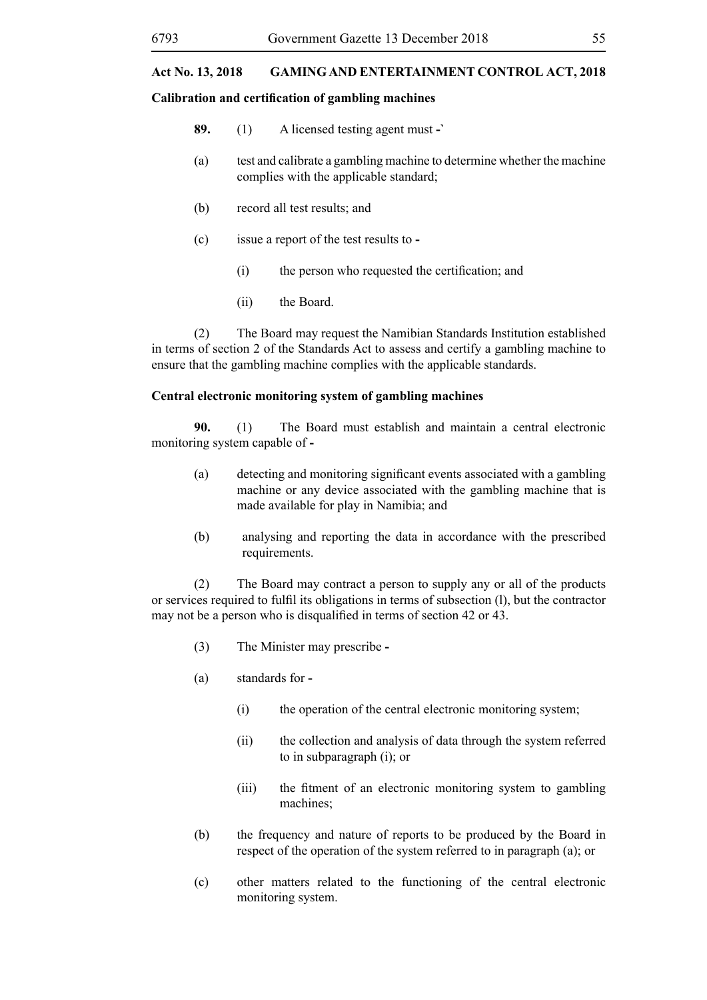#### **Calibration and certification of gambling machines**

- **89.** (1) A licensed testing agent must **-`**
- (a) test and calibrate a gambling machine to determine whether the machine complies with the applicable standard;
- (b) record all test results; and
- (c) issue a report of the test results to **-**
	- (i) the person who requested the certification; and
	- (ii) the Board.

(2) The Board may request the Namibian Standards Institution established in terms of section 2 of the Standards Act to assess and certify a gambling machine to ensure that the gambling machine complies with the applicable standards.

#### **Central electronic monitoring system of gambling machines**

**90.** (1) The Board must establish and maintain a central electronic monitoring system capable of **-**

- (a) detecting and monitoring significant events associated with a gambling machine or any device associated with the gambling machine that is made available for play in Namibia; and
- (b) analysing and reporting the data in accordance with the prescribed requirements.

(2) The Board may contract a person to supply any or all of the products or services required to fulfil its obligations in terms of subsection (l), but the contractor may not be a person who is disqualified in terms of section 42 or 43.

- (3) The Minister may prescribe **-**
- (a) standards for **-**
	- (i) the operation of the central electronic monitoring system;
	- (ii) the collection and analysis of data through the system referred to in subparagraph (i); or
	- (iii) the fitment of an electronic monitoring system to gambling machines;
- (b) the frequency and nature of reports to be produced by the Board in respect of the operation of the system referred to in paragraph (a); or
- (c) other matters related to the functioning of the central electronic monitoring system.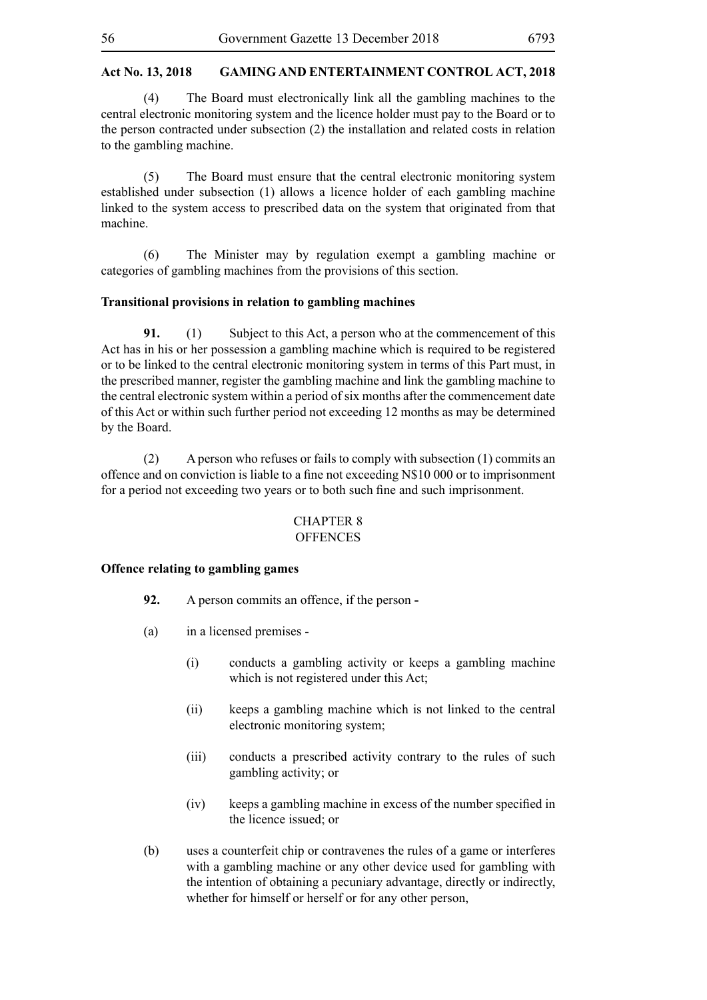(4) The Board must electronically link all the gambling machines to the central electronic monitoring system and the licence holder must pay to the Board or to the person contracted under subsection (2) the installation and related costs in relation to the gambling machine.

(5) The Board must ensure that the central electronic monitoring system established under subsection (1) allows a licence holder of each gambling machine linked to the system access to prescribed data on the system that originated from that machine.

(6) The Minister may by regulation exempt a gambling machine or categories of gambling machines from the provisions of this section.

#### **Transitional provisions in relation to gambling machines**

**91.** (1) Subject to this Act, a person who at the commencement of this Act has in his or her possession a gambling machine which is required to be registered or to be linked to the central electronic monitoring system in terms of this Part must, in the prescribed manner, register the gambling machine and link the gambling machine to the central electronic system within a period of six months after the commencement date of this Act or within such further period not exceeding 12 months as may be determined by the Board.

(2) A person who refuses or fails to comply with subsection (1) commits an offence and on conviction is liable to a fine not exceeding N\$10 000 or to imprisonment for a period not exceeding two years or to both such fine and such imprisonment.

#### CHAPTER 8 **OFFENCES**

#### **Offence relating to gambling games**

- **92.** A person commits an offence, if the person **-**
- (a) in a licensed premises
	- (i) conducts a gambling activity or keeps a gambling machine which is not registered under this Act;
	- (ii) keeps a gambling machine which is not linked to the central electronic monitoring system;
	- (iii) conducts a prescribed activity contrary to the rules of such gambling activity; or
	- (iv) keeps a gambling machine in excess of the number specified in the licence issued; or
- (b) uses a counterfeit chip or contravenes the rules of a game or interferes with a gambling machine or any other device used for gambling with the intention of obtaining a pecuniary advantage, directly or indirectly, whether for himself or herself or for any other person,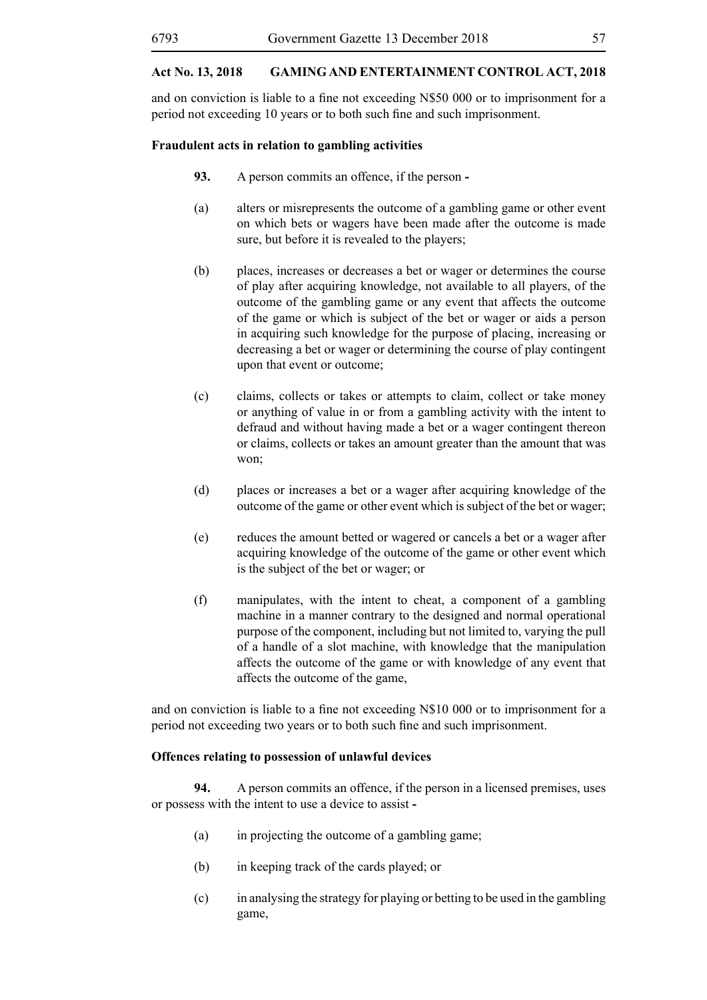and on conviction is liable to a fine not exceeding N\$50 000 or to imprisonment for a period not exceeding 10 years or to both such fine and such imprisonment.

#### **Fraudulent acts in relation to gambling activities**

- **93.** A person commits an offence, if the person **-**
- (a) alters or misrepresents the outcome of a gambling game or other event on which bets or wagers have been made after the outcome is made sure, but before it is revealed to the players;
- (b) places, increases or decreases a bet or wager or determines the course of play after acquiring knowledge, not available to all players, of the outcome of the gambling game or any event that affects the outcome of the game or which is subject of the bet or wager or aids a person in acquiring such knowledge for the purpose of placing, increasing or decreasing a bet or wager or determining the course of play contingent upon that event or outcome;
- (c) claims, collects or takes or attempts to claim, collect or take money or anything of value in or from a gambling activity with the intent to defraud and without having made a bet or a wager contingent thereon or claims, collects or takes an amount greater than the amount that was won;
- (d) places or increases a bet or a wager after acquiring knowledge of the outcome of the game or other event which is subject of the bet or wager;
- (e) reduces the amount betted or wagered or cancels a bet or a wager after acquiring knowledge of the outcome of the game or other event which is the subject of the bet or wager; or
- (f) manipulates, with the intent to cheat, a component of a gambling machine in a manner contrary to the designed and normal operational purpose of the component, including but not limited to, varying the pull of a handle of a slot machine, with knowledge that the manipulation affects the outcome of the game or with knowledge of any event that affects the outcome of the game,

and on conviction is liable to a fine not exceeding N\$10 000 or to imprisonment for a period not exceeding two years or to both such fine and such imprisonment.

#### **Offences relating to possession of unlawful devices**

**94.** A person commits an offence, if the person in a licensed premises, uses or possess with the intent to use a device to assist **-**

- (a) in projecting the outcome of a gambling game;
- (b) in keeping track of the cards played; or
- (c) in analysing the strategy for playing or betting to be used in the gambling game,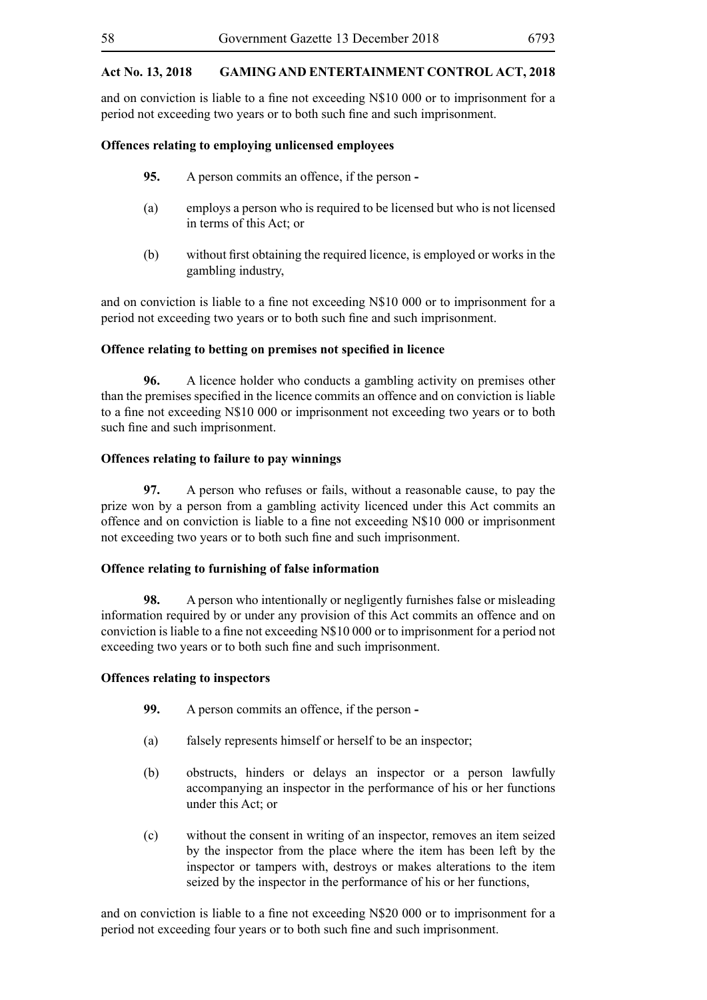and on conviction is liable to a fine not exceeding N\$10 000 or to imprisonment for a period not exceeding two years or to both such fine and such imprisonment.

#### **Offences relating to employing unlicensed employees**

- **95.** A person commits an offence, if the person **-**
- (a) employs a person who is required to be licensed but who is not licensed in terms of this Act; or
- (b) without first obtaining the required licence, is employed or works in the gambling industry,

and on conviction is liable to a fine not exceeding N\$10 000 or to imprisonment for a period not exceeding two years or to both such fine and such imprisonment.

#### **Offence relating to betting on premises not specified in licence**

**96.** A licence holder who conducts a gambling activity on premises other than the premises specified in the licence commits an offence and on conviction is liable to a fine not exceeding N\$10 000 or imprisonment not exceeding two years or to both such fine and such imprisonment.

#### **Offences relating to failure to pay winnings**

**97.** A person who refuses or fails, without a reasonable cause, to pay the prize won by a person from a gambling activity licenced under this Act commits an offence and on conviction is liable to a fine not exceeding N\$10 000 or imprisonment not exceeding two years or to both such fine and such imprisonment.

# **Offence relating to furnishing of false information**

**98.** A person who intentionally or negligently furnishes false or misleading information required by or under any provision of this Act commits an offence and on conviction is liable to a fine not exceeding N\$10 000 or to imprisonment for a period not exceeding two years or to both such fine and such imprisonment.

#### **Offences relating to inspectors**

- **99.** A person commits an offence, if the person **-**
- (a) falsely represents himself or herself to be an inspector;
- (b) obstructs, hinders or delays an inspector or a person lawfully accompanying an inspector in the performance of his or her functions under this Act; or
- (c) without the consent in writing of an inspector, removes an item seized by the inspector from the place where the item has been left by the inspector or tampers with, destroys or makes alterations to the item seized by the inspector in the performance of his or her functions,

and on conviction is liable to a fine not exceeding N\$20 000 or to imprisonment for a period not exceeding four years or to both such fine and such imprisonment.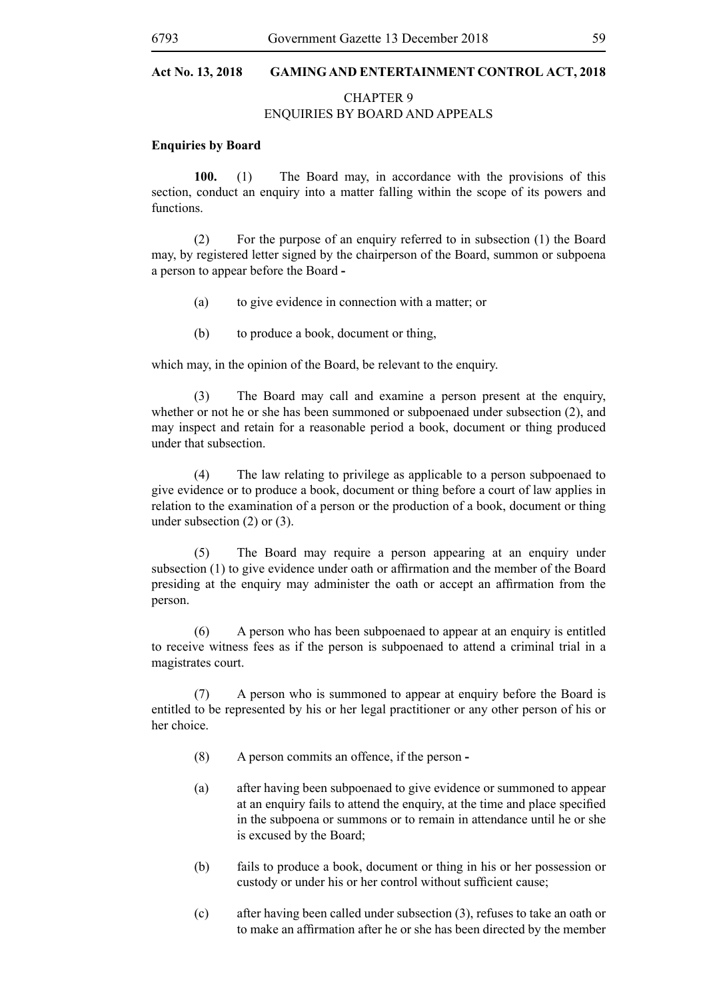#### CHAPTER 9

# ENQUIRIES BY BOARD AND APPEALS

#### **Enquiries by Board**

**100.** (1) The Board may, in accordance with the provisions of this section, conduct an enquiry into a matter falling within the scope of its powers and functions.

(2) For the purpose of an enquiry referred to in subsection (1) the Board may, by registered letter signed by the chairperson of the Board, summon or subpoena a person to appear before the Board **-**

- (a) to give evidence in connection with a matter; or
- (b) to produce a book, document or thing,

which may, in the opinion of the Board, be relevant to the enquiry.

(3) The Board may call and examine a person present at the enquiry, whether or not he or she has been summoned or subpoenaed under subsection (2), and may inspect and retain for a reasonable period a book, document or thing produced under that subsection.

(4) The law relating to privilege as applicable to a person subpoenaed to give evidence or to produce a book, document or thing before a court of law applies in relation to the examination of a person or the production of a book, document or thing under subsection (2) or (3).

(5) The Board may require a person appearing at an enquiry under subsection (1) to give evidence under oath or affirmation and the member of the Board presiding at the enquiry may administer the oath or accept an affirmation from the person.

(6) A person who has been subpoenaed to appear at an enquiry is entitled to receive witness fees as if the person is subpoenaed to attend a criminal trial in a magistrates court.

(7) A person who is summoned to appear at enquiry before the Board is entitled to be represented by his or her legal practitioner or any other person of his or her choice.

- (8) A person commits an offence, if the person **-**
- (a) after having been subpoenaed to give evidence or summoned to appear at an enquiry fails to attend the enquiry, at the time and place specified in the subpoena or summons or to remain in attendance until he or she is excused by the Board;
- (b) fails to produce a book, document or thing in his or her possession or custody or under his or her control without sufficient cause;
- (c) after having been called under subsection (3), refuses to take an oath or to make an affirmation after he or she has been directed by the member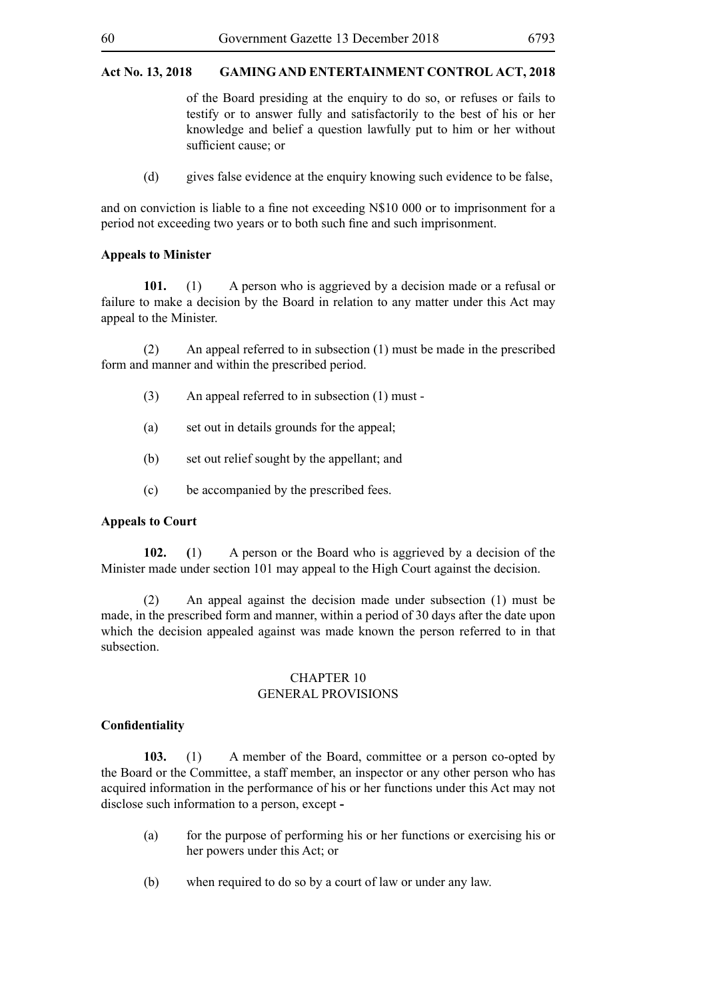of the Board presiding at the enquiry to do so, or refuses or fails to testify or to answer fully and satisfactorily to the best of his or her knowledge and belief a question lawfully put to him or her without sufficient cause; or

(d) gives false evidence at the enquiry knowing such evidence to be false,

and on conviction is liable to a fine not exceeding N\$10 000 or to imprisonment for a period not exceeding two years or to both such fine and such imprisonment.

# **Appeals to Minister**

**101.** (1) A person who is aggrieved by a decision made or a refusal or failure to make a decision by the Board in relation to any matter under this Act may appeal to the Minister.

(2) An appeal referred to in subsection (1) must be made in the prescribed form and manner and within the prescribed period.

- (3) An appeal referred to in subsection (1) must -
- (a) set out in details grounds for the appeal;
- (b) set out relief sought by the appellant; and
- (c) be accompanied by the prescribed fees.

#### **Appeals to Court**

**102. (**1) A person or the Board who is aggrieved by a decision of the Minister made under section 101 may appeal to the High Court against the decision.

(2) An appeal against the decision made under subsection (1) must be made, in the prescribed form and manner, within a period of 30 days after the date upon which the decision appealed against was made known the person referred to in that subsection.

#### CHAPTER 10 GENERAL PROVISIONS

#### **Confidentiality**

**103.** (1) A member of the Board, committee or a person co-opted by the Board or the Committee, a staff member, an inspector or any other person who has acquired information in the performance of his or her functions under this Act may not disclose such information to a person, except **-**

- (a) for the purpose of performing his or her functions or exercising his or her powers under this Act; or
- (b) when required to do so by a court of law or under any law.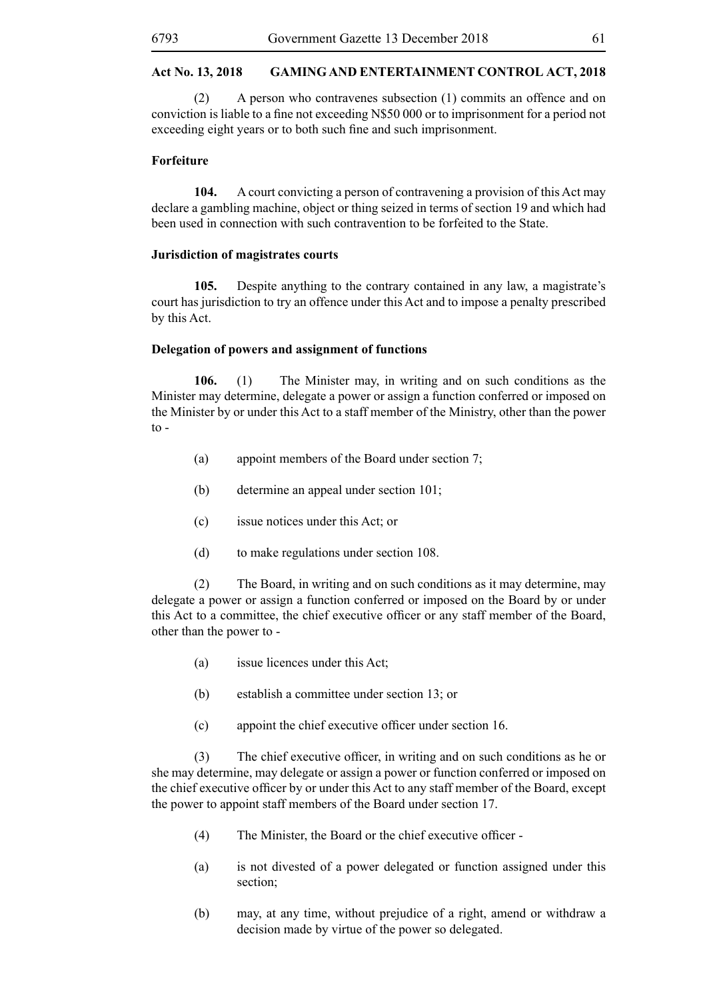(2) A person who contravenes subsection (1) commits an offence and on conviction is liable to a fine not exceeding N\$50 000 or to imprisonment for a period not exceeding eight years or to both such fine and such imprisonment.

#### **Forfeiture**

**104.** A court convicting a person of contravening a provision of this Act may declare a gambling machine, object or thing seized in terms of section 19 and which had been used in connection with such contravention to be forfeited to the State.

# **Jurisdiction of magistrates courts**

**105.** Despite anything to the contrary contained in any law, a magistrate's court has jurisdiction to try an offence under this Act and to impose a penalty prescribed by this Act.

#### **Delegation of powers and assignment of functions**

**106.** (1) The Minister may, in writing and on such conditions as the Minister may determine, delegate a power or assign a function conferred or imposed on the Minister by or under this Act to a staff member of the Ministry, other than the power  $to -$ 

- (a) appoint members of the Board under section 7;
- (b) determine an appeal under section 101;
- (c) issue notices under this Act; or
- (d) to make regulations under section 108.

(2) The Board, in writing and on such conditions as it may determine, may delegate a power or assign a function conferred or imposed on the Board by or under this Act to a committee, the chief executive officer or any staff member of the Board, other than the power to -

- (a) issue licences under this Act;
- (b) establish a committee under section 13; or
- (c) appoint the chief executive officer under section 16.

(3) The chief executive officer, in writing and on such conditions as he or she may determine, may delegate or assign a power or function conferred or imposed on the chief executive officer by or under this Act to any staff member of the Board, except the power to appoint staff members of the Board under section 17.

- (4) The Minister, the Board or the chief executive officer -
- (a) is not divested of a power delegated or function assigned under this section;
- (b) may, at any time, without prejudice of a right, amend or withdraw a decision made by virtue of the power so delegated.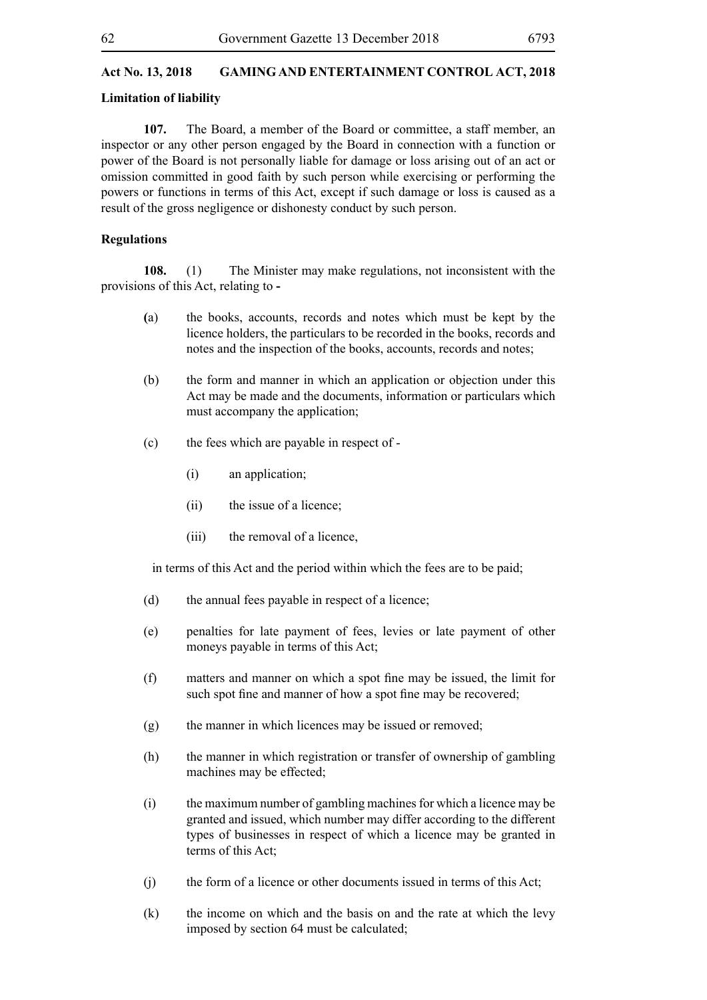#### **Limitation of liability**

**107.** The Board, a member of the Board or committee, a staff member, an inspector or any other person engaged by the Board in connection with a function or power of the Board is not personally liable for damage or loss arising out of an act or omission committed in good faith by such person while exercising or performing the powers or functions in terms of this Act, except if such damage or loss is caused as a result of the gross negligence or dishonesty conduct by such person.

# **Regulations**

**108.** (1) The Minister may make regulations, not inconsistent with the provisions of this Act, relating to **-**

- **(**a) the books, accounts, records and notes which must be kept by the licence holders, the particulars to be recorded in the books, records and notes and the inspection of the books, accounts, records and notes;
- (b) the form and manner in which an application or objection under this Act may be made and the documents, information or particulars which must accompany the application;
- (c) the fees which are payable in respect of
	- (i) an application;
	- (ii) the issue of a licence;
	- (iii) the removal of a licence,

in terms of this Act and the period within which the fees are to be paid;

- (d) the annual fees payable in respect of a licence;
- (e) penalties for late payment of fees, levies or late payment of other moneys payable in terms of this Act;
- (f) matters and manner on which a spot fine may be issued, the limit for such spot fine and manner of how a spot fine may be recovered;
- (g) the manner in which licences may be issued or removed;
- (h) the manner in which registration or transfer of ownership of gambling machines may be effected;
- (i) the maximum number of gambling machines for which a licence may be granted and issued, which number may differ according to the different types of businesses in respect of which a licence may be granted in terms of this Act;
- (j) the form of a licence or other documents issued in terms of this Act;
- (k) the income on which and the basis on and the rate at which the levy imposed by section 64 must be calculated;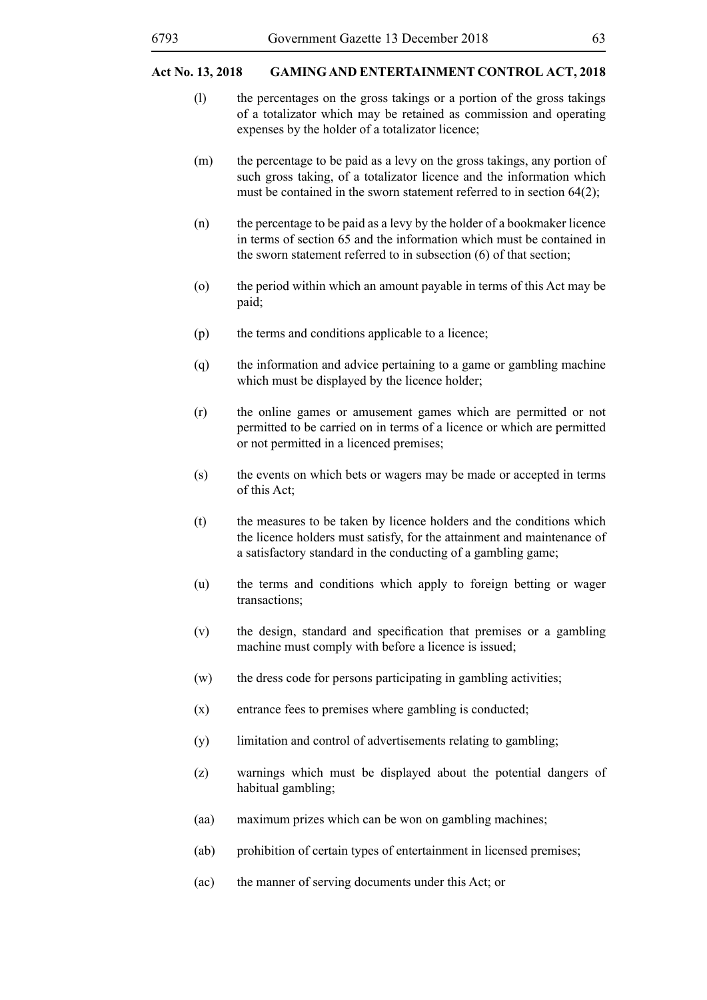- (l) the percentages on the gross takings or a portion of the gross takings of a totalizator which may be retained as commission and operating expenses by the holder of a totalizator licence;
- (m) the percentage to be paid as a levy on the gross takings, any portion of such gross taking, of a totalizator licence and the information which must be contained in the sworn statement referred to in section 64(2);
- (n) the percentage to be paid as a levy by the holder of a bookmaker licence in terms of section 65 and the information which must be contained in the sworn statement referred to in subsection (6) of that section;
- (o) the period within which an amount payable in terms of this Act may be paid;
- (p) the terms and conditions applicable to a licence;
- (q) the information and advice pertaining to a game or gambling machine which must be displayed by the licence holder;
- (r) the online games or amusement games which are permitted or not permitted to be carried on in terms of a licence or which are permitted or not permitted in a licenced premises;
- (s) the events on which bets or wagers may be made or accepted in terms of this Act;
- (t) the measures to be taken by licence holders and the conditions which the licence holders must satisfy, for the attainment and maintenance of a satisfactory standard in the conducting of a gambling game;
- (u) the terms and conditions which apply to foreign betting or wager transactions;
- (v) the design, standard and specification that premises or a gambling machine must comply with before a licence is issued;
- (w) the dress code for persons participating in gambling activities;
- (x) entrance fees to premises where gambling is conducted;
- (y) limitation and control of advertisements relating to gambling;
- (z) warnings which must be displayed about the potential dangers of habitual gambling;
- (aa) maximum prizes which can be won on gambling machines;
- (ab) prohibition of certain types of entertainment in licensed premises;
- (ac) the manner of serving documents under this Act; or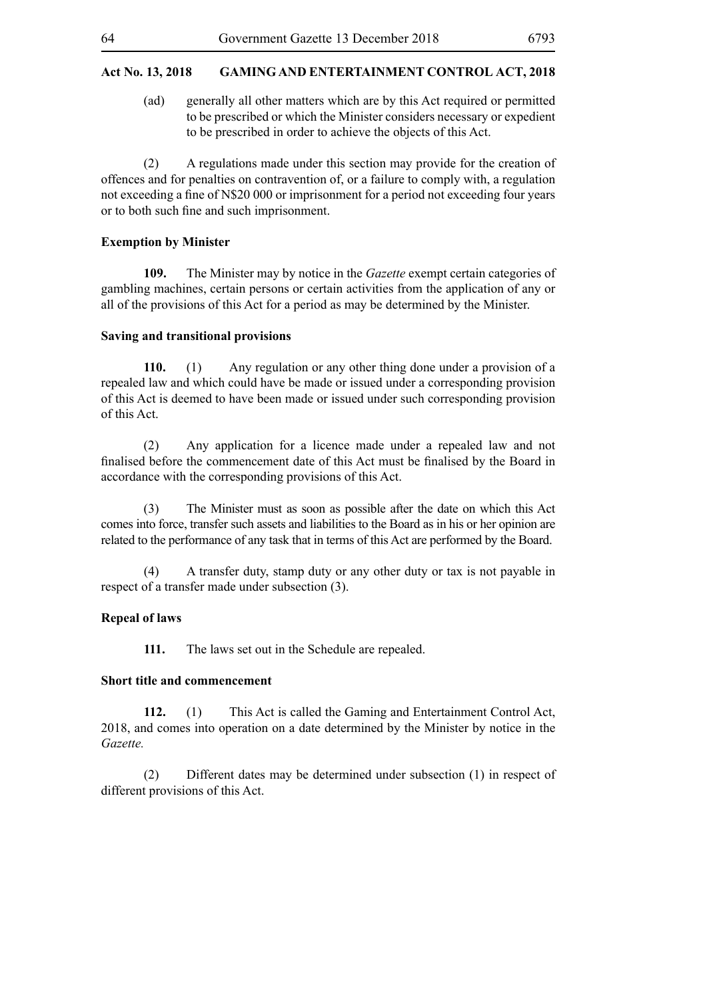(ad) generally all other matters which are by this Act required or permitted to be prescribed or which the Minister considers necessary or expedient to be prescribed in order to achieve the objects of this Act.

(2) A regulations made under this section may provide for the creation of offences and for penalties on contravention of, or a failure to comply with, a regulation not exceeding a fine of N\$20 000 or imprisonment for a period not exceeding four years or to both such fine and such imprisonment.

# **Exemption by Minister**

**109.** The Minister may by notice in the *Gazette* exempt certain categories of gambling machines, certain persons or certain activities from the application of any or all of the provisions of this Act for a period as may be determined by the Minister.

#### **Saving and transitional provisions**

**110.** (1) Any regulation or any other thing done under a provision of a repealed law and which could have be made or issued under a corresponding provision of this Act is deemed to have been made or issued under such corresponding provision of this Act.

(2) Any application for a licence made under a repealed law and not finalised before the commencement date of this Act must be finalised by the Board in accordance with the corresponding provisions of this Act.

(3) The Minister must as soon as possible after the date on which this Act comes into force, transfer such assets and liabilities to the Board as in his or her opinion are related to the performance of any task that in terms of this Act are performed by the Board.

(4) A transfer duty, stamp duty or any other duty or tax is not payable in respect of a transfer made under subsection (3).

# **Repeal of laws**

**111.** The laws set out in the Schedule are repealed.

#### **Short title and commencement**

**112.** (1) This Act is called the Gaming and Entertainment Control Act, 2018, and comes into operation on a date determined by the Minister by notice in the *Gazette.*

(2) Different dates may be determined under subsection (1) in respect of different provisions of this Act.